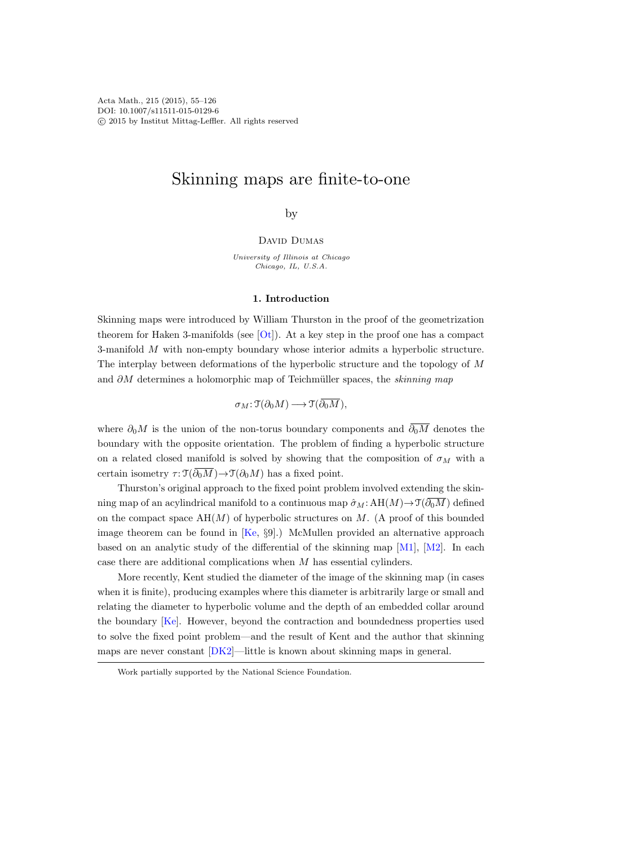# Skinning maps are finite-to-one

# by

DAVID DUMAS

University of Illinois at Chicago Chicago, IL, U.S.A.

## 1. Introduction

Skinning maps were introduced by William Thurston in the proof of the geometrization theorem for Haken 3-manifolds (see  $[0t]$ ). At a key step in the proof one has a compact 3-manifold M with non-empty boundary whose interior admits a hyperbolic structure. The interplay between deformations of the hyperbolic structure and the topology of M and  $\partial M$  determines a holomorphic map of Teichmüller spaces, the *skinning map* 

$$
\sigma_M\!:\!\mathfrak T(\partial_0 M)\!\longrightarrow\!\mathfrak T(\overline{\partial_0 M}),
$$

where  $\partial_0 M$  is the union of the non-torus boundary components and  $\overline{\partial_0 M}$  denotes the boundary with the opposite orientation. The problem of finding a hyperbolic structure on a related closed manifold is solved by showing that the composition of  $\sigma_M$  with a certain isometry  $\tau : \mathfrak{T}(\overline{\partial_0 M}) \to \mathfrak{T}(\partial_0 M)$  has a fixed point.

Thurston's original approach to the fixed point problem involved extending the skinning map of an acylindrical manifold to a continuous map  $\hat{\sigma}_M$ : AH $(M) \rightarrow \mathcal{I}(\overline{\partial_0 M})$  defined on the compact space  $AH(M)$  of hyperbolic structures on M. (A proof of this bounded image theorem can be found in  $[Ke, §9]$ .) McMullen provided an alternative approach based on an analytic study of the differential of the skinning map [\[M1\]](#page-70-1), [\[M2\]](#page-70-2). In each case there are additional complications when M has essential cylinders.

More recently, Kent studied the diameter of the image of the skinning map (in cases when it is finite), producing examples where this diameter is arbitrarily large or small and relating the diameter to hyperbolic volume and the depth of an embedded collar around the boundary [\[Ke\]](#page-70-0). However, beyond the contraction and boundedness properties used to solve the fixed point problem—and the result of Kent and the author that skinning maps are never constant [\[DK2\]](#page-69-0)—little is known about skinning maps in general.

Work partially supported by the National Science Foundation.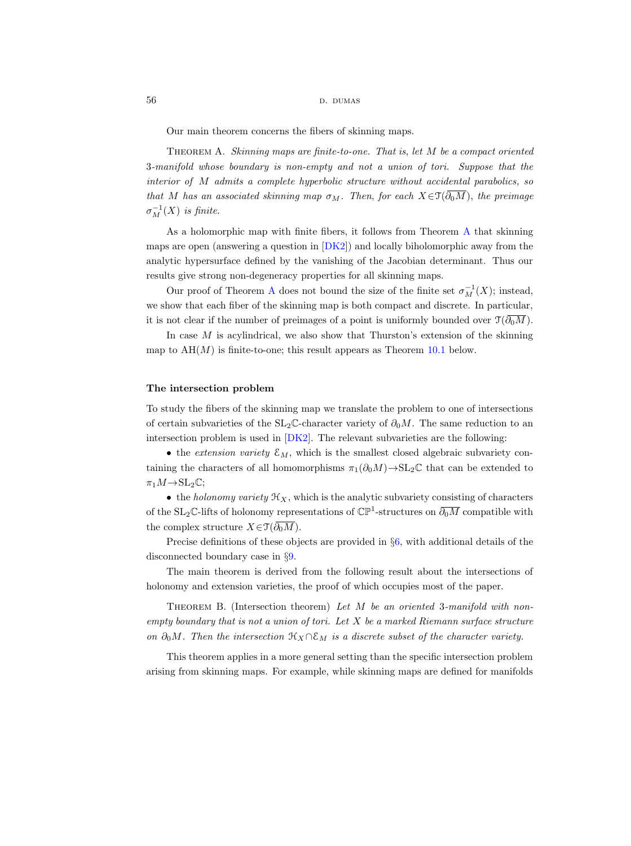56 d. DUMAS

Our main theorem concerns the fibers of skinning maps.

<span id="page-1-0"></span>Theorem A. Skinning maps are finite-to-one. That is, let M be a compact oriented 3-manifold whose boundary is non-empty and not a union of tori. Suppose that the interior of M admits a complete hyperbolic structure without accidental parabolics, so that M has an associated skinning map  $\sigma_M$ . Then, for each  $X\in \mathfrak{T}(\overline{\partial_0M})$ , the preimage  $\sigma_M^{-1}(X)$  is finite.

As a holomorphic map with finite fibers, it follows from Theorem [A](#page-1-0) that skinning maps are open (answering a question in [\[DK2\]](#page-69-0)) and locally biholomorphic away from the analytic hypersurface defined by the vanishing of the Jacobian determinant. Thus our results give strong non-degeneracy properties for all skinning maps.

Our proof of Theorem [A](#page-1-0) does not bound the size of the finite set  $\sigma_M^{-1}(X)$ ; instead, we show that each fiber of the skinning map is both compact and discrete. In particular, it is not clear if the number of preimages of a point is uniformly bounded over  $\mathfrak{T}(\overline{\partial_0 M})$ .

In case  $M$  is acylindrical, we also show that Thurston's extension of the skinning map to  $AH(M)$  is finite-to-one; this result appears as Theorem [10.1](#page-68-0) below.

## The intersection problem

To study the fibers of the skinning map we translate the problem to one of intersections of certain subvarieties of the SL<sub>2</sub>C-character variety of  $\partial_0 M$ . The same reduction to an intersection problem is used in [\[DK2\]](#page-69-0). The relevant subvarieties are the following:

• the extension variety  $\mathcal{E}_M$ , which is the smallest closed algebraic subvariety containing the characters of all homomorphisms  $\pi_1(\partial_0 M) \rightarrow SL_2\mathbb{C}$  that can be extended to  $\pi_1 M \rightarrow SL_2 \mathbb{C};$ 

• the holonomy variety  $\mathcal{H}_X$ , which is the analytic subvariety consisting of characters of the SL<sub>2</sub>C-lifts of holonomy representations of  $\mathbb{CP}^1$ -structures on  $\overline{\partial_0 M}$  compatible with the complex structure  $X\in \mathfrak{T}(\overline{\partial_0 M})$ .

Precise definitions of these objects are provided in §[6,](#page-44-0) with additional details of the disconnected boundary case in §[9.](#page-60-0)

The main theorem is derived from the following result about the intersections of holonomy and extension varieties, the proof of which occupies most of the paper.

<span id="page-1-1"></span>THEOREM B. (Intersection theorem) Let  $M$  be an oriented 3-manifold with non $empty$  boundary that is not a union of tori. Let  $X$  be a marked Riemann surface structure on  $\partial_0 M$ . Then the intersection  $\mathfrak{H}_X \cap \mathfrak{E}_M$  is a discrete subset of the character variety.

This theorem applies in a more general setting than the specific intersection problem arising from skinning maps. For example, while skinning maps are defined for manifolds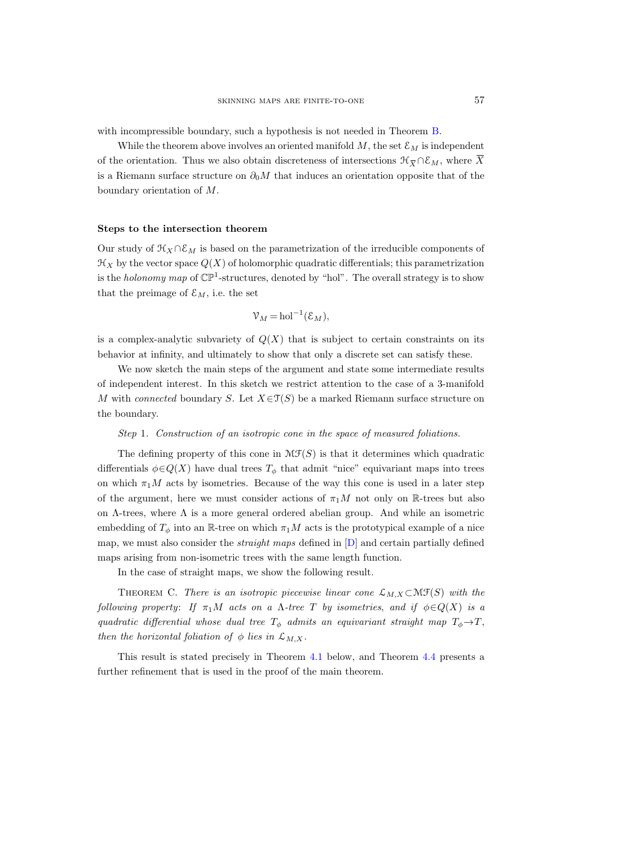with incompressible boundary, such a hypothesis is not needed in Theorem [B.](#page-1-1)

While the theorem above involves an oriented manifold  $M$ , the set  $\mathcal{E}_M$  is independent of the orientation. Thus we also obtain discreteness of intersections  $\mathcal{H}_{\overline{X}} \cap \mathcal{E}_M$ , where  $\overline{X}$ is a Riemann surface structure on  $\partial_0M$  that induces an orientation opposite that of the boundary orientation of M.

## Steps to the intersection theorem

Our study of  $\mathcal{H}_{X} \cap \mathcal{E}_{M}$  is based on the parametrization of the irreducible components of  $\mathcal{H}_X$  by the vector space  $Q(X)$  of holomorphic quadratic differentials; this parametrization is the *holonomy map* of  $\mathbb{CP}^1$ -structures, denoted by "hol". The overall strategy is to show that the preimage of  $\mathcal{E}_M$ , i.e. the set

$$
\mathcal{V}_M = \text{hol}^{-1}(\mathcal{E}_M),
$$

is a complex-analytic subvariety of  $Q(X)$  that is subject to certain constraints on its behavior at infinity, and ultimately to show that only a discrete set can satisfy these.

We now sketch the main steps of the argument and state some intermediate results of independent interest. In this sketch we restrict attention to the case of a 3-manifold M with connected boundary S. Let  $X \in \mathcal{T}(S)$  be a marked Riemann surface structure on the boundary.

## Step 1. Construction of an isotropic cone in the space of measured foliations.

The defining property of this cone in  $\mathcal{MF}(S)$  is that it determines which quadratic differentials  $\phi \in Q(X)$  have dual trees  $T_{\phi}$  that admit "nice" equivariant maps into trees on which  $\pi_1 M$  acts by isometries. Because of the way this cone is used in a later step of the argument, here we must consider actions of  $\pi_1 M$  not only on R-trees but also on  $\Lambda$ -trees, where  $\Lambda$  is a more general ordered abelian group. And while an isometric embedding of  $T_{\phi}$  into an R-tree on which  $\pi_1 M$  acts is the prototypical example of a nice map, we must also consider the *straight maps* defined in  $[D]$  and certain partially defined maps arising from non-isometric trees with the same length function.

In the case of straight maps, we show the following result.

<span id="page-2-0"></span>THEOREM C. There is an isotropic piecewise linear cone  $\mathcal{L}_{M,X} \subset \mathcal{MF}(S)$  with the following property: If  $\pi_1 M$  acts on a  $\Lambda$ -tree T by isometries, and if  $\phi \in Q(X)$  is a quadratic differential whose dual tree  $T_{\phi}$  admits an equivariant straight map  $T_{\phi} \rightarrow T$ , then the horizontal foliation of  $\phi$  lies in  $\mathcal{L}_{M,X}$ .

This result is stated precisely in Theorem [4.1](#page-23-0) below, and Theorem [4.4](#page-26-0) presents a further refinement that is used in the proof of the main theorem.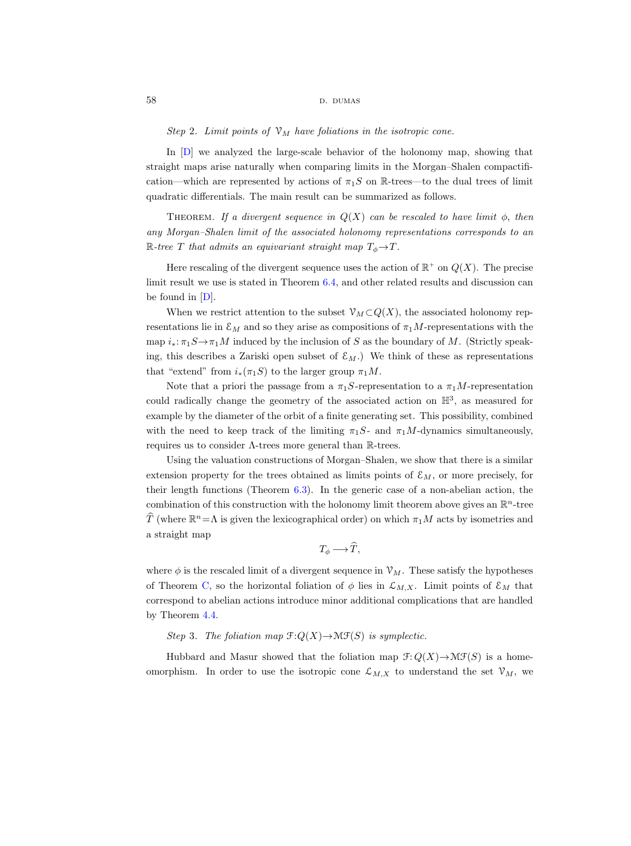Step 2. Limit points of  $\mathcal{V}_M$  have foliations in the isotropic cone.

In [\[D\]](#page-69-1) we analyzed the large-scale behavior of the holonomy map, showing that straight maps arise naturally when comparing limits in the Morgan–Shalen compactification—which are represented by actions of  $\pi_1S$  on R-trees—to the dual trees of limit quadratic differentials. The main result can be summarized as follows.

THEOREM. If a divergent sequence in  $Q(X)$  can be rescaled to have limit  $\phi$ , then any Morgan–Shalen limit of the associated holonomy representations corresponds to an R-tree T that admits an equivariant straight map  $T_{\phi} \rightarrow T$ .

Here rescaling of the divergent sequence uses the action of  $\mathbb{R}^+$  on  $Q(X)$ . The precise limit result we use is stated in Theorem [6.4,](#page-49-0) and other related results and discussion can be found in [\[D\]](#page-69-1).

When we restrict attention to the subset  $\mathcal{V}_M \subset Q(X)$ , the associated holonomy representations lie in  $\mathcal{E}_M$  and so they arise as compositions of  $\pi_1 M$ -representations with the map  $i_*: \pi_1S \to \pi_1M$  induced by the inclusion of S as the boundary of M. (Strictly speaking, this describes a Zariski open subset of  $\mathcal{E}_M$ .) We think of these as representations that "extend" from  $i_*(\pi_1S)$  to the larger group  $\pi_1M$ .

Note that a priori the passage from a  $\pi_1 S$ -representation to a  $\pi_1 M$ -representation could radically change the geometry of the associated action on  $\mathbb{H}^3$ , as measured for example by the diameter of the orbit of a finite generating set. This possibility, combined with the need to keep track of the limiting  $\pi_1S$ - and  $\pi_1M$ -dynamics simultaneously, requires us to consider Λ-trees more general than R-trees.

Using the valuation constructions of Morgan–Shalen, we show that there is a similar extension property for the trees obtained as limits points of  $\mathcal{E}_M$ , or more precisely, for their length functions (Theorem [6.3\)](#page-46-0). In the generic case of a non-abelian action, the combination of this construction with the holonomy limit theorem above gives an  $\mathbb{R}^n$ -tree  $\widehat{T}$  (where  $\mathbb{R}^n = \Lambda$  is given the lexicographical order) on which  $\pi_1M$  acts by isometries and a straight map

$$
T_{\phi}\longrightarrow \widehat{T},
$$

where  $\phi$  is the rescaled limit of a divergent sequence in  $\mathcal{V}_M$ . These satisfy the hypotheses of Theorem [C,](#page-2-0) so the horizontal foliation of  $\phi$  lies in  $\mathcal{L}_{M,X}$ . Limit points of  $\mathcal{E}_M$  that correspond to abelian actions introduce minor additional complications that are handled by Theorem [4.4.](#page-26-0)

Step 3. The foliation map  $\mathfrak{F}:Q(X) \to \mathcal{MF}(S)$  is symplectic.

Hubbard and Masur showed that the foliation map  $\mathfrak{F}: Q(X) \to \mathcal{MF}(S)$  is a homeomorphism. In order to use the isotropic cone  $\mathcal{L}_{M,X}$  to understand the set  $\mathcal{V}_M$ , we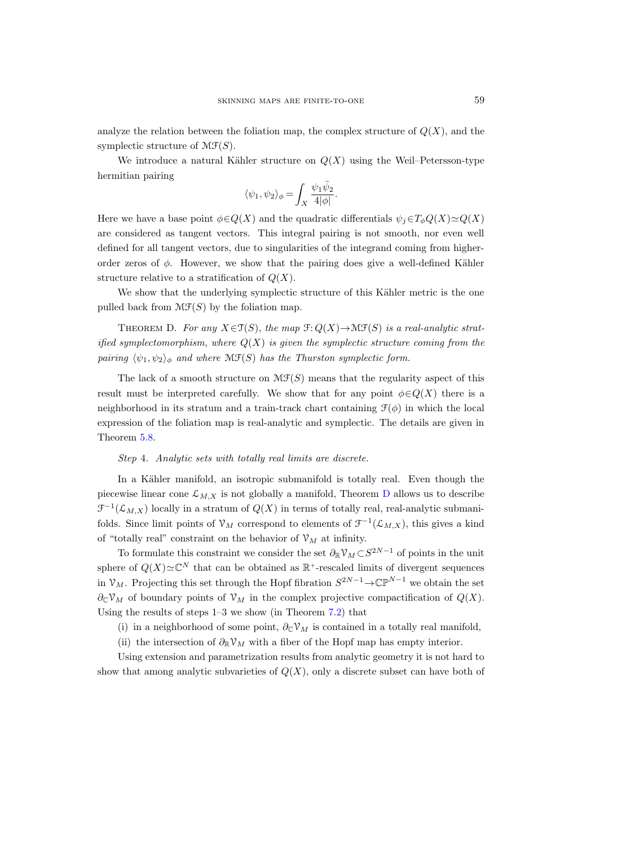analyze the relation between the foliation map, the complex structure of  $Q(X)$ , and the symplectic structure of  $\mathcal{MF}(S)$ .

We introduce a natural Kähler structure on  $Q(X)$  using the Weil–Petersson-type hermitian pairing

$$
\langle \psi_1, \psi_2 \rangle_{\phi} = \int_X \frac{\psi_1 \bar{\psi}_2}{4|\phi|}.
$$

Here we have a base point  $\phi \in Q(X)$  and the quadratic differentials  $\psi_i \in T_{\phi}Q(X) \simeq Q(X)$ are considered as tangent vectors. This integral pairing is not smooth, nor even well defined for all tangent vectors, due to singularities of the integrand coming from higherorder zeros of  $\phi$ . However, we show that the pairing does give a well-defined Kähler structure relative to a stratification of  $Q(X)$ .

We show that the underlying symplectic structure of this Kähler metric is the one pulled back from  $\mathcal{MF}(S)$  by the foliation map.

<span id="page-4-0"></span>THEOREM D. For any  $X \in \mathfrak{T}(S)$ , the map  $\mathfrak{F}: Q(X) \to \mathfrak{MF}(S)$  is a real-analytic stratified symplectomorphism, where  $Q(X)$  is given the symplectic structure coming from the pairing  $\langle \psi_1, \psi_2 \rangle_{\phi}$  and where M $\mathfrak{F}(S)$  has the Thurston symplectic form.

The lack of a smooth structure on  $\mathcal{MF}(S)$  means that the regularity aspect of this result must be interpreted carefully. We show that for any point  $\phi \in Q(X)$  there is a neighborhood in its stratum and a train-track chart containing  $\mathcal{F}(\phi)$  in which the local expression of the foliation map is real-analytic and symplectic. The details are given in Theorem [5.8.](#page-40-0)

#### Step 4. Analytic sets with totally real limits are discrete.

In a Kähler manifold, an isotropic submanifold is totally real. Even though the piecewise linear cone  $\mathcal{L}_{M,X}$  is not globally a manifold, Theorem [D](#page-4-0) allows us to describe  $\mathfrak{F}^{-1}(\mathcal{L}_{M,X})$  locally in a stratum of  $Q(X)$  in terms of totally real, real-analytic submanifolds. Since limit points of  $\mathcal{V}_M$  correspond to elements of  $\mathcal{F}^{-1}(\mathcal{L}_{M,X})$ , this gives a kind of "totally real" constraint on the behavior of  $\mathcal{V}_M$  at infinity.

To formulate this constraint we consider the set  $\partial_{\mathbb{R}} \mathcal{V}_M \subset S^{2N-1}$  of points in the unit sphere of  $Q(X) \simeq \mathbb{C}^N$  that can be obtained as  $\mathbb{R}^+$ -rescaled limits of divergent sequences in  $\mathcal{V}_M$ . Projecting this set through the Hopf fibration  $S^{2N-1} \to \mathbb{CP}^{N-1}$  we obtain the set  $\partial_{\mathbb{C}}\mathcal{V}_M$  of boundary points of  $\mathcal{V}_M$  in the complex projective compactification of  $Q(X)$ . Using the results of steps 1–3 we show (in Theorem [7.2\)](#page-52-0) that

- (i) in a neighborhood of some point,  $\partial_{\mathbb{C}} \mathcal{V}_M$  is contained in a totally real manifold,
- (ii) the intersection of  $\partial_{\mathbb{R}}V_M$  with a fiber of the Hopf map has empty interior.

Using extension and parametrization results from analytic geometry it is not hard to show that among analytic subvarieties of  $Q(X)$ , only a discrete subset can have both of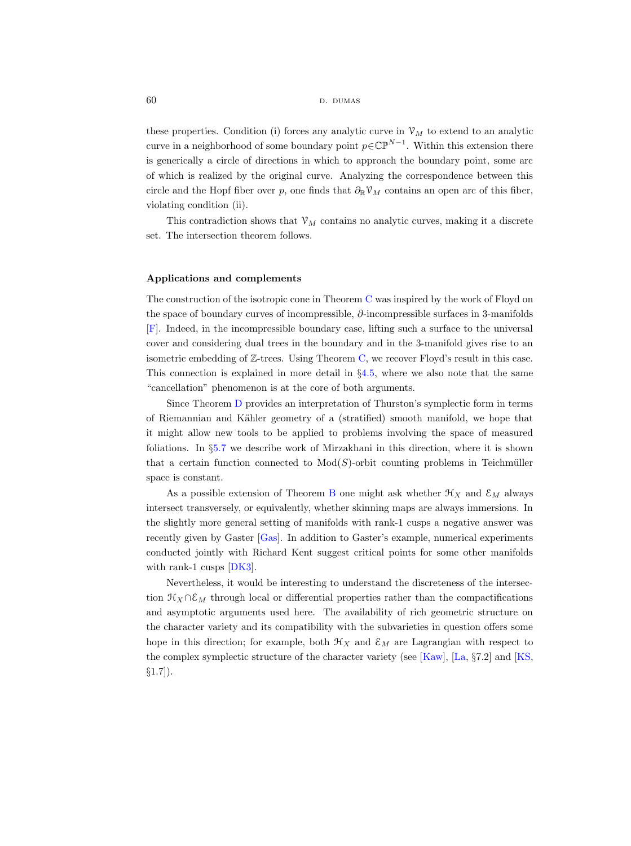#### 60 d. DUMAS

these properties. Condition (i) forces any analytic curve in  $\mathcal{V}_M$  to extend to an analytic curve in a neighborhood of some boundary point  $p \in \mathbb{CP}^{N-1}$ . Within this extension there is generically a circle of directions in which to approach the boundary point, some arc of which is realized by the original curve. Analyzing the correspondence between this circle and the Hopf fiber over p, one finds that  $\partial_{\mathbb{R}} V_M$  contains an open arc of this fiber, violating condition (ii).

This contradiction shows that  $\mathcal{V}_M$  contains no analytic curves, making it a discrete set. The intersection theorem follows.

#### Applications and complements

The construction of the isotropic cone in Theorem [C](#page-2-0) was inspired by the work of Floyd on the space of boundary curves of incompressible, ∂-incompressible surfaces in 3-manifolds [\[F\]](#page-69-2). Indeed, in the incompressible boundary case, lifting such a surface to the universal cover and considering dual trees in the boundary and in the 3-manifold gives rise to an isometric embedding of Z-trees. Using Theorem [C,](#page-2-0) we recover Floyd's result in this case. This connection is explained in more detail in  $\S4.5$ , where we also note that the same "cancellation" phenomenon is at the core of both arguments.

Since Theorem [D](#page-4-0) provides an interpretation of Thurston's symplectic form in terms of Riemannian and K¨ahler geometry of a (stratified) smooth manifold, we hope that it might allow new tools to be applied to problems involving the space of measured foliations. In §[5.7](#page-42-0) we describe work of Mirzakhani in this direction, where it is shown that a certain function connected to  $Mod(S)$ -orbit counting problems in Teichmüller space is constant.

As a possible extension of Theorem [B](#page-1-1) one might ask whether  $\mathcal{H}_X$  and  $\mathcal{E}_M$  always intersect transversely, or equivalently, whether skinning maps are always immersions. In the slightly more general setting of manifolds with rank-1 cusps a negative answer was recently given by Gaster [\[Gas\]](#page-70-3). In addition to Gaster's example, numerical experiments conducted jointly with Richard Kent suggest critical points for some other manifolds with rank-1 cusps [\[DK3\]](#page-69-3).

Nevertheless, it would be interesting to understand the discreteness of the intersection  $\mathcal{H}_X \cap \mathcal{E}_M$  through local or differential properties rather than the compactifications and asymptotic arguments used here. The availability of rich geometric structure on the character variety and its compatibility with the subvarieties in question offers some hope in this direction; for example, both  $\mathcal{H}_X$  and  $\mathcal{E}_M$  are Lagrangian with respect to the complex symplectic structure of the character variety (see [\[Kaw\]](#page-70-4), [\[La,](#page-70-5) §7.2] and [\[KS,](#page-70-6)  $\S1.7$ ).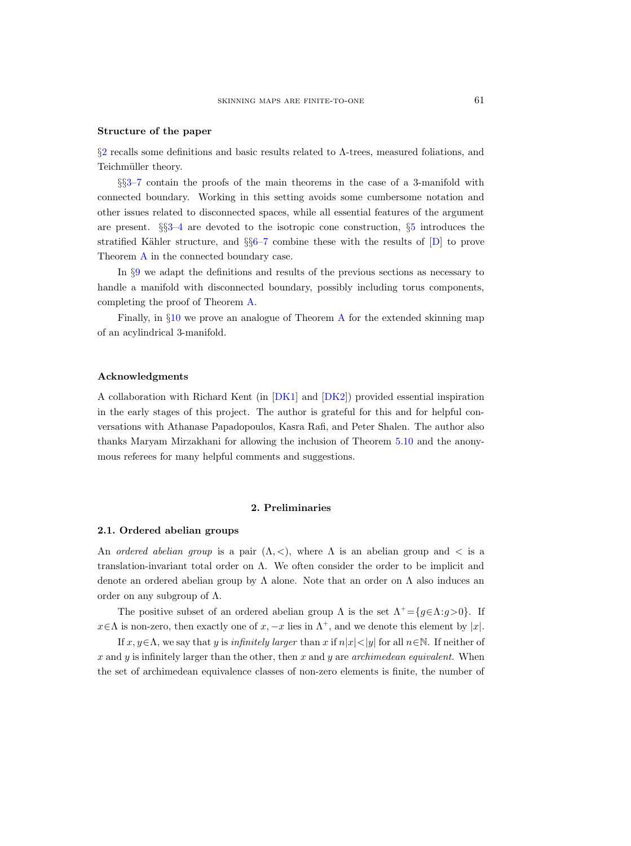## Structure of the paper

§[2](#page-6-0) recalls some definitions and basic results related to Λ-trees, measured foliations, and Teichmüller theory.

§§[3](#page-15-0)[–7](#page-50-0) contain the proofs of the main theorems in the case of a 3-manifold with connected boundary. Working in this setting avoids some cumbersome notation and other issues related to disconnected spaces, while all essential features of the argument are present. §§[3–](#page-15-0)[4](#page-22-0) are devoted to the isotropic cone construction, §[5](#page-31-0) introduces the stratified Kähler structure, and  $\S6-7$  $\S6-7$  $\S6-7$  combine these with the results of  $[D]$  to prove Theorem [A](#page-1-0) in the connected boundary case.

In §[9](#page-60-0) we adapt the definitions and results of the previous sections as necessary to handle a manifold with disconnected boundary, possibly including torus components, completing the proof of Theorem [A.](#page-1-0)

Finally, in §[10](#page-67-0) we prove an analogue of Theorem [A](#page-1-0) for the extended skinning map of an acylindrical 3-manifold.

## Acknowledgments

A collaboration with Richard Kent (in [\[DK1\]](#page-69-4) and [\[DK2\]](#page-69-0)) provided essential inspiration in the early stages of this project. The author is grateful for this and for helpful conversations with Athanase Papadopoulos, Kasra Rafi, and Peter Shalen. The author also thanks Maryam Mirzakhani for allowing the inclusion of Theorem [5.10](#page-42-1) and the anonymous referees for many helpful comments and suggestions.

#### 2. Preliminaries

#### <span id="page-6-0"></span>2.1. Ordered abelian groups

An ordered abelian group is a pair  $(\Lambda, <)$ , where  $\Lambda$  is an abelian group and  $<$  is a translation-invariant total order on  $\Lambda$ . We often consider the order to be implicit and denote an ordered abelian group by  $\Lambda$  alone. Note that an order on  $\Lambda$  also induces an order on any subgroup of  $\Lambda$ .

The positive subset of an ordered abelian group  $\Lambda$  is the set  $\Lambda^+ = \{g \in \Lambda : g > 0\}$ . If  $x \in \Lambda$  is non-zero, then exactly one of  $x, -x$  lies in  $\Lambda^+$ , and we denote this element by  $|x|$ .

If  $x, y \in \Lambda$ , we say that y is infinitely larger than x if  $n|x| < |y|$  for all  $n \in \mathbb{N}$ . If neither of x and y is infinitely larger than the other, then x and y are *archimedean equivalent*. When the set of archimedean equivalence classes of non-zero elements is finite, the number of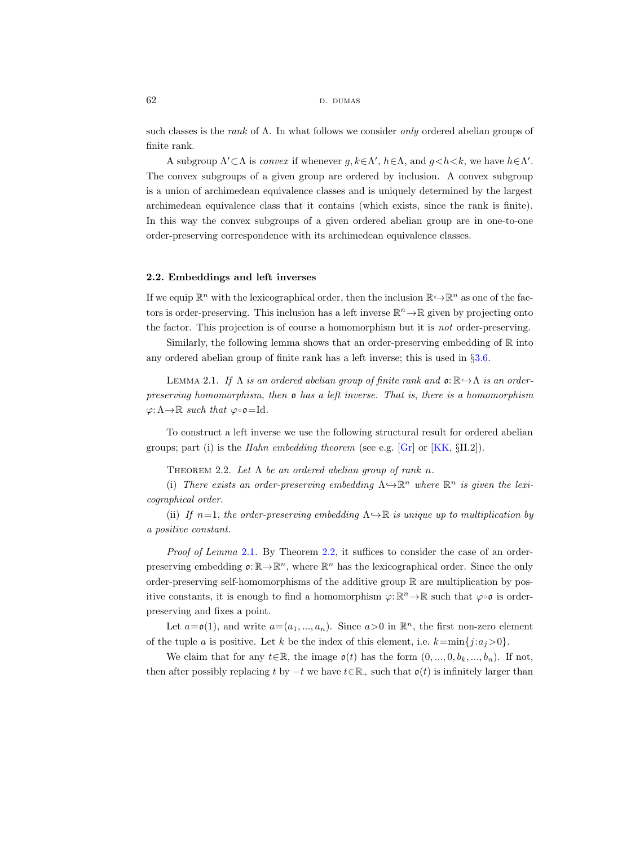such classes is the rank of  $\Lambda$ . In what follows we consider only ordered abelian groups of finite rank.

A subgroup  $\Lambda' \subset \Lambda$  is *convex* if whenever  $g, k \in \Lambda', h \in \Lambda$ , and  $g \langle k \rangle, w$  have  $h \in \Lambda'$ . The convex subgroups of a given group are ordered by inclusion. A convex subgroup is a union of archimedean equivalence classes and is uniquely determined by the largest archimedean equivalence class that it contains (which exists, since the rank is finite). In this way the convex subgroups of a given ordered abelian group are in one-to-one order-preserving correspondence with its archimedean equivalence classes.

## 2.2. Embeddings and left inverses

If we equip  $\mathbb{R}^n$  with the lexicographical order, then the inclusion  $\mathbb{R} \rightarrow \mathbb{R}^n$  as one of the factors is order-preserving. This inclusion has a left inverse  $\mathbb{R}^n \to \mathbb{R}$  given by projecting onto the factor. This projection is of course a homomorphism but it is not order-preserving.

Similarly, the following lemma shows that an order-preserving embedding of  $\mathbb R$  into any ordered abelian group of finite rank has a left inverse; this is used in §[3.6.](#page-21-0)

<span id="page-7-0"></span>LEMMA 2.1. If  $\Lambda$  is an ordered abelian group of finite rank and  $\mathfrak{o}: \mathbb{R} \rightarrow \Lambda$  is an orderpreserving homomorphism, then  $\mathfrak o$  has a left inverse. That is, there is a homomorphism  $\varphi: \Lambda \to \mathbb{R}$  such that  $\varphi \circ \mathfrak{o} = \mathrm{Id}.$ 

To construct a left inverse we use the following structural result for ordered abelian groups; part (i) is the *Hahn embedding theorem* (see e.g.  $[Gr]$  or  $[KK, \S II.2]$ ).

THEOREM 2.2. Let  $\Lambda$  be an ordered abelian group of rank n.

<span id="page-7-1"></span>(i) There exists an order-preserving embedding  $\Lambda \hookrightarrow \mathbb{R}^n$  where  $\mathbb{R}^n$  is given the lexicographical order.

(ii) If n=1, the order-preserving embedding  $\Lambda \rightarrow \mathbb{R}$  is unique up to multiplication by a positive constant.

Proof of Lemma [2.1](#page-7-0). By Theorem [2.2,](#page-7-1) it suffices to consider the case of an orderpreserving embedding  $\mathfrak{o} : \mathbb{R} \to \mathbb{R}^n$ , where  $\mathbb{R}^n$  has the lexicographical order. Since the only order-preserving self-homomorphisms of the additive group  $\mathbb R$  are multiplication by positive constants, it is enough to find a homomorphism  $\varphi: \mathbb{R}^n \to \mathbb{R}$  such that  $\varphi \circ \mathfrak{o}$  is orderpreserving and fixes a point.

Let  $a = \mathfrak{o}(1)$ , and write  $a = (a_1, ..., a_n)$ . Since  $a > 0$  in  $\mathbb{R}^n$ , the first non-zero element of the tuple a is positive. Let k be the index of this element, i.e.  $k = \min\{j : a_j > 0\}$ .

We claim that for any  $t \in \mathbb{R}$ , the image  $\mathfrak{o}(t)$  has the form  $(0, ..., 0, b_k, ..., b_n)$ . If not, then after possibly replacing t by  $-t$  we have  $t \in \mathbb{R}_+$  such that  $\mathfrak{o}(t)$  is infinitely larger than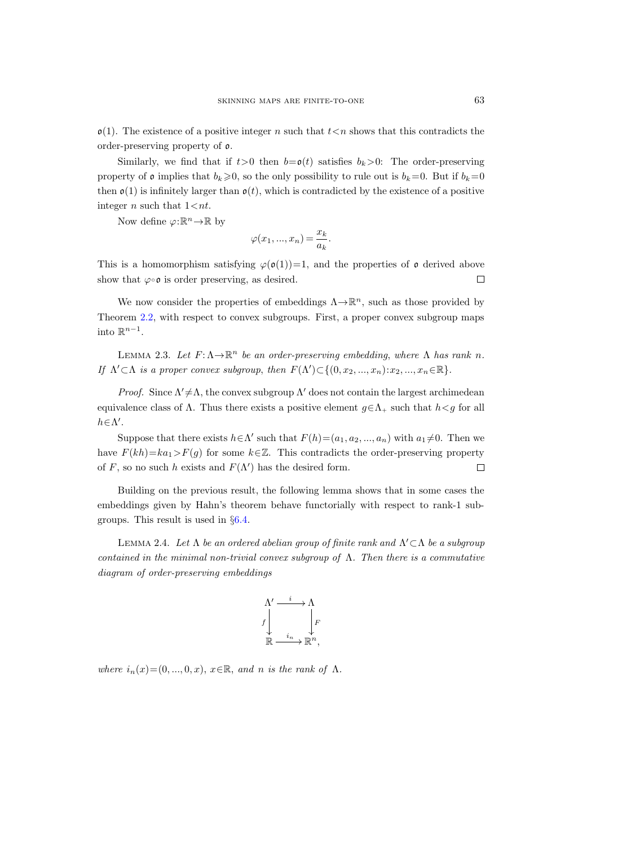$\mathfrak{o}(1)$ . The existence of a positive integer n such that  $t \leq n$  shows that this contradicts the order-preserving property of o.

Similarly, we find that if  $t>0$  then  $b=\mathfrak{o}(t)$  satisfies  $b_k>0$ : The order-preserving property of  $\mathfrak o$  implies that  $b_k\geqslant 0$ , so the only possibility to rule out is  $b_k=0$ . But if  $b_k=0$ then  $\mathfrak{o}(1)$  is infinitely larger than  $\mathfrak{o}(t)$ , which is contradicted by the existence of a positive integer *n* such that  $1 \leq nt$ .

Now define  $\varphi : \mathbb{R}^n \to \mathbb{R}$  by

$$
\varphi(x_1, ..., x_n) = \frac{x_k}{a_k}.
$$

This is a homomorphism satisfying  $\varphi(\mathfrak{o}(1))=1$ , and the properties of  $\mathfrak{o}$  derived above show that  $\varphi \circ \mathfrak{o}$  is order preserving, as desired.  $\Box$ 

We now consider the properties of embeddings  $\Lambda \to \mathbb{R}^n$ , such as those provided by Theorem [2.2,](#page-7-1) with respect to convex subgroups. First, a proper convex subgroup maps into  $\mathbb{R}^{n-1}$ .

<span id="page-8-0"></span>LEMMA 2.3. Let  $F: \Lambda \to \mathbb{R}^n$  be an order-preserving embedding, where  $\Lambda$  has rank n. If  $\Lambda' \subset \Lambda$  is a proper convex subgroup, then  $F(\Lambda') \subset \{(0, x_2, ..., x_n): x_2, ..., x_n \in \mathbb{R}\}.$ 

*Proof.* Since  $\Lambda' \neq \Lambda$ , the convex subgroup  $\Lambda'$  does not contain the largest archimedean equivalence class of  $\Lambda$ . Thus there exists a positive element  $g \in \Lambda_+$  such that  $h < g$  for all  $h \in \Lambda'.$ 

Suppose that there exists  $h \in \Lambda'$  such that  $F(h)=(a_1, a_2, ..., a_n)$  with  $a_1 \neq 0$ . Then we have  $F(kh)=ka_1>F(g)$  for some  $k\in\mathbb{Z}$ . This contradicts the order-preserving property of F, so no such h exists and  $F(\Lambda')$  has the desired form.  $\Box$ 

Building on the previous result, the following lemma shows that in some cases the embeddings given by Hahn's theorem behave functorially with respect to rank-1 subgroups. This result is used in §[6.4.](#page-46-1)

LEMMA 2.4. Let  $\Lambda$  be an ordered abelian group of finite rank and  $\Lambda' \subset \Lambda$  be a subgroup contained in the minimal non-trivial convex subgroup of  $\Lambda$ . Then there is a commutative diagram of order-preserving embeddings



where  $i_n(x)=(0, ..., 0, x), x \in \mathbb{R}$ , and n is the rank of  $\Lambda$ .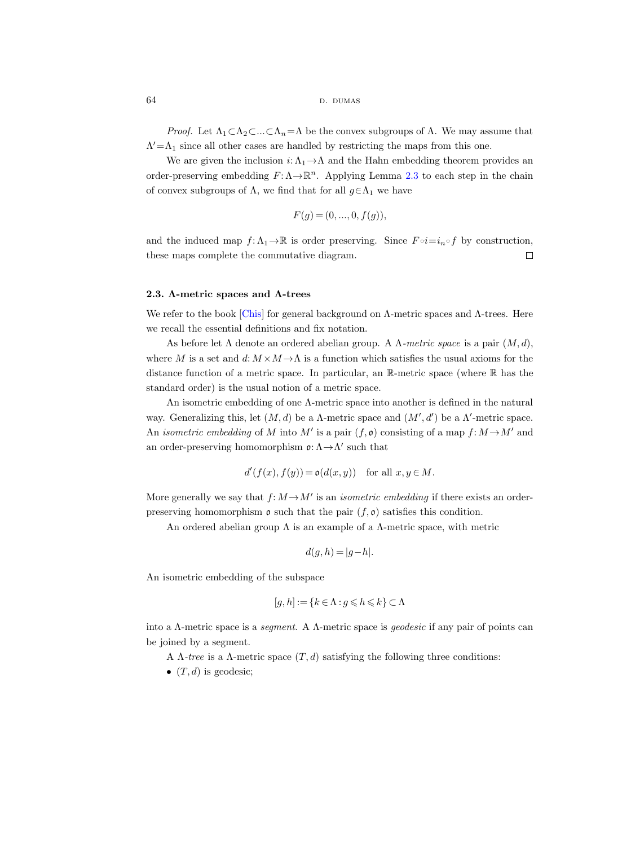*Proof.* Let  $\Lambda_1 \subset \Lambda_2 \subset \ldots \subset \Lambda_n = \Lambda$  be the convex subgroups of  $\Lambda$ . We may assume that  $\Lambda' = \Lambda_1$  since all other cases are handled by restricting the maps from this one.

We are given the inclusion  $i: \Lambda_1 \to \Lambda$  and the Hahn embedding theorem provides an order-preserving embedding  $F: \Lambda \to \mathbb{R}^n$ . Applying Lemma [2.3](#page-8-0) to each step in the chain of convex subgroups of  $\Lambda$ , we find that for all  $q \in \Lambda_1$  we have

$$
F(g) = (0, ..., 0, f(g)),
$$

and the induced map  $f: \Lambda_1 \to \mathbb{R}$  is order preserving. Since  $F \circ i = i_n \circ f$  by construction, these maps complete the commutative diagram.  $\Box$ 

## <span id="page-9-0"></span>2.3. Λ-metric spaces and Λ-trees

We refer to the book [\[Chis\]](#page-69-5) for general background on Λ-metric spaces and Λ-trees. Here we recall the essential definitions and fix notation.

As before let  $\Lambda$  denote an ordered abelian group. A  $\Lambda$ -metric space is a pair  $(M, d)$ , where M is a set and  $d: M \times M \to \Lambda$  is a function which satisfies the usual axioms for the distance function of a metric space. In particular, an R-metric space (where R has the standard order) is the usual notion of a metric space.

An isometric embedding of one Λ-metric space into another is defined in the natural way. Generalizing this, let  $(M, d)$  be a  $\Lambda$ -metric space and  $(M', d')$  be a  $\Lambda'$ -metric space. An *isometric embedding* of M into M' is a pair  $(f, \mathfrak{o})$  consisting of a map  $f: M \rightarrow M'$  and an order-preserving homomorphism  $\mathfrak{o}: \Lambda \rightarrow \Lambda'$  such that

$$
d'(f(x), f(y)) = \mathfrak{o}(d(x, y)) \quad \text{for all } x, y \in M.
$$

More generally we say that  $f: M \to M'$  is an *isometric embedding* if there exists an orderpreserving homomorphism  $\mathfrak o$  such that the pair  $(f, \mathfrak o)$  satisfies this condition.

An ordered abelian group  $\Lambda$  is an example of a  $\Lambda$ -metric space, with metric

$$
d(g, h) = |g - h|.
$$

An isometric embedding of the subspace

$$
[g, h] := \{ k \in \Lambda : g \leqslant h \leqslant k \} \subset \Lambda
$$

into a Λ-metric space is a *segment*. A Λ-metric space is *geodesic* if any pair of points can be joined by a segment.

A  $\Lambda$ -tree is a  $\Lambda$ -metric space  $(T, d)$  satisfying the following three conditions:

•  $(T, d)$  is geodesic;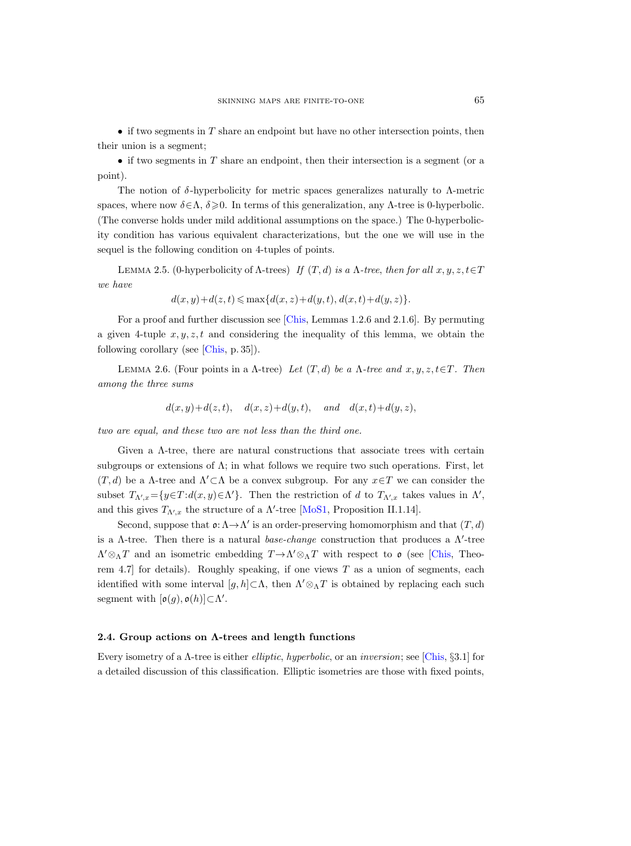$\bullet$  if two segments in T share an endpoint but have no other intersection points, then their union is a segment;

• if two segments in  $T$  share an endpoint, then their intersection is a segment (or a point).

The notion of  $\delta$ -hyperbolicity for metric spaces generalizes naturally to  $\Lambda$ -metric spaces, where now  $\delta \in \Lambda$ ,  $\delta \geq 0$ . In terms of this generalization, any  $\Lambda$ -tree is 0-hyperbolic. (The converse holds under mild additional assumptions on the space.) The 0-hyperbolicity condition has various equivalent characterizations, but the one we will use in the sequel is the following condition on 4-tuples of points.

LEMMA 2.5. (0-hyperbolicity of  $\Lambda$ -trees) If  $(T, d)$  is a  $\Lambda$ -tree, then for all  $x, y, z, t \in T$ we have

$$
d(x, y) + d(z, t) \le \max\{d(x, z) + d(y, t), d(x, t) + d(y, z)\}.
$$

For a proof and further discussion see [\[Chis,](#page-69-5) Lemmas 1.2.6 and 2.1.6]. By permuting a given 4-tuple  $x, y, z, t$  and considering the inequality of this lemma, we obtain the following corollary (see [\[Chis,](#page-69-5) p. 35]).

<span id="page-10-0"></span>LEMMA 2.6. (Four points in a  $\Lambda$ -tree) Let  $(T, d)$  be a  $\Lambda$ -tree and  $x, y, z, t \in T$ . Then among the three sums

$$
d(x,y)+d(z,t), \quad d(x,z)+d(y,t), \quad and \quad d(x,t)+d(y,z),
$$

two are equal, and these two are not less than the third one.

Given a Λ-tree, there are natural constructions that associate trees with certain subgroups or extensions of  $\Lambda$ ; in what follows we require two such operations. First, let  $(T, d)$  be a Λ-tree and  $\Lambda' \subset \Lambda$  be a convex subgroup. For any  $x \in T$  we can consider the subset  $T_{\Lambda',x} = \{y \in T : d(x,y) \in \Lambda'\}.$  Then the restriction of d to  $T_{\Lambda',x}$  takes values in  $\Lambda'$ , and this gives  $T_{\Lambda',x}$  the structure of a  $\Lambda'$ -tree [\[MoS1,](#page-70-9) Proposition II.1.14].

Second, suppose that  $\mathfrak{o}: \Lambda \to \Lambda'$  is an order-preserving homomorphism and that  $(T, d)$ is a  $\Lambda$ -tree. Then there is a natural *base-change* construction that produces a  $\Lambda'$ -tree  $Λ' \otimes<sub>Λ</sub> T$  and an isometric embedding  $T \rightarrow Λ' \otimes<sub>Λ</sub> T$  with respect to  $\mathfrak{o}$  (see [\[Chis,](#page-69-5) Theorem 4.7] for details). Roughly speaking, if one views T as a union of segments, each identified with some interval  $[g, h] \subset \Lambda$ , then  $\Lambda' \otimes_{\Lambda} T$  is obtained by replacing each such segment with  $[\mathfrak{o}(g), \mathfrak{o}(h)] \subset \Lambda'.$ 

#### 2.4. Group actions on Λ-trees and length functions

Every isometry of a Λ-tree is either elliptic, hyperbolic, or an inversion; see [\[Chis,](#page-69-5) §3.1] for a detailed discussion of this classification. Elliptic isometries are those with fixed points,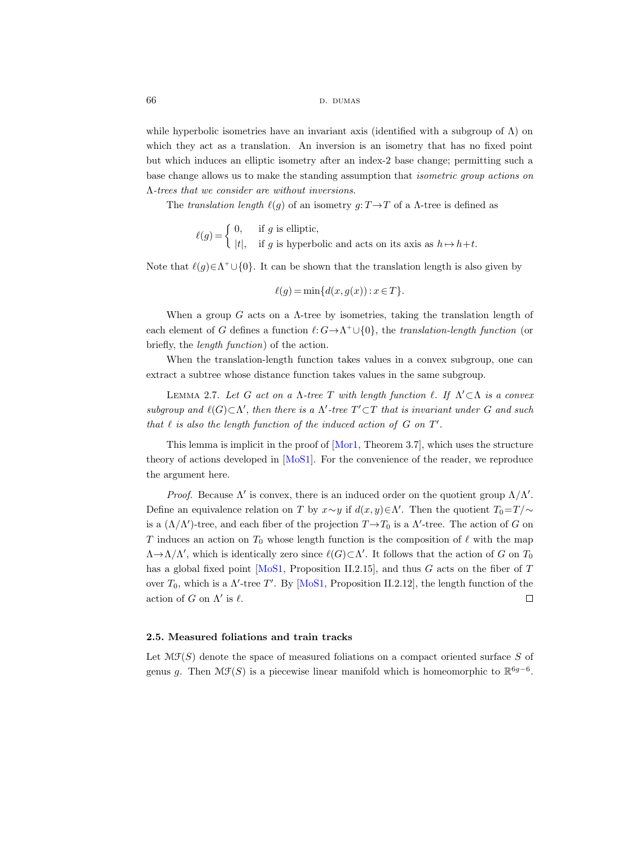while hyperbolic isometries have an invariant axis (identified with a subgroup of  $\Lambda$ ) on which they act as a translation. An inversion is an isometry that has no fixed point but which induces an elliptic isometry after an index-2 base change; permitting such a base change allows us to make the standing assumption that isometric group actions on Λ-trees that we consider are without inversions.

The translation length  $\ell(q)$  of an isometry  $q: T \to T$  of a  $\Lambda$ -tree is defined as

$$
\ell(g) = \begin{cases} 0, & \text{if } g \text{ is elliptic,} \\ |t|, & \text{if } g \text{ is hyperbolic and acts on its axis as } h \mapsto h + t. \end{cases}
$$

Note that  $\ell(g) \in \Lambda^+ \cup \{0\}$ . It can be shown that the translation length is also given by

$$
\ell(g) = \min\{d(x, g(x)) : x \in T\}.
$$

When a group G acts on a  $\Lambda$ -tree by isometries, taking the translation length of each element of G defines a function  $\ell: G \to \Lambda^+ \cup \{0\}$ , the translation-length function (or briefly, the length function) of the action.

When the translation-length function takes values in a convex subgroup, one can extract a subtree whose distance function takes values in the same subgroup.

LEMMA 2.7. Let G act on a  $\Lambda$ -tree T with length function  $\ell$ . If  $\Lambda' \subset \Lambda$  is a convex subgroup and  $\ell(G) \subset \Lambda'$ , then there is a  $\Lambda'$ -tree  $T' \subset T$  that is invariant under G and such that  $\ell$  is also the length function of the induced action of  $G$  on  $T'$ .

This lemma is implicit in the proof of [\[Mor1,](#page-70-10) Theorem 3.7], which uses the structure theory of actions developed in [\[MoS1\]](#page-70-9). For the convenience of the reader, we reproduce the argument here.

*Proof.* Because  $\Lambda'$  is convex, there is an induced order on the quotient group  $\Lambda/\Lambda'$ . Define an equivalence relation on T by  $x \sim y$  if  $d(x, y) \in \Lambda'$ . Then the quotient  $T_0 = T/\sim$ is a  $(\Lambda/\Lambda')$ -tree, and each fiber of the projection  $T\rightarrow T_0$  is a  $\Lambda'$ -tree. The action of G on T induces an action on  $T_0$  whose length function is the composition of  $\ell$  with the map  $\Lambda \to \Lambda/\Lambda'$ , which is identically zero since  $\ell(G) \subset \Lambda'$ . It follows that the action of G on  $T_0$ has a global fixed point  $[MoS1, Proposition II.2.15]$ , and thus G acts on the fiber of T over  $T_0$ , which is a  $\Lambda'$ -tree T'. By [\[MoS1,](#page-70-9) Proposition II.2.12], the length function of the action of G on  $\Lambda'$  is  $\ell$ .  $\Box$ 

### 2.5. Measured foliations and train tracks

Let  $\mathcal{MF}(S)$  denote the space of measured foliations on a compact oriented surface S of genus g. Then  $\mathcal{MF}(S)$  is a piecewise linear manifold which is homeomorphic to  $\mathbb{R}^{6g-6}$ .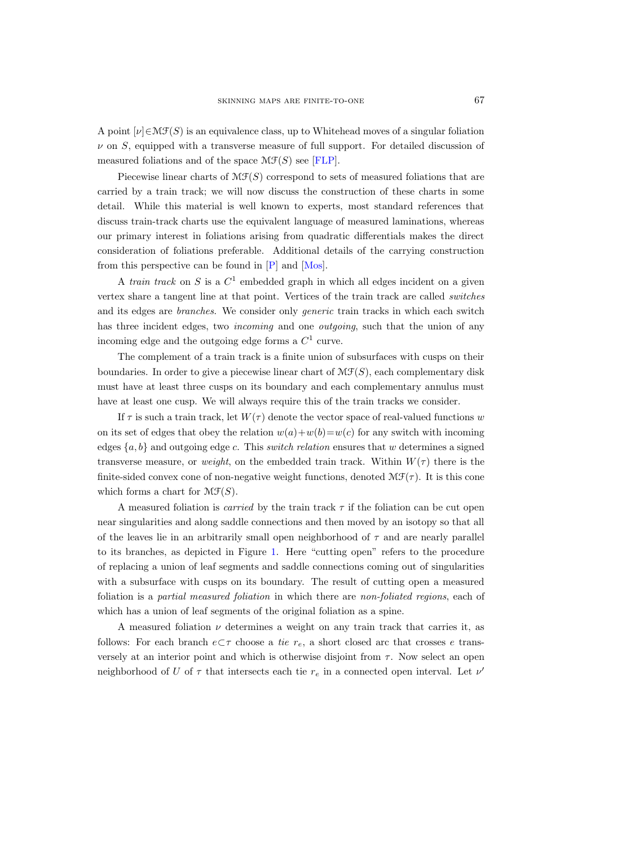A point  $[\nu] \in \mathcal{MF}(S)$  is an equivalence class, up to Whitehead moves of a singular foliation  $\nu$  on S, equipped with a transverse measure of full support. For detailed discussion of measured foliations and of the space  $\mathcal{MF}(S)$  see [\[FLP\]](#page-69-6).

Piecewise linear charts of  $Mf(S)$  correspond to sets of measured foliations that are carried by a train track; we will now discuss the construction of these charts in some detail. While this material is well known to experts, most standard references that discuss train-track charts use the equivalent language of measured laminations, whereas our primary interest in foliations arising from quadratic differentials makes the direct consideration of foliations preferable. Additional details of the carrying construction from this perspective can be found in  $[P]$  and  $[M \circ s]$ .

A *train track* on  $S$  is a  $C<sup>1</sup>$  embedded graph in which all edges incident on a given vertex share a tangent line at that point. Vertices of the train track are called switches and its edges are branches. We consider only generic train tracks in which each switch has three incident edges, two *incoming* and one *outgoing*, such that the union of any incoming edge and the outgoing edge forms a  $C<sup>1</sup>$  curve.

The complement of a train track is a finite union of subsurfaces with cusps on their boundaries. In order to give a piecewise linear chart of  $\mathcal{MF}(S)$ , each complementary disk must have at least three cusps on its boundary and each complementary annulus must have at least one cusp. We will always require this of the train tracks we consider.

If  $\tau$  is such a train track, let  $W(\tau)$  denote the vector space of real-valued functions w on its set of edges that obey the relation  $w(a)+w(b)=w(c)$  for any switch with incoming edges  $\{a, b\}$  and outgoing edge c. This *switch relation* ensures that w determines a signed transverse measure, or *weight*, on the embedded train track. Within  $W(\tau)$  there is the finite-sided convex cone of non-negative weight functions, denoted  $\mathcal{MF}(\tau)$ . It is this cone which forms a chart for  $\mathcal{MF}(S)$ .

A measured foliation is *carried* by the train track  $\tau$  if the foliation can be cut open near singularities and along saddle connections and then moved by an isotopy so that all of the leaves lie in an arbitrarily small open neighborhood of  $\tau$  and are nearly parallel to its branches, as depicted in Figure [1.](#page-13-0) Here "cutting open" refers to the procedure of replacing a union of leaf segments and saddle connections coming out of singularities with a subsurface with cusps on its boundary. The result of cutting open a measured foliation is a partial measured foliation in which there are non-foliated regions, each of which has a union of leaf segments of the original foliation as a spine.

A measured foliation  $\nu$  determines a weight on any train track that carries it, as follows: For each branch  $e \subset \tau$  choose a tie  $r_e$ , a short closed arc that crosses e transversely at an interior point and which is otherwise disjoint from  $\tau$ . Now select an open neighborhood of U of  $\tau$  that intersects each tie  $r_e$  in a connected open interval. Let  $\nu'$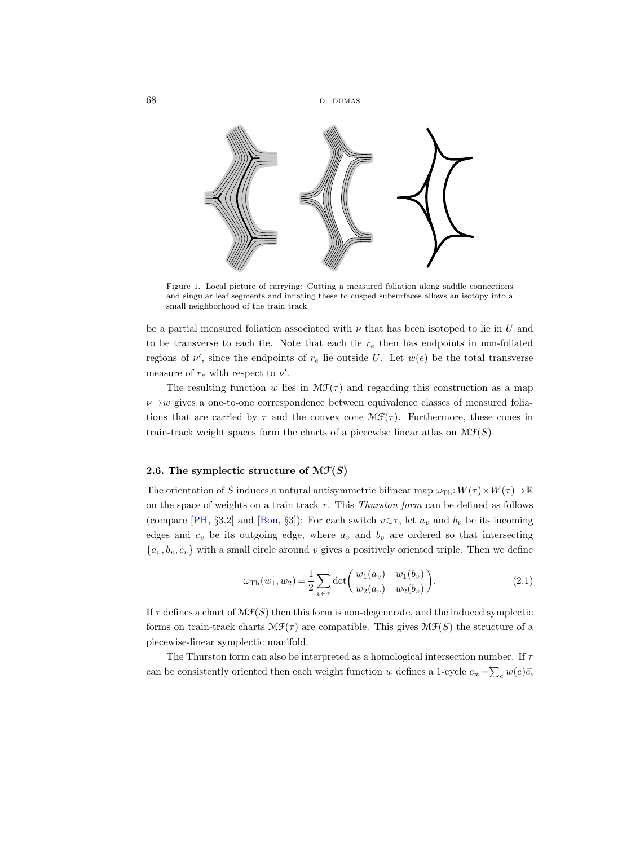



<span id="page-13-0"></span>Figure 1. Local picture of carrying: Cutting a measured foliation along saddle connections and singular leaf segments and inflating these to cusped subsurfaces allows an isotopy into a small neighborhood of the train track.

be a partial measured foliation associated with  $\nu$  that has been isotoped to lie in U and to be transverse to each tie. Note that each tie  $r_e$  then has endpoints in non-foliated regions of  $\nu'$ , since the endpoints of  $r_e$  lie outside U. Let  $w(e)$  be the total transverse measure of  $r_e$  with respect to  $\nu'$ .

The resulting function w lies in  $Mf(\tau)$  and regarding this construction as a map  $\nu \mapsto w$  gives a one-to-one correspondence between equivalence classes of measured foliations that are carried by  $\tau$  and the convex cone  $\mathcal{MF}(\tau)$ . Furthermore, these cones in train-track weight spaces form the charts of a piecewise linear atlas on  $\mathcal{MF}(S)$ .

## 2.6. The symplectic structure of  $\mathcal{MF}(S)$

The orientation of S induces a natural antisymmetric bilinear map  $\omega_{\text{Th}}: W(\tau) \times W(\tau) \to \mathbb{R}$ on the space of weights on a train track  $\tau$ . This *Thurston form* can be defined as follows (compare [\[PH,](#page-71-3) §3.2] and [\[Bon,](#page-69-7) §3]): For each switch  $v \in \tau$ , let  $a_v$  and  $b_v$  be its incoming edges and  $c_v$  be its outgoing edge, where  $a_v$  and  $b_v$  are ordered so that intersecting  ${a_v, b_v, c_v}$  with a small circle around v gives a positively oriented triple. Then we define

<span id="page-13-1"></span>
$$
\omega_{\text{Th}}(w_1, w_2) = \frac{1}{2} \sum_{v \in \tau} \det \begin{pmatrix} w_1(a_v) & w_1(b_v) \\ w_2(a_v) & w_2(b_v) \end{pmatrix} . \tag{2.1}
$$

If  $\tau$  defines a chart of  $\mathcal{MF}(S)$  then this form is non-degenerate, and the induced symplectic forms on train-track charts  $\mathcal{MF}(\tau)$  are compatible. This gives  $\mathcal{MF}(S)$  the structure of a piecewise-linear symplectic manifold.

The Thurston form can also be interpreted as a homological intersection number. If  $\tau$ can be consistently oriented then each weight function w defines a 1-cycle  $c_w = \sum_e w(e)\vec{e}$ ,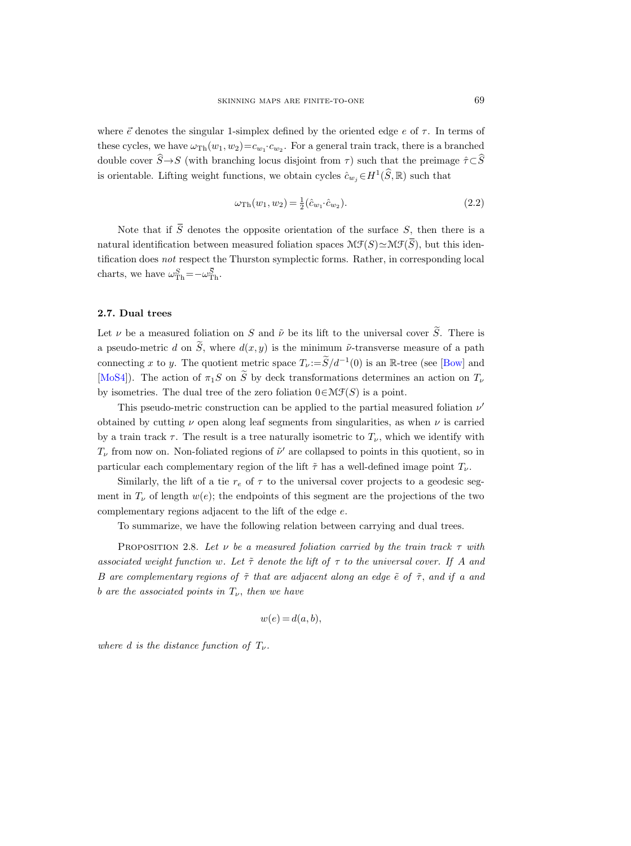where  $\vec{e}$  denotes the singular 1-simplex defined by the oriented edge e of  $\tau$ . In terms of these cycles, we have  $\omega_{\text{Th}}(w_1, w_2) = c_{w_1} \cdot c_{w_2}$ . For a general train track, there is a branched double cover  $\widehat{S} \rightarrow S$  (with branching locus disjoint from  $\tau$ ) such that the preimage  $\widehat{\tau} \subset \widehat{S}$ is orientable. Lifting weight functions, we obtain cycles  $\hat{c}_{w_j} \in H^1(\widehat{S}, \mathbb{R})$  such that

$$
\omega_{\text{Th}}(w_1, w_2) = \frac{1}{2} (\hat{c}_{w_1} \cdot \hat{c}_{w_2}). \tag{2.2}
$$

Note that if  $\overline{S}$  denotes the opposite orientation of the surface  $S$ , then there is a natural identification between measured foliation spaces  $\mathcal{MF}(S) \simeq \mathcal{MF}(\overline{S})$ , but this identification does not respect the Thurston symplectic forms. Rather, in corresponding local charts, we have  $\omega_{\text{Th}}^S = -\omega_{\text{Th}}^{\bar{S}}$ .

## <span id="page-14-0"></span>2.7. Dual trees

Let  $\nu$  be a measured foliation on S and  $\tilde{\nu}$  be its lift to the universal cover  $\tilde{S}$ . There is a pseudo-metric d on  $\widetilde{S}$ , where  $d(x, y)$  is the minimum  $\widetilde{\nu}$ -transverse measure of a path connecting x to y. The quotient metric space  $T_{\nu} := \widetilde{S}/d^{-1}(0)$  is an R-tree (see [\[Bow\]](#page-69-8) and [\[MoS4\]](#page-71-4)). The action of  $\pi_1S$  on  $\widetilde{S}$  by deck transformations determines an action on  $T_\nu$ by isometries. The dual tree of the zero foliation  $0 \in \mathcal{MF}(S)$  is a point.

This pseudo-metric construction can be applied to the partial measured foliation  $\nu'$ obtained by cutting  $\nu$  open along leaf segments from singularities, as when  $\nu$  is carried by a train track  $\tau$ . The result is a tree naturally isometric to  $T_{\nu}$ , which we identify with  $T_{\nu}$  from now on. Non-foliated regions of  $\tilde{\nu}'$  are collapsed to points in this quotient, so in particular each complementary region of the lift  $\tilde{\tau}$  has a well-defined image point  $T_{\nu}$ .

Similarly, the lift of a tie  $r_e$  of  $\tau$  to the universal cover projects to a geodesic segment in  $T_{\nu}$  of length  $w(e)$ ; the endpoints of this segment are the projections of the two complementary regions adjacent to the lift of the edge e.

To summarize, we have the following relation between carrying and dual trees.

<span id="page-14-1"></span>PROPOSITION 2.8. Let  $\nu$  be a measured foliation carried by the train track  $\tau$  with associated weight function w. Let  $\tilde{\tau}$  denote the lift of  $\tau$  to the universal cover. If A and B are complementary regions of  $\tilde{\tau}$  that are adjacent along an edge  $\tilde{\epsilon}$  of  $\tilde{\tau}$ , and if a and b are the associated points in  $T_{\nu}$ , then we have

$$
w(e) = d(a, b),
$$

where d is the distance function of  $T_{\nu}$ .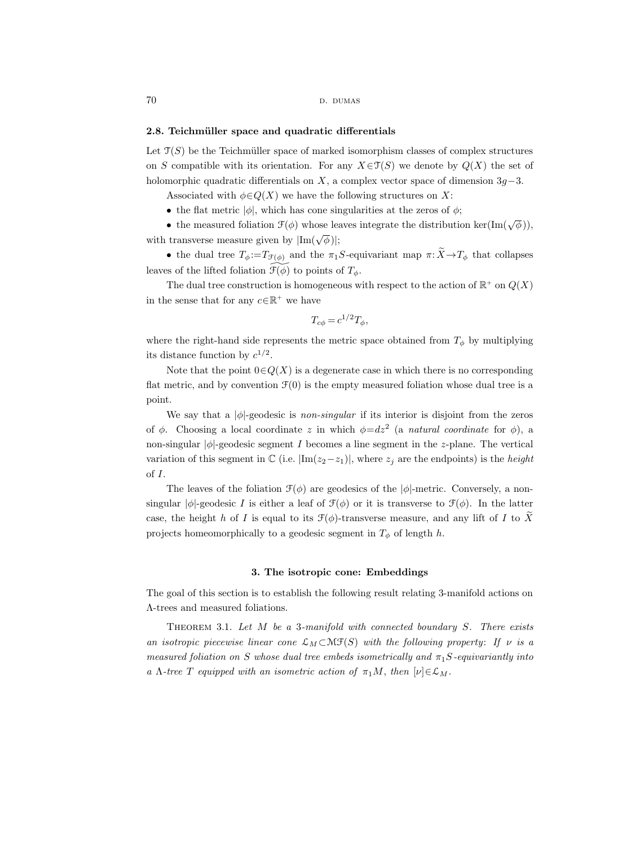#### 2.8. Teichmüller space and quadratic differentials

Let  $\mathfrak{T}(S)$  be the Teichmüller space of marked isomorphism classes of complex structures on S compatible with its orientation. For any  $X \in \mathcal{T}(S)$  we denote by  $Q(X)$  the set of holomorphic quadratic differentials on  $X$ , a complex vector space of dimension  $3q-3$ .

Associated with  $\phi \in Q(X)$  we have the following structures on X:

• the flat metric  $|\phi|$ , which has cone singularities at the zeros of  $\phi$ ;

• the measured foliation  $\mathcal{F}(\phi)$  whose leaves integrate the distribution ker(Im( $\sqrt{\phi}$ )), with transverse measure given by  $|\text{Im}(\sqrt{\phi})|$ ;

• the dual tree  $T_{\phi}:=T_{\mathcal{F}(\phi)}$  and the  $\pi_1S$ -equivariant map  $\pi: \widetilde{X}\to T_{\phi}$  that collapses leaves of the lifted foliation  $\mathcal{F}(\phi)$  to points of  $T_{\phi}$ .

The dual tree construction is homogeneous with respect to the action of  $\mathbb{R}^+$  on  $Q(X)$ in the sense that for any  $c \in \mathbb{R}^+$  we have

$$
T_{c\phi} = c^{1/2} T_{\phi},
$$

where the right-hand side represents the metric space obtained from  $T_{\phi}$  by multiplying its distance function by  $c^{1/2}$ .

Note that the point  $0 \in Q(X)$  is a degenerate case in which there is no corresponding flat metric, and by convention  $\mathcal{F}(0)$  is the empty measured foliation whose dual tree is a point.

We say that a  $|\phi|$ -geodesic is *non-singular* if its interior is disjoint from the zeros of  $\phi$ . Choosing a local coordinate z in which  $\phi = dz^2$  (a natural coordinate for  $\phi$ ), a non-singular  $|\phi|$ -geodesic segment I becomes a line segment in the z-plane. The vertical variation of this segment in  $\mathbb C$  (i.e.  $|\text{Im}(z_2-z_1)|$ , where  $z_j$  are the endpoints) is the *height* of I.

The leaves of the foliation  $\mathcal{F}(\phi)$  are geodesics of the  $|\phi|$ -metric. Conversely, a nonsingular  $|\phi|$ -geodesic I is either a leaf of  $\mathcal{F}(\phi)$  or it is transverse to  $\mathcal{F}(\phi)$ . In the latter case, the height h of I is equal to its  $\mathcal{F}(\phi)$ -transverse measure, and any lift of I to  $\widetilde{X}$ projects homeomorphically to a geodesic segment in  $T_{\phi}$  of length h.

#### 3. The isotropic cone: Embeddings

<span id="page-15-0"></span>The goal of this section is to establish the following result relating 3-manifold actions on Λ-trees and measured foliations.

<span id="page-15-1"></span>THEOREM 3.1. Let  $M$  be a 3-manifold with connected boundary  $S$ . There exists an isotropic piecewise linear cone  $\mathcal{L}_{M} \subset \mathcal{MF}(S)$  with the following property: If  $\nu$  is a measured foliation on S whose dual tree embeds isometrically and  $\pi_1S$ -equivariantly into a  $\Lambda$ -tree T equipped with an isometric action of  $\pi_1M$ , then  $[\nu] \in \mathcal{L}_M$ .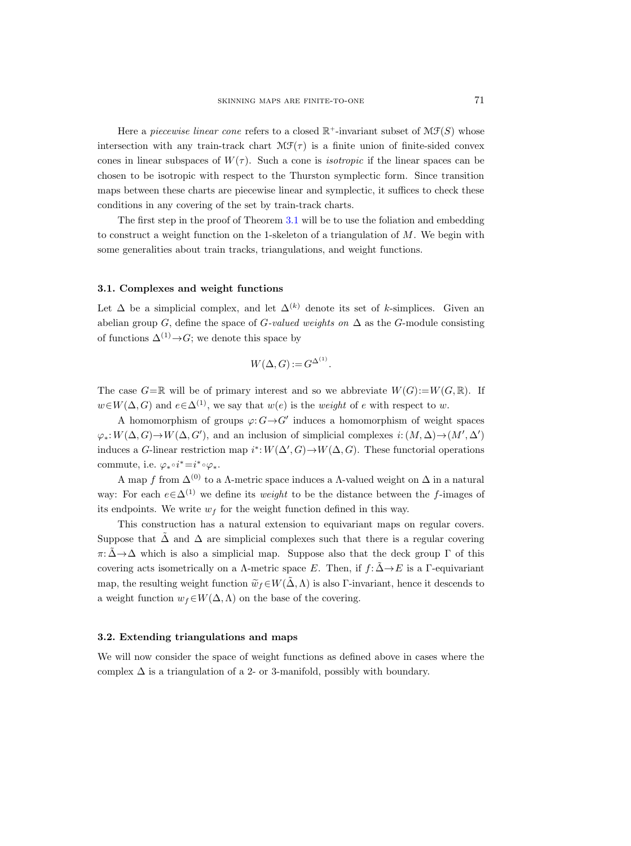Here a *piecewise linear cone* refers to a closed  $\mathbb{R}^+$ -invariant subset of  $\mathcal{MF}(S)$  whose intersection with any train-track chart  $\mathcal{MF}(\tau)$  is a finite union of finite-sided convex cones in linear subspaces of  $W(\tau)$ . Such a cone is *isotropic* if the linear spaces can be chosen to be isotropic with respect to the Thurston symplectic form. Since transition maps between these charts are piecewise linear and symplectic, it suffices to check these conditions in any covering of the set by train-track charts.

The first step in the proof of Theorem [3.1](#page-15-1) will be to use the foliation and embedding to construct a weight function on the 1-skeleton of a triangulation of  $M$ . We begin with some generalities about train tracks, triangulations, and weight functions.

# <span id="page-16-1"></span>3.1. Complexes and weight functions

Let  $\Delta$  be a simplicial complex, and let  $\Delta^{(k)}$  denote its set of k-simplices. Given an abelian group G, define the space of G-valued weights on  $\Delta$  as the G-module consisting of functions  $\Delta^{(1)} \rightarrow G$ ; we denote this space by

$$
W(\Delta, G) := G^{\Delta^{(1)}}.
$$

The case  $G=\mathbb{R}$  will be of primary interest and so we abbreviate  $W(G)=W(G,\mathbb{R})$ . If  $w\in W(\Delta, G)$  and  $e\in \Delta^{(1)}$ , we say that  $w(e)$  is the *weight* of e with respect to w.

A homomorphism of groups  $\varphi: G \rightarrow G'$  induces a homomorphism of weight spaces  $\varphi_*: W(\Delta, G) \to W(\Delta, G')$ , and an inclusion of simplicial complexes  $i: (M, \Delta) \to (M', \Delta')$ induces a G-linear restriction map  $i^*: W(\Delta', G) \to W(\Delta, G)$ . These functorial operations commute, i.e.  $\varphi_* \circ i^* = i^* \circ \varphi_*$ .

A map f from  $\Delta^{(0)}$  to a  $\Lambda$ -metric space induces a  $\Lambda$ -valued weight on  $\Delta$  in a natural way: For each  $e \in \Delta^{(1)}$  we define its *weight* to be the distance between the f-images of its endpoints. We write  $w_f$  for the weight function defined in this way.

This construction has a natural extension to equivariant maps on regular covers. Suppose that  $\Delta$  and  $\Delta$  are simplicial complexes such that there is a regular covering  $\pi: \tilde{\Delta} \to \Delta$  which is also a simplicial map. Suppose also that the deck group  $\Gamma$  of this covering acts isometrically on a  $\Lambda$ -metric space E. Then, if  $f: \tilde{\Delta} \to E$  is a  $\Gamma$ -equivariant map, the resulting weight function  $\tilde{w}_f \in W(\tilde{\Delta}, \Lambda)$  is also Γ-invariant, hence it descends to a weight function  $w_f \in W(\Delta, \Lambda)$  on the base of the covering.

### <span id="page-16-0"></span>3.2. Extending triangulations and maps

We will now consider the space of weight functions as defined above in cases where the complex  $\Delta$  is a triangulation of a 2- or 3-manifold, possibly with boundary.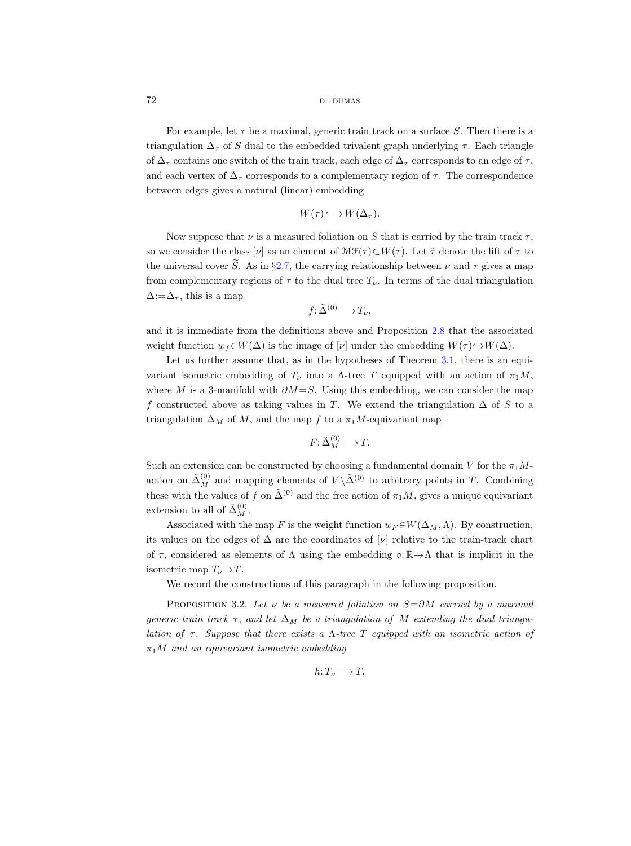For example, let  $\tau$  be a maximal, generic train track on a surface S. Then there is a triangulation  $\Delta_{\tau}$  of S dual to the embedded trivalent graph underlying  $\tau$ . Each triangle of  $\Delta_{\tau}$  contains one switch of the train track, each edge of  $\Delta_{\tau}$  corresponds to an edge of  $\tau$ , and each vertex of  $\Delta_{\tau}$  corresponds to a complementary region of  $\tau$ . The correspondence between edges gives a natural (linear) embedding

$$
W(\tau) \longrightarrow W(\Delta_{\tau}).
$$

Now suppose that  $\nu$  is a measured foliation on S that is carried by the train track  $\tau$ , so we consider the class  $[\nu]$  as an element of  $\mathcal{MF}(\tau) \subset W(\tau)$ . Let  $\tilde{\tau}$  denote the lift of  $\tau$  to the universal cover S. As in §[2.7,](#page-14-0) the carrying relationship between  $\nu$  and  $\tau$  gives a map from complementary regions of  $\tau$  to the dual tree  $T_{\nu}$ . In terms of the dual triangulation  $\Delta:=\Delta_{\tau}$ , this is a map

$$
f\colon \tilde{\Delta}^{(0)} \longrightarrow T_{\nu},
$$

and it is immediate from the definitions above and Proposition [2.8](#page-14-1) that the associated weight function  $w_f \in W(\Delta)$  is the image of  $[\nu]$  under the embedding  $W(\tau) \hookrightarrow W(\Delta)$ .

Let us further assume that, as in the hypotheses of Theorem [3.1,](#page-15-1) there is an equivariant isometric embedding of  $T_{\nu}$  into a  $\Lambda$ -tree T equipped with an action of  $\pi_1 M$ , where M is a 3-manifold with  $\partial M = S$ . Using this embedding, we can consider the map f constructed above as taking values in T. We extend the triangulation  $\Delta$  of S to a triangulation  $\Delta_M$  of M, and the map f to a  $\pi_1M$ -equivariant map

$$
F: \tilde{\Delta}_M^{(0)} \longrightarrow T.
$$

Such an extension can be constructed by choosing a fundamental domain V for the  $\pi_1 M$ action on  $\tilde{\Delta}_M^{(0)}$  and mapping elements of  $V \backslash \tilde{\Delta}^{(0)}$  to arbitrary points in T. Combining these with the values of f on  $\tilde{\Delta}^{(0)}$  and the free action of  $\pi_1M$ , gives a unique equivariant extension to all of  $\tilde{\Delta}_M^{(0)}$ .

Associated with the map F is the weight function  $w_F \in W(\Delta_M, \Lambda)$ . By construction, its values on the edges of  $\Delta$  are the coordinates of  $[\nu]$  relative to the train-track chart of  $\tau$ , considered as elements of  $\Lambda$  using the embedding  $\mathfrak{o}: \mathbb{R} \to \Lambda$  that is implicit in the isometric map  $T_{\nu} \rightarrow T$ .

We record the constructions of this paragraph in the following proposition.

<span id="page-17-0"></span>PROPOSITION 3.2. Let  $\nu$  be a measured foliation on  $S=\partial M$  carried by a maximal generic train track  $\tau$ , and let  $\Delta_M$  be a triangulation of M extending the dual triangulation of  $\tau$ . Suppose that there exists a  $\Lambda$ -tree T equipped with an isometric action of  $\pi_1M$  and an equivariant isometric embedding

$$
h\colon T_{\nu}\longrightarrow T,
$$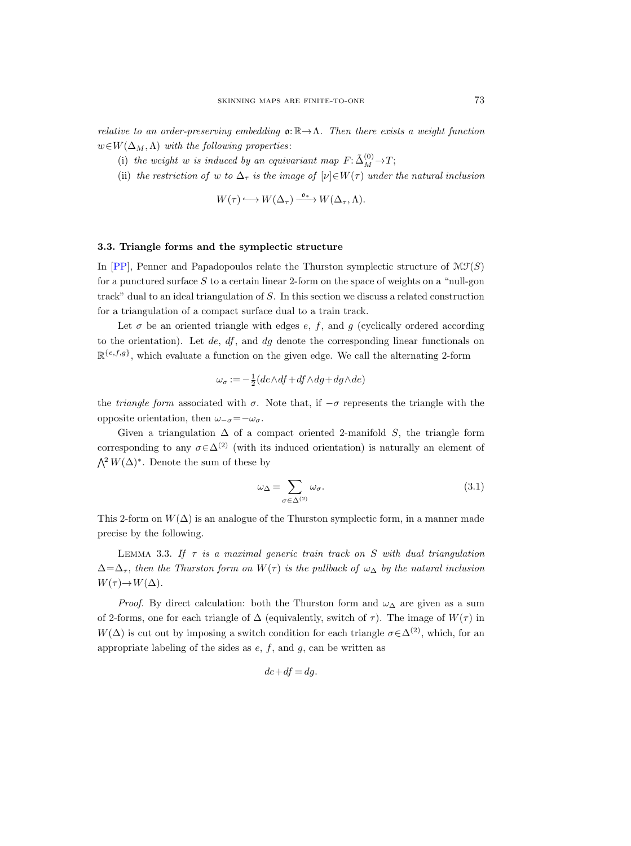relative to an order-preserving embedding  $\mathfrak{o}: \mathbb{R} \to \Lambda$ . Then there exists a weight function  $w\in W(\Delta_M,\Lambda)$  with the following properties:

- (i) the weight w is induced by an equivariant map  $F: \tilde{\Delta}_M^{(0)} \rightarrow T$ ;
- (ii) the restriction of w to  $\Delta_{\tau}$  is the image of  $[\nu] \in W(\tau)$  under the natural inclusion

$$
W(\tau) \longrightarrow W(\Delta_{\tau}) \xrightarrow{\mathfrak{o}_{*}} W(\Delta_{\tau}, \Lambda).
$$

#### 3.3. Triangle forms and the symplectic structure

In  $[PP]$ , Penner and Papadopoulos relate the Thurston symplectic structure of  $\mathcal{MF}(S)$ for a punctured surface  $S$  to a certain linear 2-form on the space of weights on a "null-gon" track" dual to an ideal triangulation of S. In this section we discuss a related construction for a triangulation of a compact surface dual to a train track.

Let  $\sigma$  be an oriented triangle with edges e, f, and g (cyclically ordered according to the orientation). Let  $de$ ,  $df$ , and  $dg$  denote the corresponding linear functionals on  $\mathbb{R}^{\{e,f,g\}}$ , which evaluate a function on the given edge. We call the alternating 2-form

$$
\omega_{\sigma} := -\frac{1}{2} (de \wedge df + df \wedge dg + dg \wedge de)
$$

the *triangle form* associated with  $\sigma$ . Note that, if  $-\sigma$  represents the triangle with the opposite orientation, then  $\omega_{-\sigma} = -\omega_{\sigma}$ .

Given a triangulation  $\Delta$  of a compact oriented 2-manifold S, the triangle form corresponding to any  $\sigma \in \Delta^{(2)}$  (with its induced orientation) is naturally an element of  $\bigwedge^2 W(\Delta)^*$ . Denote the sum of these by

<span id="page-18-0"></span>
$$
\omega_{\Delta} = \sum_{\sigma \in \Delta^{(2)}} \omega_{\sigma}.
$$
\n(3.1)

This 2-form on  $W(\Delta)$  is an analogue of the Thurston symplectic form, in a manner made precise by the following.

<span id="page-18-1"></span>LEMMA 3.3. If  $\tau$  is a maximal generic train track on S with dual triangulation  $\Delta = \Delta_{\tau}$ , then the Thurston form on  $W(\tau)$  is the pullback of  $\omega_{\Delta}$  by the natural inclusion  $W(\tau) \rightarrow W(\Delta)$ .

*Proof.* By direct calculation: both the Thurston form and  $\omega_{\Delta}$  are given as a sum of 2-forms, one for each triangle of  $\Delta$  (equivalently, switch of  $\tau$ ). The image of  $W(\tau)$  in  $W(\Delta)$  is cut out by imposing a switch condition for each triangle  $\sigma \in \Delta^{(2)}$ , which, for an appropriate labeling of the sides as  $e, f$ , and  $g$ , can be written as

$$
de + df = dg.
$$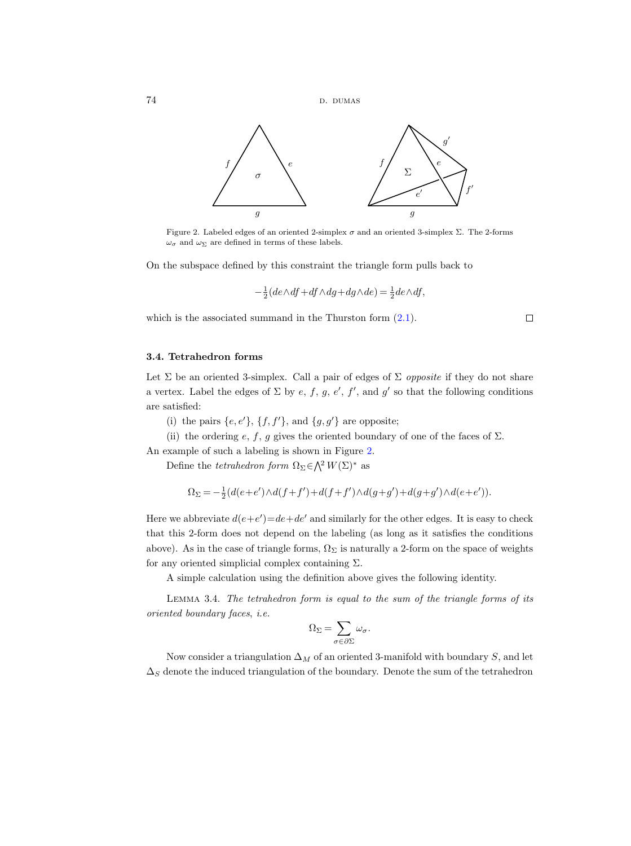

<span id="page-19-0"></span>Figure 2. Labeled edges of an oriented 2-simplex  $\sigma$  and an oriented 3-simplex  $\Sigma$ . The 2-forms  $\omega_{\sigma}$  and  $\omega_{\Sigma}$  are defined in terms of these labels.

On the subspace defined by this constraint the triangle form pulls back to

$$
-\frac{1}{2}(de\wedge df + df\wedge dg + dg\wedge de) = \frac{1}{2}de\wedge df,
$$

which is the associated summand in the Thurston form  $(2.1)$ .

 $\Box$ 

## 3.4. Tetrahedron forms

Let  $\Sigma$  be an oriented 3-simplex. Call a pair of edges of  $\Sigma$  *opposite* if they do not share a vertex. Label the edges of  $\Sigma$  by e, f, g, e', f', and g' so that the following conditions are satisfied:

(i) the pairs  $\{e, e'\}, \{f, f'\}, \text{ and } \{g, g'\}$  are opposite;

(ii) the ordering e, f, g gives the oriented boundary of one of the faces of  $\Sigma$ .

An example of such a labeling is shown in Figure [2.](#page-19-0)

Define the *tetrahedron form*  $\Omega_{\Sigma} \in \bigwedge^2 W(\Sigma)^*$  as

$$
\Omega_{\Sigma} = -\frac{1}{2}(d(e+e') \wedge d(f+f') + d(f+f') \wedge d(g+g') + d(g+g') \wedge d(e+e')).
$$

Here we abbreviate  $d(e+e') = de + de'$  and similarly for the other edges. It is easy to check that this 2-form does not depend on the labeling (as long as it satisfies the conditions above). As in the case of triangle forms,  $\Omega_{\Sigma}$  is naturally a 2-form on the space of weights for any oriented simplicial complex containing  $\Sigma$ .

A simple calculation using the definition above gives the following identity.

<span id="page-19-1"></span>Lemma 3.4. The tetrahedron form is equal to the sum of the triangle forms of its oriented boundary faces, i.e.

$$
\Omega_{\Sigma} = \sum_{\sigma \in \partial \Sigma} \omega_{\sigma}.
$$

Now consider a triangulation  $\Delta_M$  of an oriented 3-manifold with boundary S, and let  $\Delta_S$  denote the induced triangulation of the boundary. Denote the sum of the tetrahedron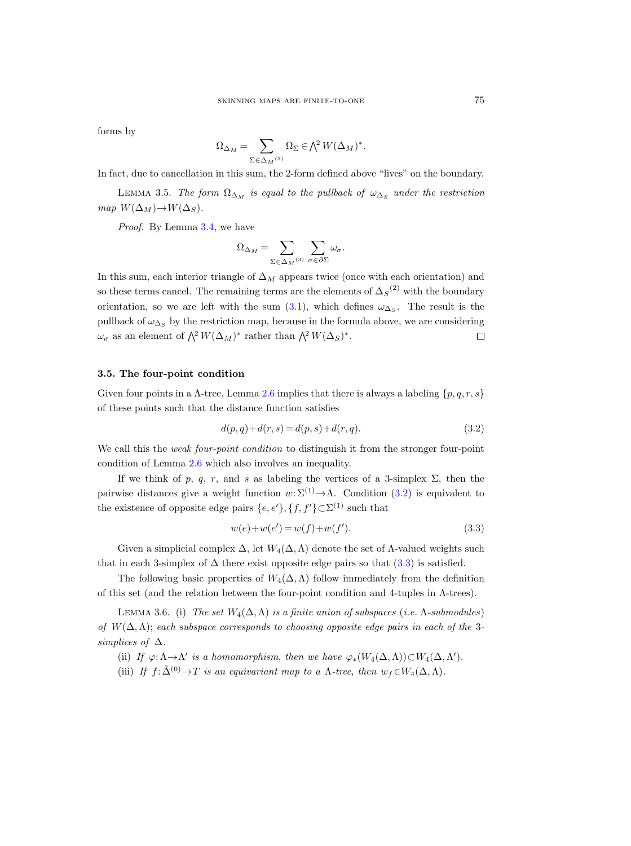forms by

$$
\Omega_{\Delta_M} = \sum_{\Sigma \in \Delta_M^{(3)}} \Omega_{\Sigma} \in \bigwedge^2 W(\Delta_M)^*.
$$

In fact, due to cancellation in this sum, the 2-form defined above "lives" on the boundary.

LEMMA 3.5. The form  $\Omega_{\Delta_M}$  is equal to the pullback of  $\omega_{\Delta_S}$  under the restriction map  $W(\Delta_M) \to W(\Delta_S)$ .

Proof. By Lemma [3.4,](#page-19-1) we have

$$
\Omega_{\Delta_M} = \sum_{\Sigma \in \Delta_M^{(3)}} \sum_{\sigma \in \partial \Sigma} \omega_{\sigma}.
$$

In this sum, each interior triangle of  $\Delta_M$  appears twice (once with each orientation) and so these terms cancel. The remaining terms are the elements of  $\Delta_S^{(2)}$  with the boundary orientation, so we are left with the sum  $(3.1)$ , which defines  $\omega_{\Delta_S}$ . The result is the pullback of  $\omega_{\Delta_S}$  by the restriction map, because in the formula above, we are considering  $\omega_{\sigma}$  as an element of  $\bigwedge^2 W(\Delta_M)^*$  rather than  $\bigwedge^2 W(\Delta_S)^*$ .  $\Box$ 

## 3.5. The four-point condition

Given four points in a  $\Lambda$ -tree, Lemma [2.6](#page-10-0) implies that there is always a labeling  $\{p, q, r, s\}$ of these points such that the distance function satisfies

<span id="page-20-0"></span>
$$
d(p,q) + d(r,s) = d(p,s) + d(r,q).
$$
\n(3.2)

We call this the *weak four-point condition* to distinguish it from the stronger four-point condition of Lemma [2.6](#page-10-0) which also involves an inequality.

If we think of p, q, r, and s as labeling the vertices of a 3-simplex  $\Sigma$ , then the pairwise distances give a weight function  $w: \Sigma^{(1)} \to \Lambda$ . Condition [\(3.2\)](#page-20-0) is equivalent to the existence of opposite edge pairs  $\{e, e'\}, \{f, f'\} \subset \Sigma^{(1)}$  such that

<span id="page-20-1"></span>
$$
w(e) + w(e') = w(f) + w(f').
$$
\n(3.3)

Given a simplicial complex  $\Delta$ , let  $W_4(\Delta,\Lambda)$  denote the set of  $\Lambda$ -valued weights such that in each 3-simplex of  $\Delta$  there exist opposite edge pairs so that [\(3.3\)](#page-20-1) is satisfied.

The following basic properties of  $W_4(\Delta, \Lambda)$  follow immediately from the definition of this set (and the relation between the four-point condition and 4-tuples in  $\Lambda$ -trees).

<span id="page-20-2"></span>LEMMA 3.6. (i) The set  $W_4(\Delta,\Lambda)$  is a finite union of subspaces (i.e.  $\Lambda$ -submodules) of  $W(\Delta,\Lambda)$ ; each subspace corresponds to choosing opposite edge pairs in each of the 3simplices of  $\Delta$ .

(ii) If  $\varphi: \Lambda \to \Lambda'$  is a homomorphism, then we have  $\varphi_*(W_4(\Delta, \Lambda)) \subset W_4(\Delta, \Lambda').$ 

(iii) If  $f: \tilde{\Delta}^{(0)} \to T$  is an equivariant map to a  $\Lambda$ -tree, then  $w_f \in W_4(\Delta, \Lambda)$ .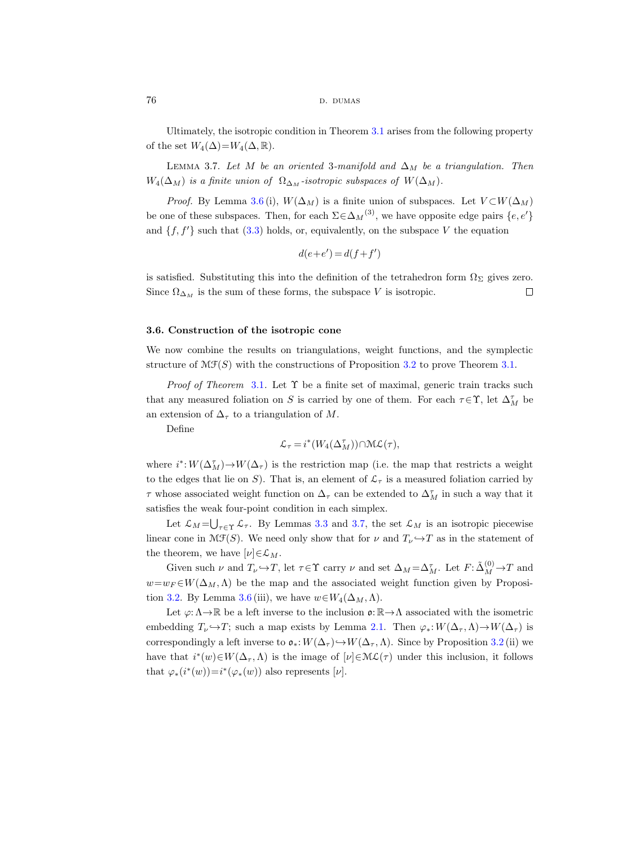Ultimately, the isotropic condition in Theorem [3.1](#page-15-1) arises from the following property of the set  $W_4(\Delta) = W_4(\Delta, \mathbb{R})$ .

<span id="page-21-1"></span>LEMMA 3.7. Let M be an oriented 3-manifold and  $\Delta_M$  be a triangulation. Then  $W_4(\Delta_M)$  is a finite union of  $\Omega_{\Delta_M}$ -isotropic subspaces of  $W(\Delta_M)$ .

*Proof.* By Lemma [3.6](#page-20-2)(i),  $W(\Delta_M)$  is a finite union of subspaces. Let  $V\subset W(\Delta_M)$ be one of these subspaces. Then, for each  $\Sigma \in \Delta_M^{(3)}$ , we have opposite edge pairs  $\{e, e'\}$ and  $\{f, f'\}$  such that [\(3.3\)](#page-20-1) holds, or, equivalently, on the subspace V the equation

$$
d(e+e') = d(f+f')
$$

is satisfied. Substituting this into the definition of the tetrahedron form  $\Omega_{\Sigma}$  gives zero. Since  $\Omega_{\Delta_M}$  is the sum of these forms, the subspace V is isotropic.  $\Box$ 

## <span id="page-21-0"></span>3.6. Construction of the isotropic cone

We now combine the results on triangulations, weight functions, and the symplectic structure of  $\mathcal{MF}(S)$  with the constructions of Proposition [3.2](#page-17-0) to prove Theorem [3.1.](#page-15-1)

*Proof of Theorem* [3.1](#page-15-1). Let  $\Upsilon$  be a finite set of maximal, generic train tracks such that any measured foliation on S is carried by one of them. For each  $\tau \in \Upsilon$ , let  $\Delta_M^{\tau}$  be an extension of  $\Delta_{\tau}$  to a triangulation of M.

Define

$$
\mathcal{L}_{\tau} = i^* (W_4(\Delta_M^{\tau})) \cap \mathcal{ML}(\tau),
$$

where  $i^*: W(\Delta_{M}^{\tau}) \to W(\Delta_{\tau})$  is the restriction map (i.e. the map that restricts a weight to the edges that lie on S). That is, an element of  $\mathcal{L}_{\tau}$  is a measured foliation carried by τ whose associated weight function on  $\Delta_τ$  can be extended to  $\Delta_M^τ$  in such a way that it satisfies the weak four-point condition in each simplex.

Let  $\mathcal{L}_M = \bigcup_{\tau \in \Upsilon} \mathcal{L}_\tau$ . By Lemmas [3.3](#page-18-1) and [3.7,](#page-21-1) the set  $\mathcal{L}_M$  is an isotropic piecewise linear cone in  $\mathcal{MF}(S)$ . We need only show that for  $\nu$  and  $T_{\nu} \rightarrow T$  as in the statement of the theorem, we have  $[\nu] \in \mathcal{L}_M$ .

Given such  $\nu$  and  $T_{\nu} \hookrightarrow T$ , let  $\tau \in \Upsilon$  carry  $\nu$  and set  $\Delta_M = \Delta_M^{\tau}$ . Let  $F: \tilde{\Delta}_M^{(0)} \to T$  and  $w=w_F\in W(\Delta_M,\Lambda)$  be the map and the associated weight function given by Proposi-tion [3.2.](#page-17-0) By Lemma [3.6](#page-20-2) (iii), we have  $w \in W_4(\Delta_M, \Lambda)$ .

Let  $\varphi: \Lambda \to \mathbb{R}$  be a left inverse to the inclusion  $\mathfrak{o}: \mathbb{R} \to \Lambda$  associated with the isometric embedding  $T_{\nu} \hookrightarrow T$ ; such a map exists by Lemma [2.1.](#page-7-0) Then  $\varphi_*: W(\Delta_{\tau}, \Lambda) \to W(\Delta_{\tau})$  is correspondingly a left inverse to  $\mathfrak{o}_*: W(\Delta_\tau) \hookrightarrow W(\Delta_\tau, \Lambda)$ . Since by Proposition [3.2](#page-17-0) (ii) we have that  $i^*(w) \in W(\Delta_\tau, \Lambda)$  is the image of  $[\nu] \in M(\mathcal{L}(\tau))$  under this inclusion, it follows that  $\varphi_*(i^*(w)) = i^*(\varphi_*(w))$  also represents [v].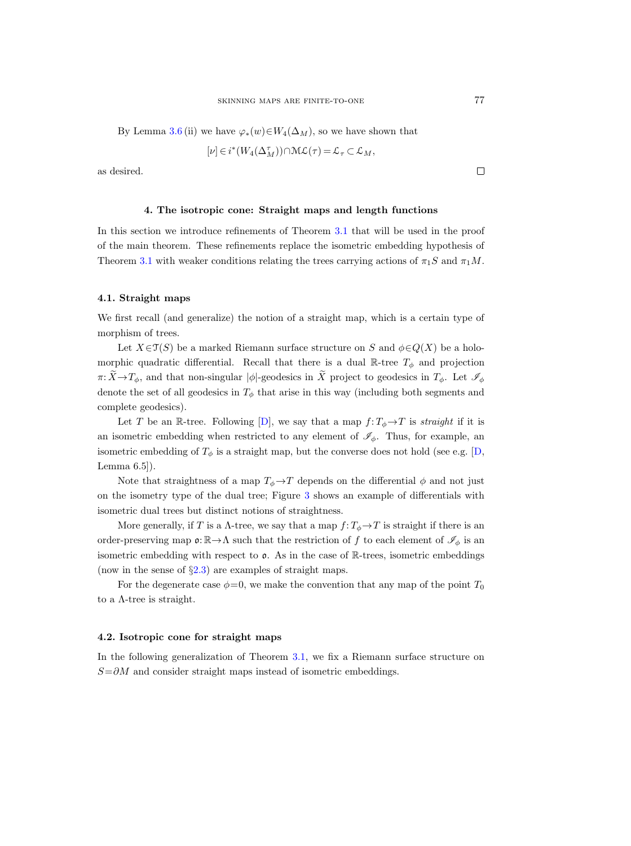By Lemma [3.6](#page-20-2) (ii) we have  $\varphi_*(w) \in W_4(\Delta_M)$ , so we have shown that

$$
[\nu]\in i^*(W_4(\Delta_M^\tau))\cap\mathcal{ML}(\tau)=\mathcal{L}_\tau\subset\mathcal{L}_M,
$$

as desired.

#### 4. The isotropic cone: Straight maps and length functions

<span id="page-22-0"></span>In this section we introduce refinements of Theorem [3.1](#page-15-1) that will be used in the proof of the main theorem. These refinements replace the isometric embedding hypothesis of Theorem [3.1](#page-15-1) with weaker conditions relating the trees carrying actions of  $\pi_1S$  and  $\pi_1M$ .

## 4.1. Straight maps

We first recall (and generalize) the notion of a straight map, which is a certain type of morphism of trees.

Let  $X \in \mathcal{T}(S)$  be a marked Riemann surface structure on S and  $\phi \in Q(X)$  be a holomorphic quadratic differential. Recall that there is a dual R-tree  $T_{\phi}$  and projection  $\pi: \widetilde{X} \to T_{\phi}$ , and that non-singular  $|\phi|$ -geodesics in  $\widetilde{X}$  project to geodesics in  $T_{\phi}$ . Let  $\mathscr{I}_{\phi}$ denote the set of all geodesics in  $T_{\phi}$  that arise in this way (including both segments and complete geodesics).

Let T be an R-tree. Following [\[D\]](#page-69-1), we say that a map  $f: T_{\phi} \to T$  is *straight* if it is an isometric embedding when restricted to any element of  $\mathscr{I}_{\phi}$ . Thus, for example, an isometric embedding of  $T_{\phi}$  is a straight map, but the converse does not hold (see e.g. [\[D,](#page-69-1) Lemma 6.5]).

Note that straightness of a map  $T_{\phi} \rightarrow T$  depends on the differential  $\phi$  and not just on the isometry type of the dual tree; Figure [3](#page-23-1) shows an example of differentials with isometric dual trees but distinct notions of straightness.

More generally, if T is a  $\Lambda$ -tree, we say that a map  $f: T_{\phi} \to T$  is straight if there is an order-preserving map  $\mathfrak{o}: \mathbb{R} \to \Lambda$  such that the restriction of f to each element of  $\mathscr{I}_{\phi}$  is an isometric embedding with respect to  $\boldsymbol{\mathfrak{o}}$ . As in the case of  $\mathbb{R}$ -trees, isometric embeddings (now in the sense of  $\S 2.3$ ) are examples of straight maps.

For the degenerate case  $\phi = 0$ , we make the convention that any map of the point  $T_0$ to a  $Λ$ -tree is straight.

#### 4.2. Isotropic cone for straight maps

In the following generalization of Theorem [3.1,](#page-15-1) we fix a Riemann surface structure on  $S=\partial M$  and consider straight maps instead of isometric embeddings.

 $\Box$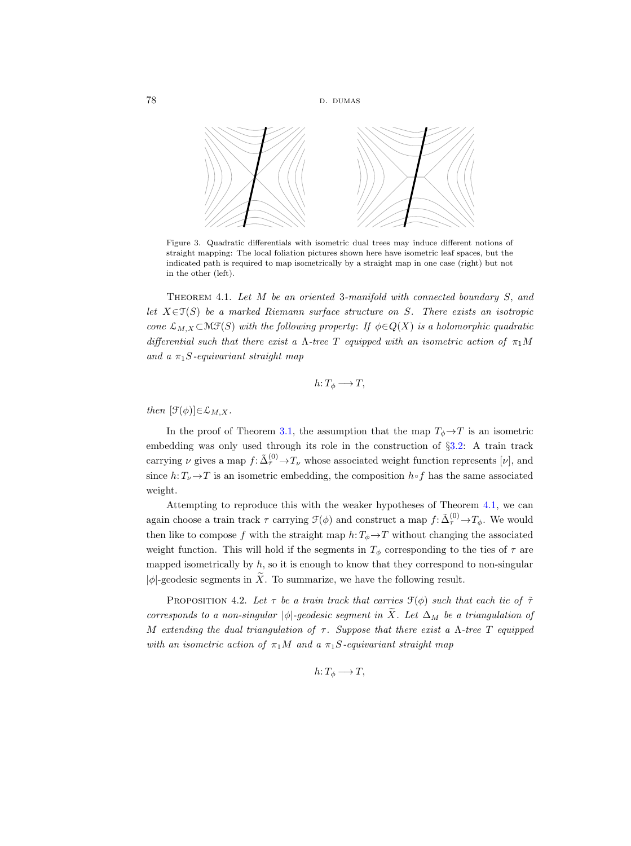

<span id="page-23-1"></span>Figure 3. Quadratic differentials with isometric dual trees may induce different notions of straight mapping: The local foliation pictures shown here have isometric leaf spaces, but the indicated path is required to map isometrically by a straight map in one case (right) but not in the other (left).

<span id="page-23-0"></span>THEOREM 4.1. Let  $M$  be an oriented 3-manifold with connected boundary  $S$ , and let  $X \in \mathcal{T}(S)$  be a marked Riemann surface structure on S. There exists an isotropic cone  $\mathcal{L}_{M,X} \subset \mathcal{MF}(S)$  with the following property: If  $\phi \in Q(X)$  is a holomorphic quadratic differential such that there exist a  $\Lambda$ -tree T equipped with an isometric action of  $\pi_1M$ and a  $\pi_1 S$ -equivariant straight map

$$
h: T_{\phi} \longrightarrow T,
$$

then  $[\mathcal{F}(\phi)] \in \mathcal{L}_{M,X}$ .

In the proof of Theorem [3.1,](#page-15-1) the assumption that the map  $T_{\phi} \rightarrow T$  is an isometric embedding was only used through its role in the construction of §[3.2:](#page-16-0) A train track carrying  $\nu$  gives a map  $f: \tilde{\Delta}^{(0)}_{\tau} \to T_{\nu}$  whose associated weight function represents  $[\nu]$ , and since  $h: T_{\nu} \to T$  is an isometric embedding, the composition  $h \circ f$  has the same associated weight.

Attempting to reproduce this with the weaker hypotheses of Theorem [4.1,](#page-23-0) we can again choose a train track  $\tau$  carrying  $\mathcal{F}(\phi)$  and construct a map  $f: \tilde{\Delta}^{(0)}_{\tau} \to T_{\phi}$ . We would then like to compose f with the straight map  $h: T_{\phi} \to T$  without changing the associated weight function. This will hold if the segments in  $T_{\phi}$  corresponding to the ties of  $\tau$  are mapped isometrically by  $h$ , so it is enough to know that they correspond to non-singular  $|\phi|$ -geodesic segments in  $\widetilde{X}$ . To summarize, we have the following result.

<span id="page-23-2"></span>PROPOSITION 4.2. Let  $\tau$  be a train track that carries  $\mathcal{F}(\phi)$  such that each tie of  $\tilde{\tau}$ corresponds to a non-singular  $|\phi|$ -geodesic segment in  $\widetilde{X}$ . Let  $\Delta_M$  be a triangulation of M extending the dual triangulation of  $\tau$ . Suppose that there exist a  $\Lambda$ -tree T equipped with an isometric action of  $\pi_1 M$  and a  $\pi_1 S$ -equivariant straight map

$$
h: T_{\phi} \longrightarrow T,
$$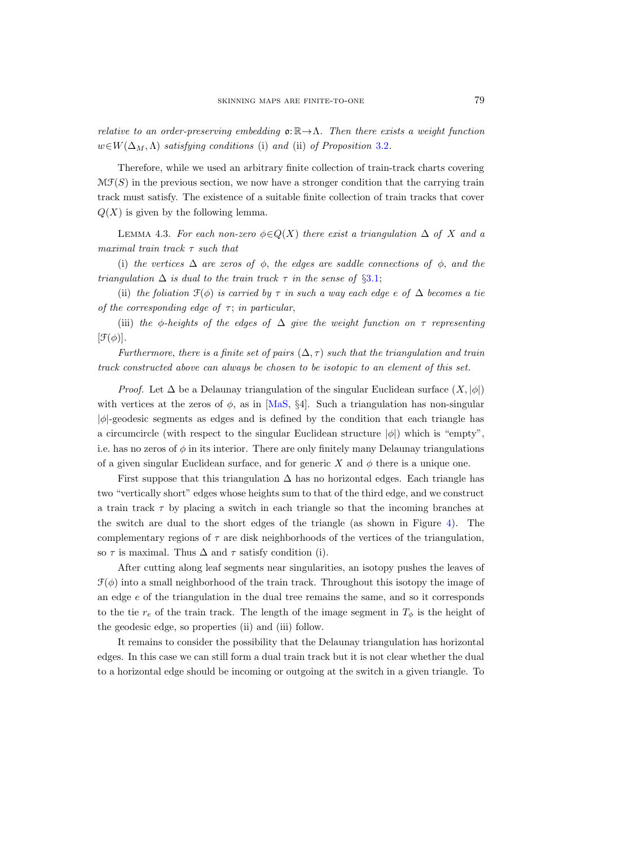relative to an order-preserving embedding  $\mathfrak{o}: \mathbb{R} \to \Lambda$ . Then there exists a weight function  $w \in W(\Delta_M, \Lambda)$  satisfying conditions (i) and (ii) of Proposition [3.2](#page-17-0).

Therefore, while we used an arbitrary finite collection of train-track charts covering  $\mathcal{MF}(S)$  in the previous section, we now have a stronger condition that the carrying train track must satisfy. The existence of a suitable finite collection of train tracks that cover  $Q(X)$  is given by the following lemma.

<span id="page-24-0"></span>LEMMA 4.3. For each non-zero  $\phi \in Q(X)$  there exist a triangulation  $\Delta$  of X and a maximal train track  $\tau$  such that

(i) the vertices  $\Delta$  are zeros of  $\phi$ , the edges are saddle connections of  $\phi$ , and the triangulation  $\Delta$  is dual to the train track  $\tau$  in the sense of §[3.1;](#page-16-1)

(ii) the foliation  $\mathcal{F}(\phi)$  is carried by  $\tau$  in such a way each edge e of  $\Delta$  becomes a tie of the corresponding edge of  $\tau$ ; in particular,

(iii) the  $\phi$ -heights of the edges of  $\Delta$  give the weight function on  $\tau$  representing  $[\mathcal{F}(\phi)].$ 

Furthermore, there is a finite set of pairs  $(\Delta, \tau)$  such that the triangulation and train track constructed above can always be chosen to be isotopic to an element of this set.

*Proof.* Let  $\Delta$  be a Delaunay triangulation of the singular Euclidean surface  $(X, |\phi|)$ with vertices at the zeros of  $\phi$ , as in [\[MaS,](#page-70-11) §4]. Such a triangulation has non-singular  $|\phi|$ -geodesic segments as edges and is defined by the condition that each triangle has a circumcircle (with respect to the singular Euclidean structure  $|\phi|$ ) which is "empty", i.e. has no zeros of  $\phi$  in its interior. There are only finitely many Delaunay triangulations of a given singular Euclidean surface, and for generic X and  $\phi$  there is a unique one.

First suppose that this triangulation  $\Delta$  has no horizontal edges. Each triangle has two "vertically short" edges whose heights sum to that of the third edge, and we construct a train track  $\tau$  by placing a switch in each triangle so that the incoming branches at the switch are dual to the short edges of the triangle (as shown in Figure [4\)](#page-25-0). The complementary regions of  $\tau$  are disk neighborhoods of the vertices of the triangulation, so  $\tau$  is maximal. Thus  $\Delta$  and  $\tau$  satisfy condition (i).

After cutting along leaf segments near singularities, an isotopy pushes the leaves of  $\mathcal{F}(\phi)$  into a small neighborhood of the train track. Throughout this isotopy the image of an edge e of the triangulation in the dual tree remains the same, and so it corresponds to the tie  $r_e$  of the train track. The length of the image segment in  $T_\phi$  is the height of the geodesic edge, so properties (ii) and (iii) follow.

It remains to consider the possibility that the Delaunay triangulation has horizontal edges. In this case we can still form a dual train track but it is not clear whether the dual to a horizontal edge should be incoming or outgoing at the switch in a given triangle. To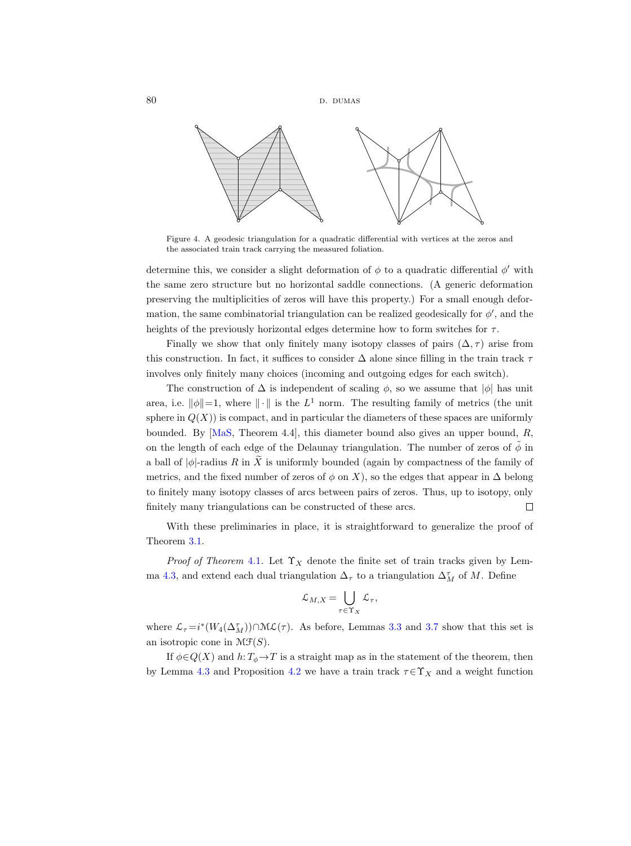80 d. DUMAS



<span id="page-25-0"></span>Figure 4. A geodesic triangulation for a quadratic differential with vertices at the zeros and the associated train track carrying the measured foliation.

determine this, we consider a slight deformation of  $\phi$  to a quadratic differential  $\phi'$  with the same zero structure but no horizontal saddle connections. (A generic deformation preserving the multiplicities of zeros will have this property.) For a small enough deformation, the same combinatorial triangulation can be realized geodesically for  $\phi'$ , and the heights of the previously horizontal edges determine how to form switches for  $\tau$ .

Finally we show that only finitely many isotopy classes of pairs  $(\Delta, \tau)$  arise from this construction. In fact, it suffices to consider  $\Delta$  alone since filling in the train track  $\tau$ involves only finitely many choices (incoming and outgoing edges for each switch).

The construction of  $\Delta$  is independent of scaling  $\phi$ , so we assume that  $|\phi|$  has unit area, i.e.  $\|\phi\|=1$ , where  $\|\cdot\|$  is the  $L^1$  norm. The resulting family of metrics (the unit sphere in  $Q(X)$ ) is compact, and in particular the diameters of these spaces are uniformly bounded. By  $[MaS, Theorem 4.4]$ , this diameter bound also gives an upper bound,  $R$ , on the length of each edge of the Delaunay triangulation. The number of zeros of  $\phi$  in a ball of  $|\phi|$ -radius R in X is uniformly bounded (again by compactness of the family of metrics, and the fixed number of zeros of  $\phi$  on X), so the edges that appear in  $\Delta$  belong to finitely many isotopy classes of arcs between pairs of zeros. Thus, up to isotopy, only finitely many triangulations can be constructed of these arcs.  $\Box$ 

With these preliminaries in place, it is straightforward to generalize the proof of Theorem [3.1.](#page-15-1)

*Proof of Theorem [4.1](#page-23-0).* Let  $\Upsilon_X$  denote the finite set of train tracks given by Lem-ma [4.3,](#page-24-0) and extend each dual triangulation  $\Delta_{\tau}$  to a triangulation  $\Delta_M^{\tau}$  of M. Define

$$
\mathcal{L}_{M,X} = \bigcup_{\tau \in \Upsilon_X} \mathcal{L}_{\tau},
$$

where  $\mathcal{L}_{\tau} = i^*(W_4(\Delta_M^{\tau})) \cap \mathcal{ML}(\tau)$ . As before, Lemmas [3.3](#page-18-1) and [3.7](#page-21-1) show that this set is an isotropic cone in  $\mathcal{MF}(S)$ .

If  $\phi \in Q(X)$  and  $h: T_{\phi} \to T$  is a straight map as in the statement of the theorem, then by Lemma [4.3](#page-24-0) and Proposition [4.2](#page-23-2) we have a train track  $\tau \in \Upsilon_X$  and a weight function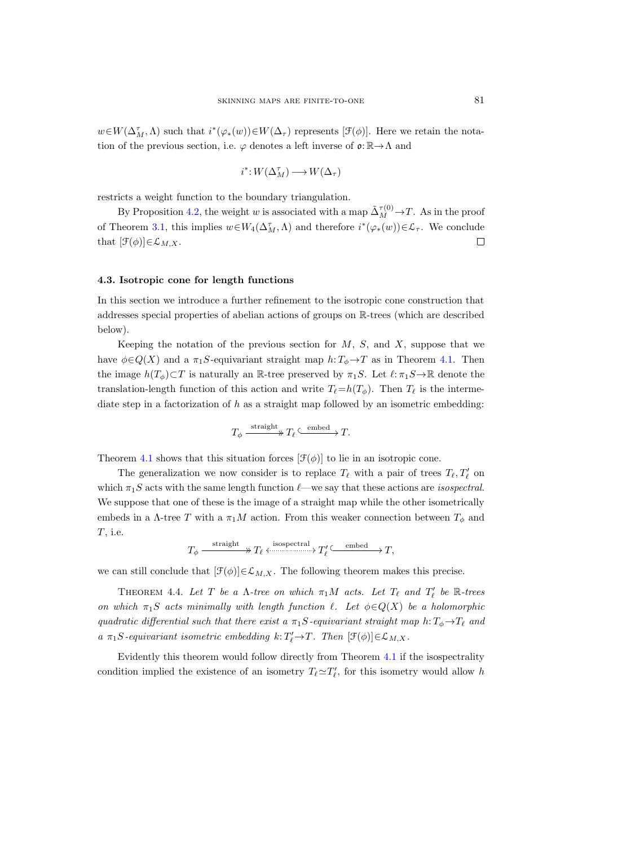$w \in W(\Delta_M^{\tau}, \Lambda)$  such that  $i^*(\varphi_*(w)) \in W(\Delta_{\tau})$  represents  $[\mathfrak{F}(\phi)]$ . Here we retain the notation of the previous section, i.e.  $\varphi$  denotes a left inverse of  $\mathfrak{o}: \mathbb{R} \to \Lambda$  and

$$
i^* \colon W(\Delta_M^{\tau}) \longrightarrow W(\Delta_{\tau})
$$

restricts a weight function to the boundary triangulation.

By Proposition [4.2,](#page-23-2) the weight w is associated with a map  $\tilde{\Delta}_{M}^{\tau(0)} \rightarrow T$ . As in the proof of Theorem [3.1,](#page-15-1) this implies  $w \in W_4(\Delta_M^{\tau}, \Lambda)$  and therefore  $i^*(\varphi_*(w)) \in \mathcal{L}_{\tau}$ . We conclude that  $[\mathcal{F}(\phi)] \in \mathcal{L}_{M,X}$ .  $\Box$ 

#### 4.3. Isotropic cone for length functions

In this section we introduce a further refinement to the isotropic cone construction that addresses special properties of abelian actions of groups on R-trees (which are described below).

Keeping the notation of the previous section for  $M$ ,  $S$ , and  $X$ , suppose that we have  $\phi \in Q(X)$  and a  $\pi_1 S$ -equivariant straight map  $h: T_\phi \to T$  as in Theorem [4.1.](#page-23-0) Then the image  $h(T_{\phi})\subset T$  is naturally an R-tree preserved by  $\pi_1S$ . Let  $\ell: \pi_1S \to \mathbb{R}$  denote the translation-length function of this action and write  $T_{\ell}=h(T_{\phi})$ . Then  $T_{\ell}$  is the intermediate step in a factorization of  $h$  as a straight map followed by an isometric embedding:

$$
T_{\phi} \xrightarrow{\text{straight}} T_{\ell} \xrightarrow{\text{embed}} T.
$$

Theorem [4.1](#page-23-0) shows that this situation forces  $[\mathcal{F}(\phi)]$  to lie in an isotropic cone.

The generalization we now consider is to replace  $T_\ell$  with a pair of trees  $T_\ell, T'_\ell$  on which  $\pi_1 S$  acts with the same length function  $\ell$ —we say that these actions are *isospectral*. We suppose that one of these is the image of a straight map while the other isometrically embeds in a Λ-tree  $T$  with a  $\pi_1 M$  action. From this weaker connection between  $T_\phi$  and T, i.e.

$$
T_{\phi}\xrightarrow{\text{straight}} T_{\ell} \xleftarrow{\text{isospectral}} T'_{\ell} \xleftarrow{\text{embed}} T,
$$

we can still conclude that  $[\mathcal{F}(\phi)] \in \mathcal{L}_{M,X}$ . The following theorem makes this precise.

<span id="page-26-0"></span>THEOREM 4.4. Let T be a  $\Lambda$ -tree on which  $\pi_1 M$  acts. Let  $T_\ell$  and  $T'_\ell$  be  $\mathbb R$ -trees on which  $\pi_1S$  acts minimally with length function  $\ell$ . Let  $\phi \in Q(X)$  be a holomorphic quadratic differential such that there exist a  $\pi_1 S$ -equivariant straight map h:  $T_{\phi} \rightarrow T_{\ell}$  and a  $\pi_1 S$ -equivariant isometric embedding  $k: T'_{\ell} \to T$ . Then  $[\mathcal{F}(\phi)] \in \mathcal{L}_{M,X}$ .

Evidently this theorem would follow directly from Theorem [4.1](#page-23-0) if the isospectrality condition implied the existence of an isometry  $T_{\ell} \simeq T'_{\ell}$ , for this isometry would allow h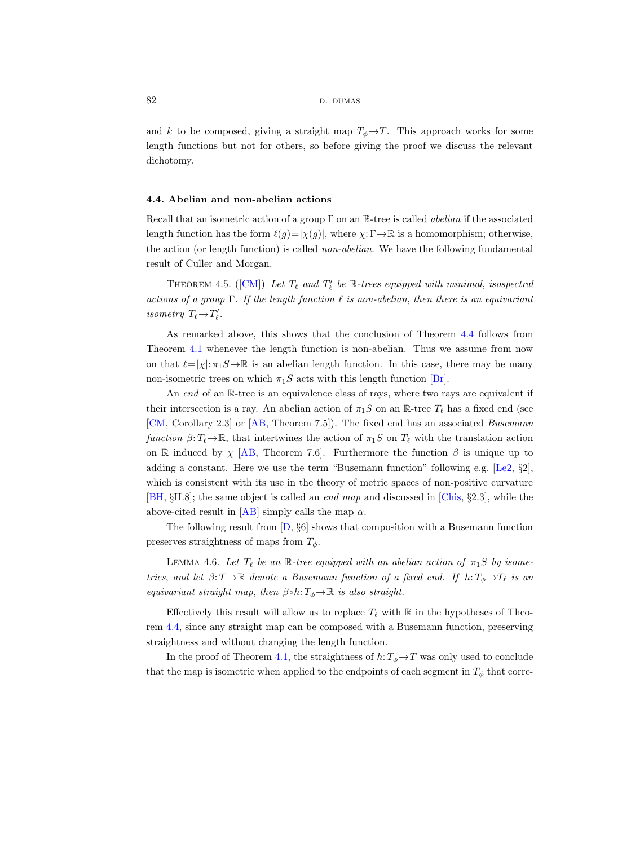and k to be composed, giving a straight map  $T_{\phi} \rightarrow T$ . This approach works for some length functions but not for others, so before giving the proof we discuss the relevant dichotomy.

# 4.4. Abelian and non-abelian actions

Recall that an isometric action of a group  $\Gamma$  on an R-tree is called *abelian* if the associated length function has the form  $\ell(g)=|\chi(g)|$ , where  $\chi: \Gamma \to \mathbb{R}$  is a homomorphism; otherwise, the action (or length function) is called non-abelian. We have the following fundamental result of Culler and Morgan.

THEOREM4.5. ([\[CM\]](#page-69-9)) Let  $T_{\ell}$  and  $T'_{\ell}$  be R-trees equipped with minimal, isospectral actions of a group  $\Gamma$ . If the length function  $\ell$  is non-abelian, then there is an equivariant isometry  $T_{\ell} \rightarrow T'_{\ell}$ .

As remarked above, this shows that the conclusion of Theorem [4.4](#page-26-0) follows from Theorem [4.1](#page-23-0) whenever the length function is non-abelian. Thus we assume from now on that  $\ell=|x|: \pi_1S \to \mathbb{R}$  is an abelian length function. In this case, there may be many non-isometric trees on which  $\pi_1S$  acts with this length function [\[Br\]](#page-69-10).

An end of an R-tree is an equivalence class of rays, where two rays are equivalent if their intersection is a ray. An abelian action of  $\pi_1 S$  on an R-tree  $T_\ell$  has a fixed end (see [\[CM,](#page-69-9) Corollary 2.3] or [\[AB,](#page-69-11) Theorem 7.5]). The fixed end has an associated Busemann function  $\beta: T_\ell \to \mathbb{R}$ , that intertwines the action of  $\pi_1S$  on  $T_\ell$  with the translation action on R induced by  $\chi$  [\[AB,](#page-69-11) Theorem 7.6]. Furthermore the function  $\beta$  is unique up to adding a constant. Here we use the term "Busemann function" following e.g. [\[Le2,](#page-70-12) §2], which is consistent with its use in the theory of metric spaces of non-positive curvature [\[BH,](#page-69-12) §II.8]; the same object is called an end map and discussed in [\[Chis,](#page-69-5) §2.3], while the above-cited result in [\[AB\]](#page-69-11) simply calls the map  $\alpha$ .

The following result from  $[D, \S6]$  shows that composition with a Busemann function preserves straightness of maps from  $T_{\phi}$ .

<span id="page-27-0"></span>LEMMA 4.6. Let  $T_{\ell}$  be an R-tree equipped with an abelian action of  $\pi_1S$  by isometries, and let  $\beta: T \to \mathbb{R}$  denote a Busemann function of a fixed end. If  $h: T_{\phi} \to T_{\ell}$  is an equivariant straight map, then  $\beta \circ h : T_{\phi} \to \mathbb{R}$  is also straight.

Effectively this result will allow us to replace  $T_\ell$  with R in the hypotheses of Theorem [4.4,](#page-26-0) since any straight map can be composed with a Busemann function, preserving straightness and without changing the length function.

In the proof of Theorem [4.1,](#page-23-0) the straightness of  $h: T_{\phi} \to T$  was only used to conclude that the map is isometric when applied to the endpoints of each segment in  $T_{\phi}$  that corre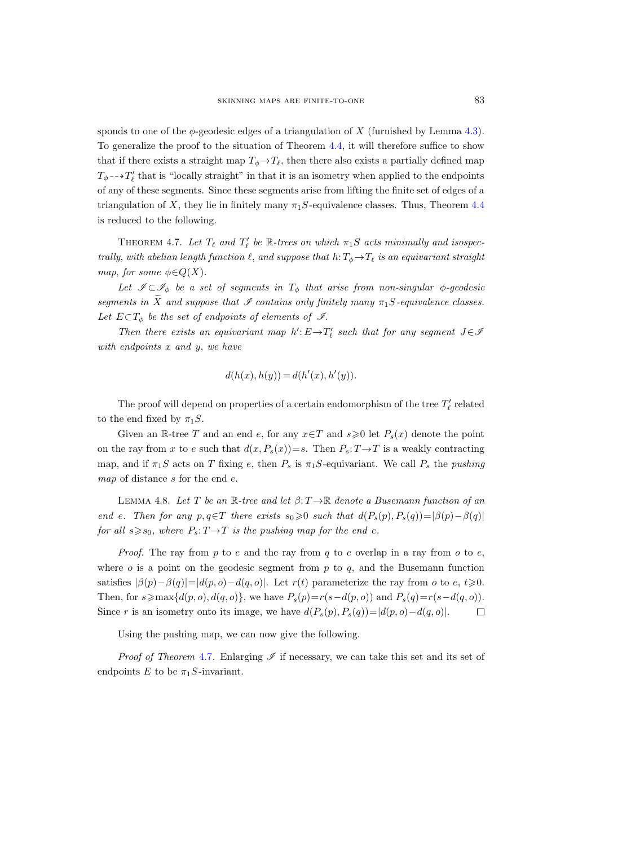sponds to one of the  $\phi$ -geodesic edges of a triangulation of X (furnished by Lemma [4.3\)](#page-24-0). To generalize the proof to the situation of Theorem [4.4,](#page-26-0) it will therefore suffice to show that if there exists a straight map  $T_{\phi} \rightarrow T_{\ell}$ , then there also exists a partially defined map  $T_{\phi} \rightarrow T'_{\ell}$  that is "locally straight" in that it is an isometry when applied to the endpoints of any of these segments. Since these segments arise from lifting the finite set of edges of a triangulation of X, they lie in finitely many  $\pi_1S$ -equivalence classes. Thus, Theorem [4.4](#page-26-0) is reduced to the following.

<span id="page-28-0"></span>THEOREM 4.7. Let  $T_{\ell}$  and  $T'_{\ell}$  be R-trees on which  $\pi_1S$  acts minimally and isospectrally, with abelian length function  $\ell$ , and suppose that  $h: T_{\phi} \rightarrow T_{\ell}$  is an equivariant straight map, for some  $\phi \in Q(X)$ .

Let  $\mathscr{I} \subset \mathscr{I}_{\phi}$  be a set of segments in  $T_{\phi}$  that arise from non-singular  $\phi$ -geodesic segments in X and suppose that  $\mathscr I$  contains only finitely many  $\pi_1S$ -equivalence classes. Let  $E \subset T_{\phi}$  be the set of endpoints of elements of  $\mathscr{I}$ .

Then there exists an equivariant map  $h' : E \to T'_\ell$  such that for any segment  $J \in \mathcal{I}$ with endpoints x and y, we have

$$
d(h(x), h(y)) = d(h'(x), h'(y)).
$$

The proof will depend on properties of a certain endomorphism of the tree  $T'_\ell$  related to the end fixed by  $\pi_1 S$ .

Given an R-tree T and an end e, for any  $x \in T$  and  $s \geq 0$  let  $P_s(x)$  denote the point on the ray from x to e such that  $d(x, P_s(x))=s$ . Then  $P_s: T\to T$  is a weakly contracting map, and if  $\pi_1S$  acts on T fixing e, then  $P_s$  is  $\pi_1S$ -equivariant. We call  $P_s$  the pushing map of distance s for the end e.

<span id="page-28-1"></span>LEMMA 4.8. Let T be an R-tree and let  $\beta: T \to \mathbb{R}$  denote a Busemann function of an end e. Then for any  $p, q \in T$  there exists  $s_0 \geq 0$  such that  $d(P_s(p), P_s(q))=|\beta(p)-\beta(q)|$ for all  $s \geq s_0$ , where  $P_s: T \to T$  is the pushing map for the end e.

*Proof.* The ray from p to e and the ray from q to e overlap in a ray from o to e, where  $o$  is a point on the geodesic segment from  $p$  to  $q$ , and the Busemann function satisfies  $|\beta(p)-\beta(q)|=|d(p, o)-d(q, o)|$ . Let  $r(t)$  parameterize the ray from o to e,  $t\geqslant 0$ . Then, for  $s \geq \max\{d(p, o), d(q, o)\}\,$ , we have  $P_s(p)=r(s-d(p, o))$  and  $P_s(q)=r(s-d(q, o))$ . Since r is an isometry onto its image, we have  $d(P_s(p), P_s(q))=|d(p, o)-d(q, o)|$ .  $\Box$ 

Using the pushing map, we can now give the following.

*Proof of Theorem [4.7](#page-28-0).* Enlarging  $\mathscr I$  if necessary, we can take this set and its set of endpoints E to be  $\pi_1 S$ -invariant.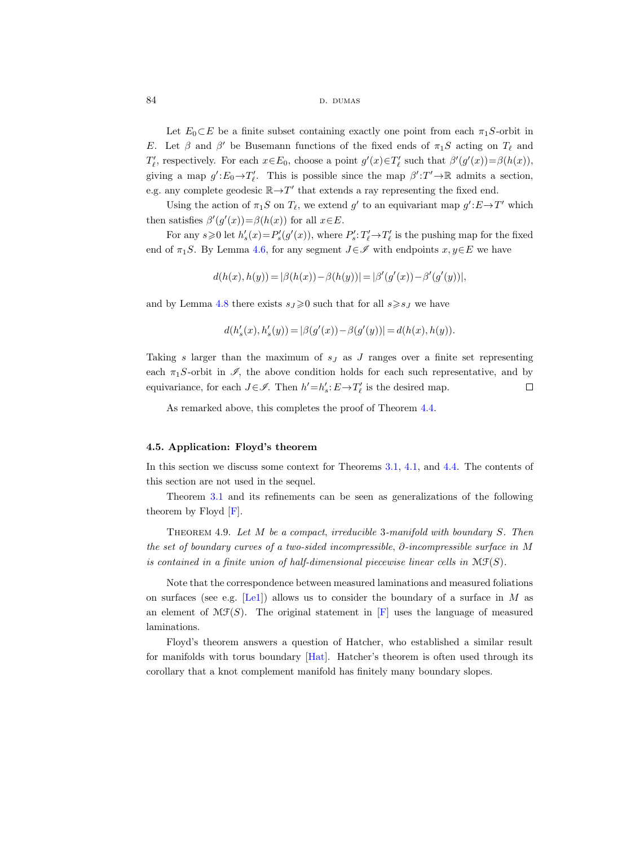Let  $E_0 \subset E$  be a finite subset containing exactly one point from each  $\pi_1 S$ -orbit in E. Let  $\beta$  and  $\beta'$  be Busemann functions of the fixed ends of  $\pi_1S$  acting on  $T_\ell$  and  $T'_{\ell}$ , respectively. For each  $x \in E_0$ , choose a point  $g'(x) \in T'_{\ell}$  such that  $\beta'(g'(x)) = \beta(h(x)),$ giving a map  $g': E_0 \to T'_\ell$ . This is possible since the map  $\beta': T' \to \mathbb{R}$  admits a section, e.g. any complete geodesic  $\mathbb{R} \rightarrow T'$  that extends a ray representing the fixed end.

Using the action of  $\pi_1 S$  on  $T_\ell$ , we extend g' to an equivariant map  $g' : E \to T'$  which then satisfies  $\beta'(g'(x)) = \beta(h(x))$  for all  $x \in E$ .

For any  $s \geq 0$  let  $h'_s(x) = P'_s(g'(x))$ , where  $P'_s: T'_\ell \to T'_\ell$  is the pushing map for the fixed end of  $\pi_1S$ . By Lemma [4.6,](#page-27-0) for any segment  $J\in\mathscr{I}$  with endpoints  $x, y\in E$  we have

$$
d(h(x), h(y)) = |\beta(h(x)) - \beta(h(y))| = |\beta'(g'(x)) - \beta'(g'(y))|,
$$

and by Lemma [4.8](#page-28-1) there exists  $s_J \geq 0$  such that for all  $s \geq s_J$  we have

$$
d(h'_s(x), h'_s(y)) = |\beta(g'(x)) - \beta(g'(y))| = d(h(x), h(y)).
$$

Taking s larger than the maximum of  $s<sub>J</sub>$  as J ranges over a finite set representing each  $\pi_1$ S-orbit in  $\mathcal{I}$ , the above condition holds for each such representative, and by equivariance, for each  $J \in \mathcal{I}$ . Then  $h' = h'_{s}: E \to T'_{\ell}$  is the desired map.  $\Box$ 

As remarked above, this completes the proof of Theorem [4.4.](#page-26-0)

#### <span id="page-29-0"></span>4.5. Application: Floyd's theorem

In this section we discuss some context for Theorems [3.1,](#page-15-1) [4.1,](#page-23-0) and [4.4.](#page-26-0) The contents of this section are not used in the sequel.

Theorem [3.1](#page-15-1) and its refinements can be seen as generalizations of the following theorem by Floyd [\[F\]](#page-69-2).

<span id="page-29-1"></span>Theorem 4.9. Let M be a compact, irreducible 3-manifold with boundary S. Then the set of boundary curves of a two-sided incompressible, ∂-incompressible surface in M is contained in a finite union of half-dimensional piecewise linear cells in  $\mathcal{MF}(S)$ .

Note that the correspondence between measured laminations and measured foliations on surfaces (see e.g. [\[Le1\]](#page-70-13)) allows us to consider the boundary of a surface in  $M$  as an element of  $\mathcal{MF}(S)$ . The original statement in [\[F\]](#page-69-2) uses the language of measured laminations.

Floyd's theorem answers a question of Hatcher, who established a similar result for manifolds with torus boundary [\[Hat\]](#page-70-14). Hatcher's theorem is often used through its corollary that a knot complement manifold has finitely many boundary slopes.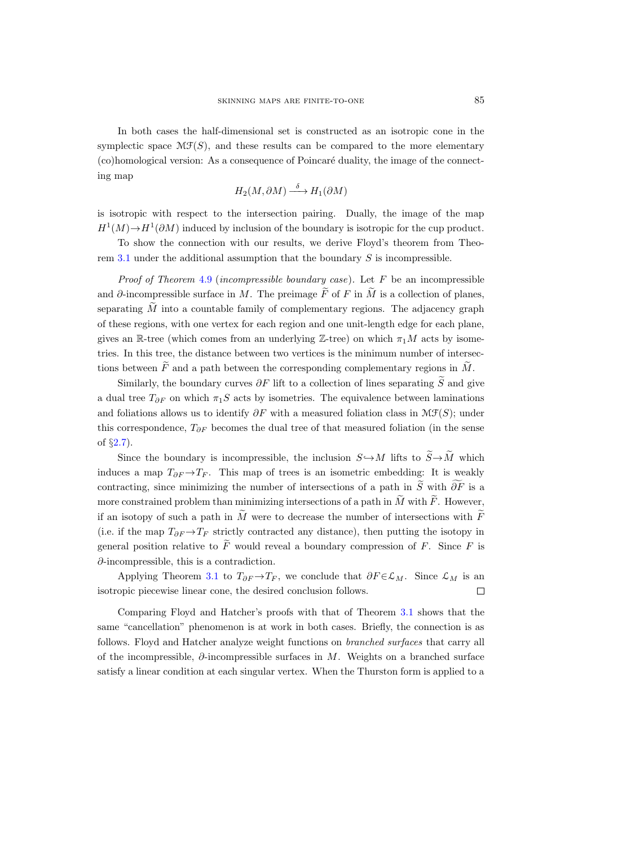In both cases the half-dimensional set is constructed as an isotropic cone in the symplectic space  $\mathcal{MF}(S)$ , and these results can be compared to the more elementary (co)homological version: As a consequence of Poincar´e duality, the image of the connecting map

$$
H_2(M, \partial M) \stackrel{\delta}{\longrightarrow} H_1(\partial M)
$$

is isotropic with respect to the intersection pairing. Dually, the image of the map  $H^1(M) \to H^1(\partial M)$  induced by inclusion of the boundary is isotropic for the cup product.

To show the connection with our results, we derive Floyd's theorem from Theo-rem [3.1](#page-15-1) under the additional assumption that the boundary  $S$  is incompressible.

*Proof of Theorem [4.9](#page-29-1) (incompressible boundary case)*. Let  $F$  be an incompressible and  $\partial$ -incompressible surface in M. The preimage  $\tilde{F}$  of F in  $\tilde{M}$  is a collection of planes, separating  $\tilde{M}$  into a countable family of complementary regions. The adjacency graph of these regions, with one vertex for each region and one unit-length edge for each plane, gives an R-tree (which comes from an underlying Z-tree) on which  $\pi_1 M$  acts by isometries. In this tree, the distance between two vertices is the minimum number of intersections between  $\tilde{F}$  and a path between the corresponding complementary regions in  $\tilde{M}$ .

Similarly, the boundary curves  $\partial F$  lift to a collection of lines separating  $\tilde{S}$  and give a dual tree  $T_{\partial F}$  on which  $\pi_1 S$  acts by isometries. The equivalence between laminations and foliations allows us to identify  $\partial F$  with a measured foliation class in  $\mathcal{MF}(S)$ ; under this correspondence,  $T_{\partial F}$  becomes the dual tree of that measured foliation (in the sense of  $\S 2.7$ ).

Since the boundary is incompressible, the inclusion  $S \hookrightarrow M$  lifts to  $\widetilde{S} \rightarrow \widetilde{M}$  which induces a map  $T_{\partial F} \to T_F$ . This map of trees is an isometric embedding: It is weakly contracting, since minimizing the number of intersections of a path in  $\widetilde{S}$  with  $\widetilde{\partial F}$  is a more constrained problem than minimizing intersections of a path in  $\widetilde{M}$  with  $\widetilde{F}$ . However, if an isotopy of such a path in  $\widetilde{M}$  were to decrease the number of intersections with  $\widetilde{F}$ (i.e. if the map  $T_{\partial F} \to T_F$  strictly contracted any distance), then putting the isotopy in general position relative to  $\widetilde{F}$  would reveal a boundary compression of F. Since F is ∂-incompressible, this is a contradiction.

Applying Theorem [3.1](#page-15-1) to  $T_{\partial F} \to T_F$ , we conclude that  $\partial F \in \mathcal{L}_M$ . Since  $\mathcal{L}_M$  is an isotropic piecewise linear cone, the desired conclusion follows.  $\Box$ 

Comparing Floyd and Hatcher's proofs with that of Theorem [3.1](#page-15-1) shows that the same "cancellation" phenomenon is at work in both cases. Briefly, the connection is as follows. Floyd and Hatcher analyze weight functions on branched surfaces that carry all of the incompressible,  $\partial$ -incompressible surfaces in M. Weights on a branched surface satisfy a linear condition at each singular vertex. When the Thurston form is applied to a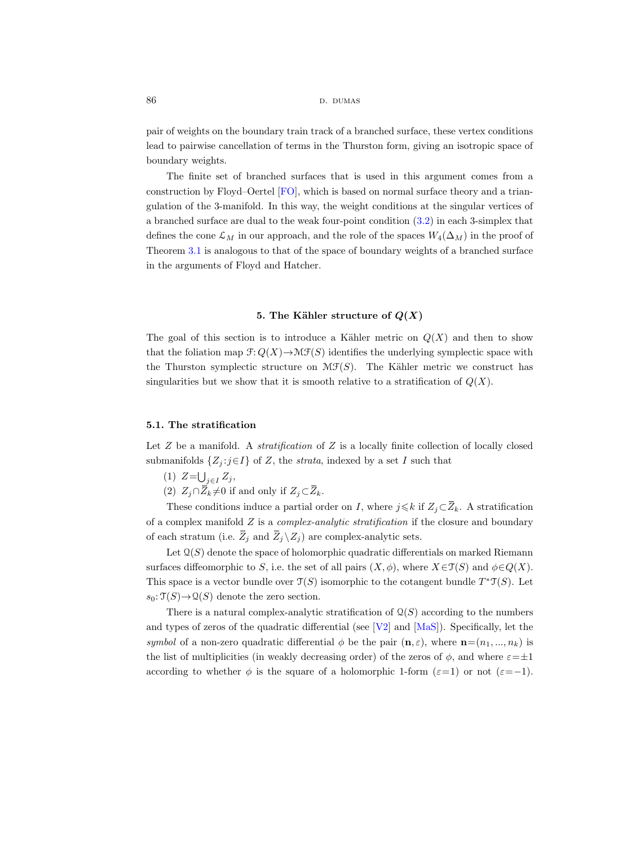pair of weights on the boundary train track of a branched surface, these vertex conditions lead to pairwise cancellation of terms in the Thurston form, giving an isotropic space of boundary weights.

The finite set of branched surfaces that is used in this argument comes from a construction by Floyd–Oertel [\[FO\]](#page-69-13), which is based on normal surface theory and a triangulation of the 3-manifold. In this way, the weight conditions at the singular vertices of a branched surface are dual to the weak four-point condition [\(3.2\)](#page-20-0) in each 3-simplex that defines the cone  $\mathcal{L}_M$  in our approach, and the role of the spaces  $W_4(\Delta_M)$  in the proof of Theorem [3.1](#page-15-1) is analogous to that of the space of boundary weights of a branched surface in the arguments of Floyd and Hatcher.

## 5. The Kähler structure of  $Q(X)$

<span id="page-31-0"></span>The goal of this section is to introduce a Kähler metric on  $Q(X)$  and then to show that the foliation map  $\mathfrak{F}: Q(X) \to \mathcal{MF}(S)$  identifies the underlying symplectic space with the Thurston symplectic structure on  $M\mathcal{F}(S)$ . The Kähler metric we construct has singularities but we show that it is smooth relative to a stratification of  $Q(X)$ .

## 5.1. The stratification

Let  $Z$  be a manifold. A *stratification* of  $Z$  is a locally finite collection of locally closed submanifolds  $\{Z_j : j \in I\}$  of Z, the strata, indexed by a set I such that

(1)  $Z = \bigcup_{j \in I} Z_j$ ,

(2)  $Z_j \cap \overline{Z}_k \neq 0$  if and only if  $Z_j \subset \overline{Z}_k$ .

These conditions induce a partial order on I, where  $j \leq k$  if  $Z_j \subset \overline{Z}_k$ . A stratification of a complex manifold  $Z$  is a *complex-analytic stratification* if the closure and boundary of each stratum (i.e.  $\overline{Z}_j$  and  $\overline{Z}_j \backslash Z_j$ ) are complex-analytic sets.

Let  $\mathcal{Q}(S)$  denote the space of holomorphic quadratic differentials on marked Riemann surfaces diffeomorphic to S, i.e. the set of all pairs  $(X, \phi)$ , where  $X \in \mathcal{T}(S)$  and  $\phi \in Q(X)$ . This space is a vector bundle over  $\mathfrak{T}(S)$  isomorphic to the cotangent bundle  $T^*\mathfrak{T}(S)$ . Let  $s_0: \mathfrak{T}(S) \rightarrow \mathfrak{Q}(S)$  denote the zero section.

There is a natural complex-analytic stratification of  $\mathcal{Q}(S)$  according to the numbers and types of zeros of the quadratic differential (see  $[V2]$  and  $[MaS]$ ). Specifically, let the symbol of a non-zero quadratic differential  $\phi$  be the pair  $(\mathbf{n}, \varepsilon)$ , where  $\mathbf{n} = (n_1, ..., n_k)$  is the list of multiplicities (in weakly decreasing order) of the zeros of  $\phi$ , and where  $\varepsilon = \pm 1$ according to whether  $\phi$  is the square of a holomorphic 1-form ( $\varepsilon=1$ ) or not ( $\varepsilon=-1$ ).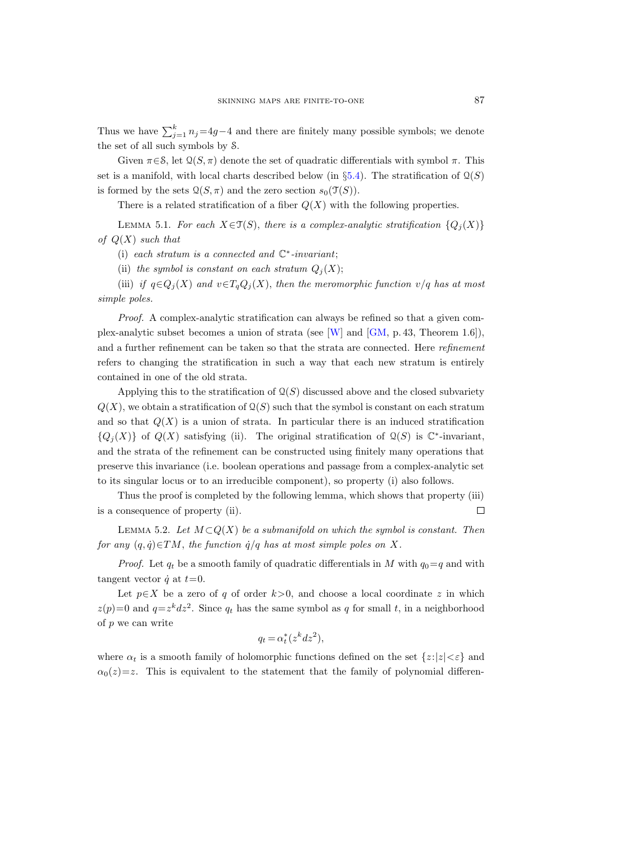Thus we have  $\sum_{j=1}^{k} n_j = 4g-4$  and there are finitely many possible symbols; we denote the set of all such symbols by S.

Given  $\pi \in \mathcal{S}$ , let  $\mathcal{Q}(S, \pi)$  denote the set of quadratic differentials with symbol  $\pi$ . This set is a manifold, with local charts described below (in §[5.4\)](#page-37-0). The stratification of  $Q(S)$ is formed by the sets  $\mathcal{Q}(S,\pi)$  and the zero section  $s_0(\mathcal{T}(S))$ .

There is a related stratification of a fiber  $Q(X)$  with the following properties.

<span id="page-32-0"></span>LEMMA 5.1. For each  $X \in \mathcal{T}(S)$ , there is a complex-analytic stratification  $\{Q_i(X)\}$ of  $Q(X)$  such that

- (i) each stratum is a connected and  $\mathbb{C}^*$ -invariant;
- (ii) the symbol is constant on each stratum  $Q_i(X)$ ;

(iii) if  $q \in Q_j(X)$  and  $v \in T_qQ_j(X)$ , then the meromorphic function  $v/q$  has at most simple poles.

Proof. A complex-analytic stratification can always be refined so that a given complex-analytic subset becomes a union of strata (see [\[W\]](#page-71-7) and [\[GM,](#page-70-15) p. 43, Theorem 1.6]), and a further refinement can be taken so that the strata are connected. Here refinement refers to changing the stratification in such a way that each new stratum is entirely contained in one of the old strata.

Applying this to the stratification of  $\mathcal{Q}(S)$  discussed above and the closed subvariety  $Q(X)$ , we obtain a stratification of  $Q(S)$  such that the symbol is constant on each stratum and so that  $Q(X)$  is a union of strata. In particular there is an induced stratification  ${Q_j(X)}$  of  $Q(X)$  satisfying (ii). The original stratification of  $Q(S)$  is  $\mathbb{C}^*$ -invariant, and the strata of the refinement can be constructed using finitely many operations that preserve this invariance (i.e. boolean operations and passage from a complex-analytic set to its singular locus or to an irreducible component), so property (i) also follows.

Thus the proof is completed by the following lemma, which shows that property (iii) is a consequence of property (ii).  $\Box$ 

LEMMA 5.2. Let  $M \subset Q(X)$  be a submanifold on which the symbol is constant. Then for any  $(q, \dot{q}) \in TM$ , the function  $\dot{q}/q$  has at most simple poles on X.

*Proof.* Let  $q_t$  be a smooth family of quadratic differentials in M with  $q_0=q$  and with tangent vector  $\dot{q}$  at  $t=0$ .

Let  $p \in X$  be a zero of q of order  $k>0$ , and choose a local coordinate z in which  $z(p)=0$  and  $q=z^k dz^2$ . Since  $q_t$  has the same symbol as q for small t, in a neighborhood of p we can write

$$
q_t = \alpha_t^*(z^k dz^2),
$$

where  $\alpha_t$  is a smooth family of holomorphic functions defined on the set  $\{z:|z|<\varepsilon\}$  and  $\alpha_0(z)=z$ . This is equivalent to the statement that the family of polynomial differen-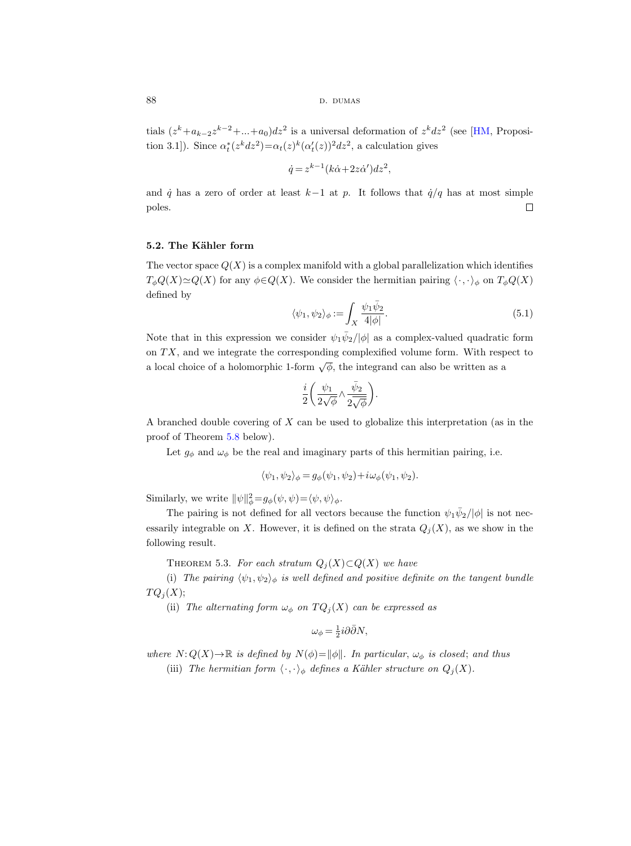tials  $(z^k + a_{k-2}z^{k-2} + ... + a_0)dz^2$  is a universal deformation of  $z^k dz^2$  (see [\[HM,](#page-70-16) Proposition 3.1]). Since  $\alpha_t^*(z^k dz^2) = \alpha_t(z)^k (\alpha_t'(z))^2 dz^2$ , a calculation gives

$$
\dot{q} = z^{k-1} (k\dot{\alpha} + 2z\dot{\alpha}') dz^2,
$$

and  $\dot{q}$  has a zero of order at least k−1 at p. It follows that  $\dot{q}/q$  has at most simple poles.  $\Box$ 

# 5.2. The Kähler form

The vector space  $Q(X)$  is a complex manifold with a global parallelization which identifies  $T_{\phi}Q(X) \simeq Q(X)$  for any  $\phi \in Q(X)$ . We consider the hermitian pairing  $\langle \cdot, \cdot \rangle_{\phi}$  on  $T_{\phi}Q(X)$ defined by

$$
\langle \psi_1, \psi_2 \rangle_{\phi} := \int_X \frac{\psi_1 \bar{\psi}_2}{4|\phi|}.
$$
\n(5.1)

Note that in this expression we consider  $\psi_1 \bar{\psi}_2 / |\phi|$  as a complex-valued quadratic form on  $TX$ , and we integrate the corresponding complexified volume form. With respect to a local choice of a holomorphic 1-form  $\sqrt{\phi}$ , the integrand can also be written as a

$$
\frac{i}{2}\bigg(\frac{\psi_1}{2\sqrt{\phi}}\wedge \frac{\bar{\psi}_2}{2\overline{\sqrt{\phi}}}\bigg).
$$

A branched double covering of X can be used to globalize this interpretation (as in the proof of Theorem [5.8](#page-40-0) below).

Let  $g_{\phi}$  and  $\omega_{\phi}$  be the real and imaginary parts of this hermitian pairing, i.e.

$$
\langle \psi_1, \psi_2 \rangle_{\phi} = g_{\phi}(\psi_1, \psi_2) + i \omega_{\phi}(\psi_1, \psi_2).
$$

Similarly, we write  $\|\psi\|_{\phi}^2 = g_{\phi}(\psi, \psi) = \langle \psi, \psi \rangle_{\phi}$ .

The pairing is not defined for all vectors because the function  $\psi_1 \bar{\psi}_2 / |\phi|$  is not necessarily integrable on X. However, it is defined on the strata  $Q_j(X)$ , as we show in the following result.

THEOREM 5.3. For each stratum  $Q_i(X) \subset Q(X)$  we have

(i) The pairing  $\langle \psi_1, \psi_2 \rangle_{\phi}$  is well defined and positive definite on the tangent bundle  $TQ_i(X);$ 

(ii) The alternating form  $\omega_{\phi}$  on  $TQ_j(X)$  can be expressed as

$$
\omega_{\phi}=\tfrac{1}{2}i\partial\bar{\partial}N,
$$

where  $N: Q(X) \to \mathbb{R}$  is defined by  $N(\phi) = ||\phi||$ . In particular,  $\omega_{\phi}$  is closed; and thus (iii) The hermitian form  $\langle \cdot, \cdot \rangle_{\phi}$  defines a Kähler structure on  $Q_j(X)$ .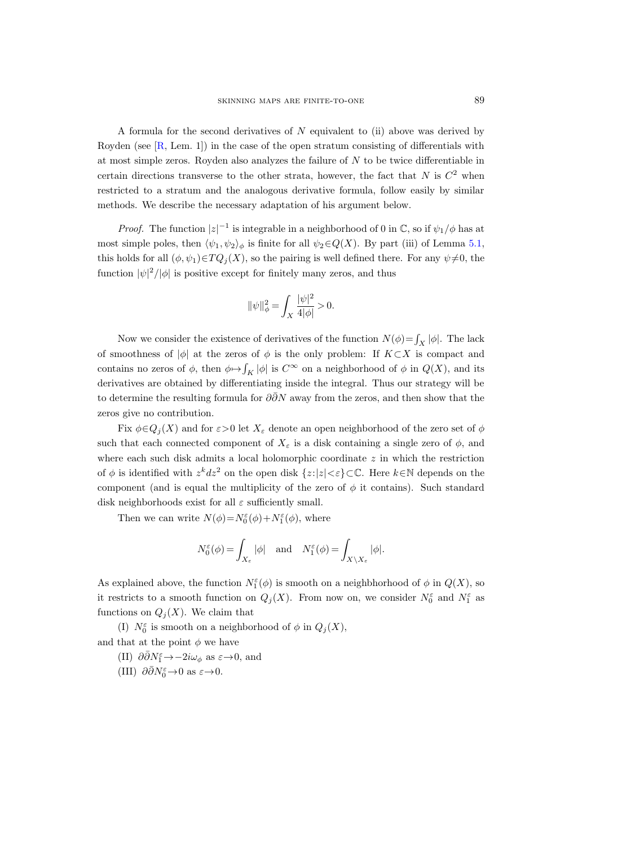A formula for the second derivatives of N equivalent to (ii) above was derived by Royden (see [\[R,](#page-71-8) Lem. 1]) in the case of the open stratum consisting of differentials with at most simple zeros. Royden also analyzes the failure of  $N$  to be twice differentiable in certain directions transverse to the other strata, however, the fact that N is  $C^2$  when restricted to a stratum and the analogous derivative formula, follow easily by similar methods. We describe the necessary adaptation of his argument below.

*Proof.* The function  $|z|^{-1}$  is integrable in a neighborhood of 0 in  $\mathbb{C}$ , so if  $\psi_1/\phi$  has at most simple poles, then  $\langle \psi_1, \psi_2 \rangle_\phi$  is finite for all  $\psi_2 \in Q(X)$ . By part (iii) of Lemma [5.1,](#page-32-0) this holds for all  $(\phi, \psi_1) \in TQ_j(X)$ , so the pairing is well defined there. For any  $\psi \neq 0$ , the function  $|\psi|^2/|\phi|$  is positive except for finitely many zeros, and thus

$$
\|\psi\|_\phi^2=\int_X\frac{|\psi|^2}{4|\phi|}>0.
$$

Now we consider the existence of derivatives of the function  $N(\phi) = \int_X |\phi|$ . The lack of smoothness of  $|\phi|$  at the zeros of  $\phi$  is the only problem: If  $K\subset X$  is compact and contains no zeros of  $\phi$ , then  $\phi \mapsto \int_K |\phi|$  is  $C^{\infty}$  on a neighborhood of  $\phi$  in  $Q(X)$ , and its derivatives are obtained by differentiating inside the integral. Thus our strategy will be to determine the resulting formula for  $\partial \partial N$  away from the zeros, and then show that the zeros give no contribution.

Fix  $\phi \in Q_i(X)$  and for  $\varepsilon > 0$  let  $X_{\varepsilon}$  denote an open neighborhood of the zero set of  $\phi$ such that each connected component of  $X_{\varepsilon}$  is a disk containing a single zero of  $\phi$ , and where each such disk admits a local holomorphic coordinate  $z$  in which the restriction of  $\phi$  is identified with  $z^k dz^2$  on the open disk  $\{z:|z|<\varepsilon\} \subset \mathbb{C}$ . Here  $k \in \mathbb{N}$  depends on the component (and is equal the multiplicity of the zero of  $\phi$  it contains). Such standard disk neighborhoods exist for all  $\varepsilon$  sufficiently small.

Then we can write  $N(\phi) = N_0^{\varepsilon}(\phi) + N_1^{\varepsilon}(\phi)$ , where

$$
N_0^{\varepsilon}(\phi) = \int_{X_{\varepsilon}} |\phi| \quad \text{and} \quad N_1^{\varepsilon}(\phi) = \int_{X \setminus X_{\varepsilon}} |\phi|.
$$

As explained above, the function  $N_1^{\varepsilon}(\phi)$  is smooth on a neighbhorhood of  $\phi$  in  $Q(X)$ , so it restricts to a smooth function on  $Q_j(X)$ . From now on, we consider  $N_0^{\varepsilon}$  and  $N_1^{\varepsilon}$  as functions on  $Q_i(X)$ . We claim that

(I)  $N_0^{\varepsilon}$  is smooth on a neighborhood of  $\phi$  in  $Q_j(X)$ ,

and that at the point  $\phi$  we have

- (II)  $\,\partial \bar{\partial} N_1^{\varepsilon} \! \rightarrow \! -2i \omega_\phi$  as  $\varepsilon \! \rightarrow \! 0,$  and
- (III)  $\,\partial \bar{\partial} N_0^{\varepsilon} \!\rightarrow\! 0$  as  $\varepsilon\!\rightarrow\! 0.$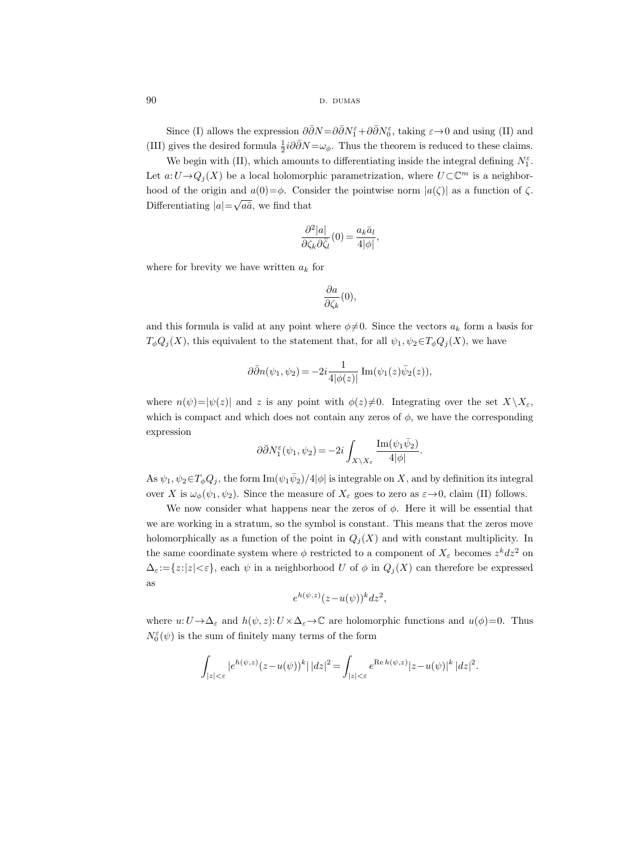90 d. DUMAS

Since (I) allows the expression  $\partial \bar{\partial} N = \partial \bar{\partial} N_1^{\varepsilon} + \partial \bar{\partial} N_0^{\varepsilon}$ , taking  $\varepsilon \to 0$  and using (II) and (III) gives the desired formula  $\frac{1}{2}i\partial\bar{\partial}N=\omega_{\phi}$ . Thus the theorem is reduced to these claims.

We begin with (II), which amounts to differentiating inside the integral defining  $N_1^{\varepsilon}$ . Let  $a: U \to Q_j(X)$  be a local holomorphic parametrization, where  $U \subset \mathbb{C}^m$  is a neighborhood of the origin and  $a(0) = \phi$ . Consider the pointwise norm  $|a(\zeta)|$  as a function of  $\zeta$ . Differentiating  $|a| = \sqrt{a\overline{a}}$ , we find that

$$
\frac{\partial^2 |a|}{\partial \zeta_k \partial \bar{\zeta}_l}(0) = \frac{a_k \bar{a}_l}{4|\phi|},
$$

where for brevity we have written  $a_k$  for

$$
\frac{\partial a}{\partial \zeta_k}(0),
$$

and this formula is valid at any point where  $\phi \neq 0$ . Since the vectors  $a_k$  form a basis for  $T_{\phi}Q_j(X)$ , this equivalent to the statement that, for all  $\psi_1, \psi_2 \in T_{\phi}Q_j(X)$ , we have

$$
\partial\bar{\partial}n(\psi_1,\psi_2) = -2i\frac{1}{4|\phi(z)|}\operatorname{Im}(\psi_1(z)\bar{\psi}_2(z)),
$$

where  $n(\psi)=|\psi(z)|$  and z is any point with  $\phi(z)\neq0$ . Integrating over the set  $X\setminus X_{\varepsilon}$ , which is compact and which does not contain any zeros of  $\phi$ , we have the corresponding expression

$$
\partial\bar{\partial} N_1^\varepsilon(\psi_1,\psi_2)=-2i\int_{X\backslash X_\varepsilon}\frac{\text{Im}(\psi_1\bar{\psi}_2)}{4|\phi|}.
$$

As  $\psi_1, \psi_2 \in T_\phi Q_j$ , the form  $\text{Im}(\psi_1 \bar{\psi}_2)/4 |\phi|$  is integrable on X, and by definition its integral over X is  $\omega_{\phi}(\psi_1, \psi_2)$ . Since the measure of  $X_{\varepsilon}$  goes to zero as  $\varepsilon \to 0$ , claim (II) follows.

We now consider what happens near the zeros of  $\phi$ . Here it will be essential that we are working in a stratum, so the symbol is constant. This means that the zeros move holomorphically as a function of the point in  $Q_i(X)$  and with constant multiplicity. In the same coordinate system where  $\phi$  restricted to a component of  $X_{\varepsilon}$  becomes  $z^k dz^2$  on  $\Delta_{\varepsilon}:=\{z:|z|<\varepsilon\}$ , each  $\psi$  in a neighborhood U of  $\phi$  in  $Q_i(X)$  can therefore be expressed as

$$
e^{h(\psi,z)}(z-u(\psi))^k dz^2,
$$

where  $u:U\to\Delta_{\varepsilon}$  and  $h(\psi, z):U\times\Delta_{\varepsilon}\to\mathbb{C}$  are holomorphic functions and  $u(\phi)=0$ . Thus  $N_0^\varepsilon(\psi)$  is the sum of finitely many terms of the form

$$
\int_{|z|<\varepsilon} |e^{h(\psi,z)}(z-u(\psi))^k|\, |dz|^2 = \int_{|z|<\varepsilon} e^{\operatorname{Re} h(\psi,z)}|z-u(\psi)|^k\, |dz|^2.
$$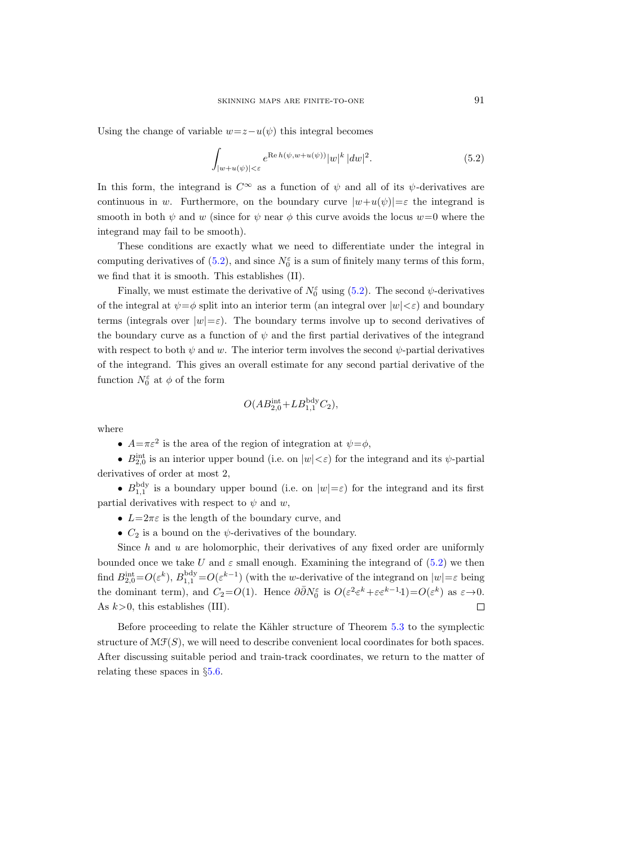Using the change of variable  $w=z-u(\psi)$  this integral becomes

<span id="page-36-0"></span>
$$
\int_{|w+u(\psi)|<\varepsilon} e^{\operatorname{Re}h(\psi,w+u(\psi))}|w|^k |dw|^2.
$$
\n(5.2)

In this form, the integrand is  $C^{\infty}$  as a function of  $\psi$  and all of its  $\psi$ -derivatives are continuous in w. Furthermore, on the boundary curve  $|w+u(\psi)|=\varepsilon$  the integrand is smooth in both  $\psi$  and w (since for  $\psi$  near  $\phi$  this curve avoids the locus  $w=0$  where the integrand may fail to be smooth).

These conditions are exactly what we need to differentiate under the integral in computing derivatives of  $(5.2)$ , and since  $N_0^{\varepsilon}$  is a sum of finitely many terms of this form, we find that it is smooth. This establishes (II).

Finally, we must estimate the derivative of  $N_0^{\varepsilon}$  using [\(5.2\)](#page-36-0). The second  $\psi$ -derivatives of the integral at  $\psi = \phi$  split into an interior term (an integral over  $|w| < \varepsilon$ ) and boundary terms (integrals over  $|w| = \varepsilon$ ). The boundary terms involve up to second derivatives of the boundary curve as a function of  $\psi$  and the first partial derivatives of the integrand with respect to both  $\psi$  and w. The interior term involves the second  $\psi$ -partial derivatives of the integrand. This gives an overall estimate for any second partial derivative of the function  $N_0^{\varepsilon}$  at  $\phi$  of the form

$$
O(AB_{2,0}^{\text{int}} + LB_{1,1}^{\text{bdy}}C_2),
$$

where

•  $A=\pi\varepsilon^2$  is the area of the region of integration at  $\psi=\phi$ ,

•  $B_{2,0}^{\text{int}}$  is an interior upper bound (i.e. on  $|w| < \varepsilon$ ) for the integrand and its  $\psi$ -partial derivatives of order at most 2,

•  $B_{1,1}^{\text{bdy}}$  is a boundary upper bound (i.e. on  $|w|=\varepsilon$ ) for the integrand and its first partial derivatives with respect to  $\psi$  and  $w$ ,

- $L=2\pi\varepsilon$  is the length of the boundary curve, and
- $C_2$  is a bound on the  $\psi$ -derivatives of the boundary.

Since  $h$  and  $u$  are holomorphic, their derivatives of any fixed order are uniformly bounded once we take U and  $\varepsilon$  small enough. Examining the integrand of [\(5.2\)](#page-36-0) we then find  $B_{2,0}^{\text{int}}=O(\varepsilon^k)$ ,  $B_{1,1}^{\text{bdy}}=O(\varepsilon^{k-1})$  (with the w-derivative of the integrand on  $|w|=\varepsilon$  being the dominant term), and  $C_2 = O(1)$ . Hence  $\partial \bar{\partial} N_0^{\varepsilon}$  is  $O(\varepsilon^2 \varepsilon^k + \varepsilon \varepsilon^{k-1} \cdot 1) = O(\varepsilon^k)$  as  $\varepsilon \to 0$ . As  $k>0$ , this establishes (III).  $\Box$ 

Before proceeding to relate the Kähler structure of Theorem [5.3](#page-33-0) to the symplectic structure of  $\mathcal{MF}(S)$ , we will need to describe convenient local coordinates for both spaces. After discussing suitable period and train-track coordinates, we return to the matter of relating these spaces in §[5.6.](#page-39-0)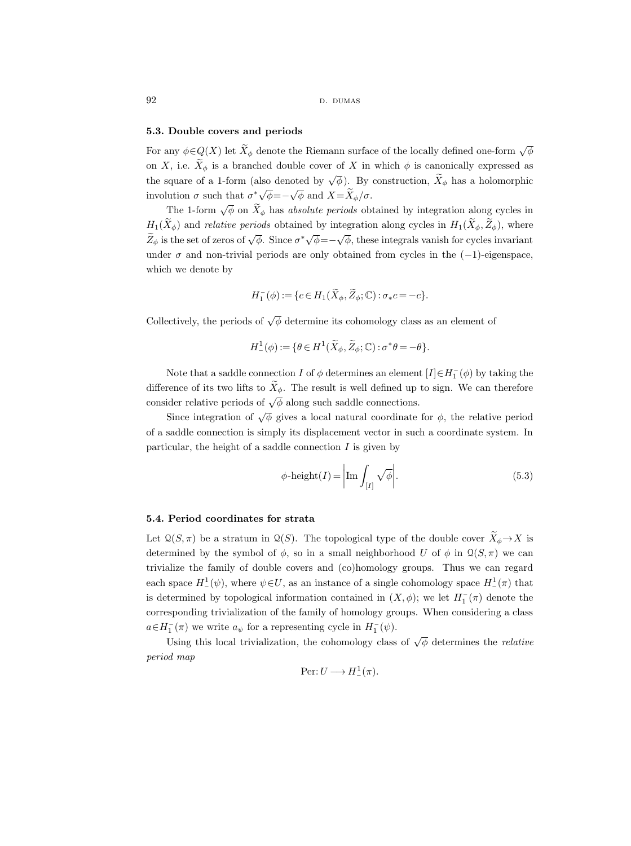### 5.3. Double covers and periods

For any  $\phi{\in}Q(X)$  let  $\widetilde X_\phi$  denote the Riemann surface of the locally defined one-form  $\sqrt{\phi}$ on X, i.e.  $\tilde{X}_{\phi}$  is a branched double cover of X in which  $\phi$  is canonically expressed as the square of a 1-form (also denoted by  $\sqrt{\phi}$ ). By construction,  $\widetilde{X}_{\phi}$  has a holomorphic involution  $\sigma$  such that  $\sigma^* \sqrt{\phi} = -\sqrt{\phi}$  and  $X = \widetilde{X}_{\phi}/\sigma$ .

The 1-form  $\sqrt{\phi}$  on  $\widetilde{X}_{\phi}$  has absolute periods obtained by integration along cycles in  $H_1(\widetilde{X}_\phi)$  and relative periods obtained by integration along cycles in  $H_1(\widetilde{X}_\phi, \widetilde{Z}_\phi)$ , where  $\widetilde{Z}_{\phi}$  is the set of zeros of  $\sqrt{\phi}$ . Since  $\sigma^* \sqrt{\phi} = -\sqrt{\phi}$ , these integrals vanish for cycles invariant under  $\sigma$  and non-trivial periods are only obtained from cycles in the  $(-1)$ -eigenspace, which we denote by

$$
H_1^-(\phi) := \{c \in H_1(\widetilde{X}_{\phi}, \widetilde{Z}_{\phi}; \mathbb{C}) : \sigma_* c = -c\}.
$$

Collectively, the periods of  $\sqrt{\phi}$  determine its cohomology class as an element of

$$
H_-^1(\phi) := \{ \theta \in H^1(\widetilde{X}_\phi, \widetilde{Z}_\phi; \mathbb{C}) : \sigma^* \theta = -\theta \}.
$$

Note that a saddle connection  $I$  of  $\phi$  determines an element  $[I] \in H_1^-(\phi)$  by taking the difference of its two lifts to  $\tilde{X}_{\phi}$ . The result is well defined up to sign. We can therefore consider relative periods of  $\sqrt{\phi}$  along such saddle connections.

Since integration of  $\sqrt{\phi}$  gives a local natural coordinate for  $\phi$ , the relative period of a saddle connection is simply its displacement vector in such a coordinate system. In particular, the height of a saddle connection  $I$  is given by

$$
\phi\text{-height}(I) = \left| \text{Im} \int_{[I]} \sqrt{\phi} \right|.
$$
\n(5.3)

## 5.4. Period coordinates for strata

Let  $\mathcal{Q}(S,\pi)$  be a stratum in  $\mathcal{Q}(S)$ . The topological type of the double cover  $X_{\phi} \to X$  is determined by the symbol of  $\phi$ , so in a small neighborhood U of  $\phi$  in  $\mathcal{Q}(S,\pi)$  we can trivialize the family of double covers and (co)homology groups. Thus we can regard each space  $H^1_-(\psi)$ , where  $\psi \in U$ , as an instance of a single cohomology space  $H^1_-(\pi)$  that is determined by topological information contained in  $(X, \phi)$ ; we let  $H_1^-(\pi)$  denote the corresponding trivialization of the family of homology groups. When considering a class  $a \in H_1^-(\pi)$  we write  $a_{\psi}$  for a representing cycle in  $H_1^-(\psi)$ .

Using this local trivialization, the cohomology class of  $\sqrt{\phi}$  determines the *relative* period map

$$
Per: U \longrightarrow H^1_-(\pi).
$$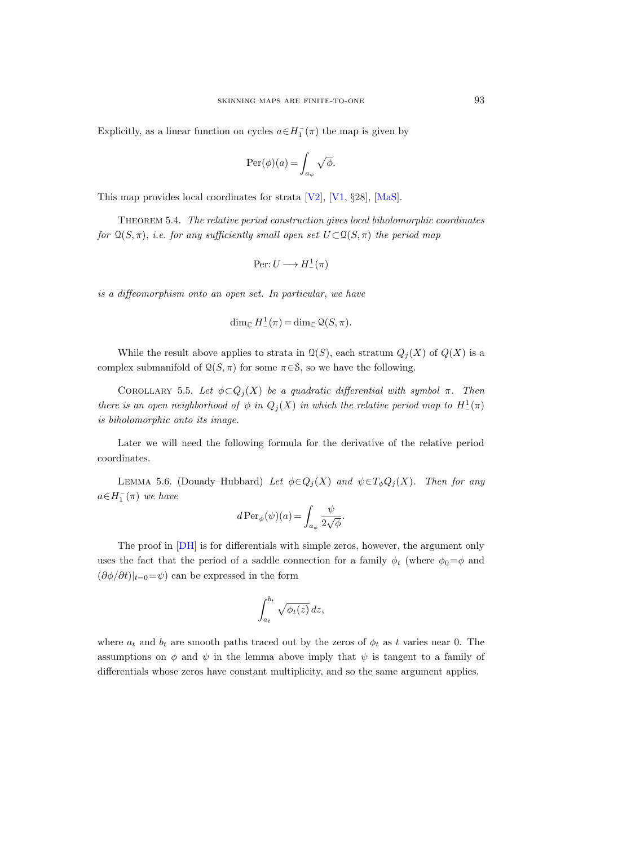Explicitly, as a linear function on cycles  $a \in H_1^-(\pi)$  the map is given by

$$
\operatorname{Per}(\phi)(a) = \int_{a_{\phi}} \sqrt{\phi}.
$$

This map provides local coordinates for strata [\[V2\]](#page-71-0), [\[V1,](#page-71-1) §28], [\[MaS\]](#page-70-0).

Theorem 5.4. The relative period construction gives local biholomorphic coordinates for  $\mathfrak{Q}(S,\pi)$ , i.e. for any sufficiently small open set  $U \subset \mathfrak{Q}(S,\pi)$  the period map

$$
Per: U \longrightarrow H^1_-(\pi)
$$

is a diffeomorphism onto an open set. In particular, we have

$$
\dim_{\mathbb{C}} H^1_-(\pi) = \dim_{\mathbb{C}} \mathcal{Q}(S, \pi).
$$

While the result above applies to strata in  $\mathcal{Q}(S)$ , each stratum  $Q_i(X)$  of  $Q(X)$  is a complex submanifold of  $\mathcal{Q}(S, \pi)$  for some  $\pi \in \mathcal{S}$ , so we have the following.

<span id="page-38-0"></span>COROLLARY 5.5. Let  $\phi \subset Q_i(X)$  be a quadratic differential with symbol  $\pi$ . Then there is an open neighborhood of  $\phi$  in  $Q_j(X)$  in which the relative period map to  $H^1(\pi)$ is biholomorphic onto its image.

Later we will need the following formula for the derivative of the relative period coordinates.

<span id="page-38-1"></span>LEMMA 5.6. (Douady–Hubbard) Let  $\phi \in Q_j(X)$  and  $\psi \in T_{\phi}Q_j(X)$ . Then for any  $a \in H_1^-(\pi)$  we have

$$
d\operatorname{Per}_{\phi}(\psi)(a) = \int_{a_{\phi}} \frac{\psi}{2\sqrt{\phi}}.
$$

The proof in [\[DH\]](#page-69-0) is for differentials with simple zeros, however, the argument only uses the fact that the period of a saddle connection for a family  $\phi_t$  (where  $\phi_0 = \phi$  and  $(\partial \phi / \partial t)|_{t=0} = \psi$  can be expressed in the form

$$
\int_{a_t}^{b_t} \sqrt{\phi_t(z)} \, dz,
$$

where  $a_t$  and  $b_t$  are smooth paths traced out by the zeros of  $\phi_t$  as t varies near 0. The assumptions on  $\phi$  and  $\psi$  in the lemma above imply that  $\psi$  is tangent to a family of differentials whose zeros have constant multiplicity, and so the same argument applies.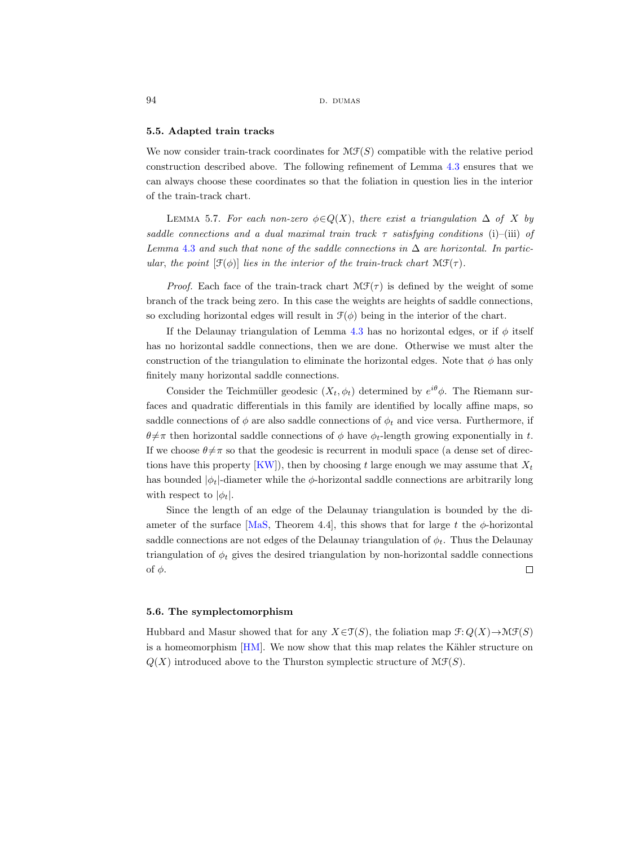#### 5.5. Adapted train tracks

We now consider train-track coordinates for  $Mf(S)$  compatible with the relative period construction described above. The following refinement of Lemma [4.3](#page-24-0) ensures that we can always choose these coordinates so that the foliation in question lies in the interior of the train-track chart.

<span id="page-39-1"></span>LEMMA 5.7. For each non-zero  $\phi \in Q(X)$ , there exist a triangulation  $\Delta$  of X by saddle connections and a dual maximal train track  $\tau$  satisfying conditions (i)–(iii) of Lemma [4.3](#page-24-0) and such that none of the saddle connections in  $\Delta$  are horizontal. In particular, the point  $[\mathfrak{F}(\phi)]$  lies in the interior of the train-track chart  $\mathcal{MF}(\tau)$ .

*Proof.* Each face of the train-track chart  $\mathcal{MF}(\tau)$  is defined by the weight of some branch of the track being zero. In this case the weights are heights of saddle connections, so excluding horizontal edges will result in  $\mathcal{F}(\phi)$  being in the interior of the chart.

If the Delaunay triangulation of Lemma [4.3](#page-24-0) has no horizontal edges, or if  $\phi$  itself has no horizontal saddle connections, then we are done. Otherwise we must alter the construction of the triangulation to eliminate the horizontal edges. Note that  $\phi$  has only finitely many horizontal saddle connections.

Consider the Teichmüller geodesic  $(X_t, \phi_t)$  determined by  $e^{i\theta}\phi$ . The Riemann surfaces and quadratic differentials in this family are identified by locally affine maps, so saddle connections of  $\phi$  are also saddle connections of  $\phi_t$  and vice versa. Furthermore, if  $\theta \neq \pi$  then horizontal saddle connections of  $\phi$  have  $\phi_t$ -length growing exponentially in t. If we choose  $\theta \neq \pi$  so that the geodesic is recurrent in moduli space (a dense set of directions have this property  $\lfloor KW \rfloor$ , then by choosing t large enough we may assume that  $X_t$ has bounded  $|\phi_t|$ -diameter while the  $\phi$ -horizontal saddle connections are arbitrarily long with respect to  $|\phi_t|$ .

Since the length of an edge of the Delaunay triangulation is bounded by the di-ameter of the surface [\[MaS,](#page-70-0) Theorem 4.4], this shows that for large t the  $\phi$ -horizontal saddle connections are not edges of the Delaunay triangulation of  $\phi_t$ . Thus the Delaunay triangulation of  $\phi_t$  gives the desired triangulation by non-horizontal saddle connections of  $φ$ .  $\Box$ 

### <span id="page-39-0"></span>5.6. The symplectomorphism

Hubbard and Masur showed that for any  $X \in \mathcal{T}(S)$ , the foliation map  $\mathcal{F}: Q(X) \to \mathcal{MF}(S)$ is a homeomorphism  $[HM]$ . We now show that this map relates the Kähler structure on  $Q(X)$  introduced above to the Thurston symplectic structure of  $\mathcal{MF}(S)$ .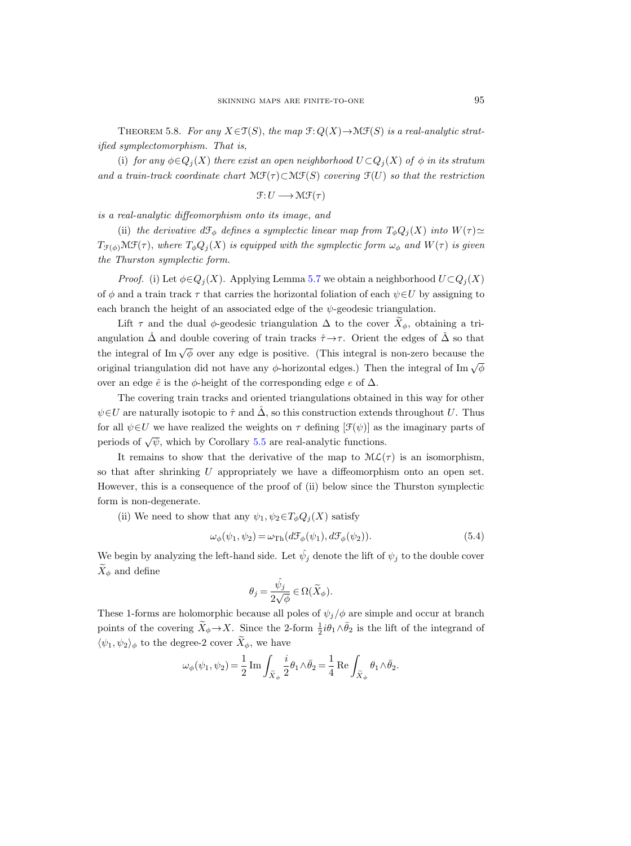<span id="page-40-0"></span>THEOREM 5.8. For any  $X \in \mathcal{T}(S)$ , the map  $\mathcal{F}: Q(X) \to \mathcal{MF}(S)$  is a real-analytic stratified symplectomorphism. That is,

(i) for any  $\phi \in Q_i(X)$  there exist an open neighborhood  $U \subset Q_i(X)$  of  $\phi$  in its stratum and a train-track coordinate chart  $\mathcal{MF}(\tau) \subset \mathcal{MF}(S)$  covering  $\mathcal{F}(U)$  so that the restriction

$$
\mathfrak{F}\!:\!U\longrightarrow \mathcal{MF}(\tau)
$$

is a real-analytic diffeomorphism onto its image, and

(ii) the derivative  $d\mathcal{F}_{\phi}$  defines a symplectic linear map from  $T_{\phi}Q_j(X)$  into  $W(\tau) \simeq$  $T_{\mathcal{F}(\phi)}\mathcal{MF}(\tau)$ , where  $T_{\phi}Q_j(X)$  is equipped with the symplectic form  $\omega_{\phi}$  and  $W(\tau)$  is given the Thurston symplectic form.

*Proof.* (i) Let  $\phi \in Q_i(X)$ . Applying Lemma [5.7](#page-39-1) we obtain a neighborhood  $U \subset Q_i(X)$ of  $\phi$  and a train track  $\tau$  that carries the horizontal foliation of each  $\psi \in U$  by assigning to each branch the height of an associated edge of the  $\psi$ -geodesic triangulation.

Lift  $\tau$  and the dual  $\phi$ -geodesic triangulation  $\Delta$  to the cover  $\tilde{X}_{\phi}$ , obtaining a triangulation  $\hat{\Delta}$  and double covering of train tracks  $\hat{\tau} \to \tau$ . Orient the edges of  $\hat{\Delta}$  so that the integral of Im  $\sqrt{\phi}$  over any edge is positive. (This integral is non-zero because the original triangulation did not have any φ-horizontal edges.) Then the integral of Im  $\sqrt{\phi}$ over an edge  $\hat{e}$  is the  $\phi$ -height of the corresponding edge e of  $\Delta$ .

The covering train tracks and oriented triangulations obtained in this way for other  $\psi \in U$  are naturally isotopic to  $\hat{\tau}$  and  $\hat{\Delta}$ , so this construction extends throughout U. Thus for all  $\psi \in U$  we have realized the weights on  $\tau$  defining  $[\mathcal{F}(\psi)]$  as the imaginary parts of periods of  $\sqrt{\psi}$ , which by Corollary [5.5](#page-38-0) are real-analytic functions.

It remains to show that the derivative of the map to  $\mathcal{ML}(\tau)$  is an isomorphism, so that after shrinking U appropriately we have a diffeomorphism onto an open set. However, this is a consequence of the proof of (ii) below since the Thurston symplectic form is non-degenerate.

(ii) We need to show that any  $\psi_1, \psi_2 \in T_{\phi}Q_j(X)$  satisfy

$$
\omega_{\phi}(\psi_1, \psi_2) = \omega_{\text{Th}}(d\mathcal{F}_{\phi}(\psi_1), d\mathcal{F}_{\phi}(\psi_2)).\tag{5.4}
$$

We begin by analyzing the left-hand side. Let  $\hat{\psi}_j$  denote the lift of  $\psi_j$  to the double cover  $X_{\phi}$  and define

$$
\theta_j = \frac{\hat{\psi}_j}{2\sqrt{\phi}} \in \Omega(\widetilde{X}_\phi).
$$

These 1-forms are holomorphic because all poles of  $\psi_i/\phi$  are simple and occur at branch points of the covering  $\widetilde{X}_{\phi} \to X$ . Since the 2-form  $\frac{1}{2}i\theta_1 \wedge \overline{\theta}_2$  is the lift of the integrand of  $\langle \psi_1, \psi_2 \rangle_{\phi}$  to the degree-2 cover  $X_{\phi}$ , we have

$$
\omega_{\phi}(\psi_1, \psi_2) = \frac{1}{2} \operatorname{Im} \int_{\tilde{X}_{\phi}} \frac{i}{2} \theta_1 \wedge \bar{\theta}_2 = \frac{1}{4} \operatorname{Re} \int_{\tilde{X}_{\phi}} \theta_1 \wedge \bar{\theta}_2.
$$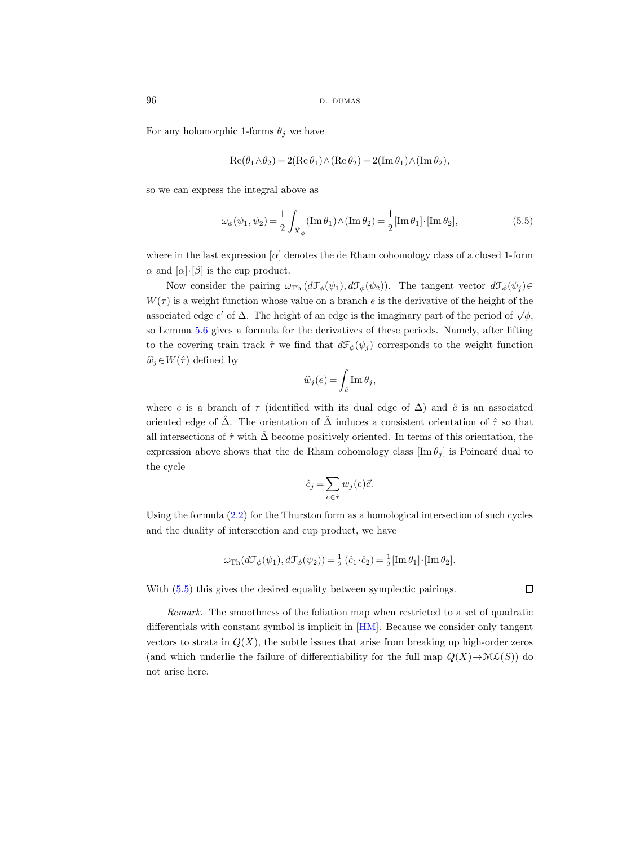For any holomorphic 1-forms  $\theta_j$  we have

$$
\operatorname{Re}(\theta_1 \wedge \overline{\theta}_2) = 2(\operatorname{Re} \theta_1) \wedge (\operatorname{Re} \theta_2) = 2(\operatorname{Im} \theta_1) \wedge (\operatorname{Im} \theta_2),
$$

so we can express the integral above as

<span id="page-41-0"></span>
$$
\omega_{\phi}(\psi_1, \psi_2) = \frac{1}{2} \int_{\tilde{X}_{\phi}} (\text{Im } \theta_1) \wedge (\text{Im } \theta_2) = \frac{1}{2} [\text{Im } \theta_1] \cdot [\text{Im } \theta_2], \tag{5.5}
$$

where in the last expression  $\alpha$  denotes the de Rham cohomology class of a closed 1-form  $\alpha$  and  $\alpha$  |  $\beta$  is the cup product.

Now consider the pairing  $\omega_{\text{Th}}(d\mathcal{F}_{\phi}(\psi_1), d\mathcal{F}_{\phi}(\psi_2))$ . The tangent vector  $d\mathcal{F}_{\phi}(\psi_j) \in$  $W(\tau)$  is a weight function whose value on a branch e is the derivative of the height of the associated edge e' of  $\Delta$ . The height of an edge is the imaginary part of the period of  $\sqrt{\phi}$ , so Lemma [5.6](#page-38-1) gives a formula for the derivatives of these periods. Namely, after lifting to the covering train track  $\hat{\tau}$  we find that  $d\mathcal{F}_{\phi}(\psi_i)$  corresponds to the weight function  $\widehat{w}_j \in W(\hat{\tau})$  defined by

$$
\widehat{w}_j(e) = \int_{\widehat{e}} \operatorname{Im} \theta_j,
$$

where e is a branch of  $\tau$  (identified with its dual edge of  $\Delta$ ) and  $\hat{e}$  is an associated oriented edge of  $\hat{\Delta}$ . The orientation of  $\hat{\Delta}$  induces a consistent orientation of  $\hat{\tau}$  so that all intersections of  $\hat{\tau}$  with  $\hat{\Delta}$  become positively oriented. In terms of this orientation, the expression above shows that the de Rham cohomology class  $[\text{Im } \theta_j]$  is Poincaré dual to the cycle

$$
\hat{c}_j = \sum_{e \in \hat{\tau}} w_j(e) \vec{e}.
$$

Using the formula [\(2.2\)](#page-14-0) for the Thurston form as a homological intersection of such cycles and the duality of intersection and cup product, we have

$$
\omega_{\text{Th}}(d\mathcal{F}_{\phi}(\psi_1), d\mathcal{F}_{\phi}(\psi_2)) = \frac{1}{2} (\hat{c}_1 \cdot \hat{c}_2) = \frac{1}{2} [\text{Im } \theta_1] \cdot [\text{Im } \theta_2].
$$

With  $(5.5)$  this gives the desired equality between symplectic pairings.

 $\Box$ 

Remark. The smoothness of the foliation map when restricted to a set of quadratic differentials with constant symbol is implicit in [\[HM\]](#page-70-2). Because we consider only tangent vectors to strata in  $Q(X)$ , the subtle issues that arise from breaking up high-order zeros (and which underlie the failure of differentiability for the full map  $Q(X) \to M\mathcal{L}(S)$ ) do not arise here.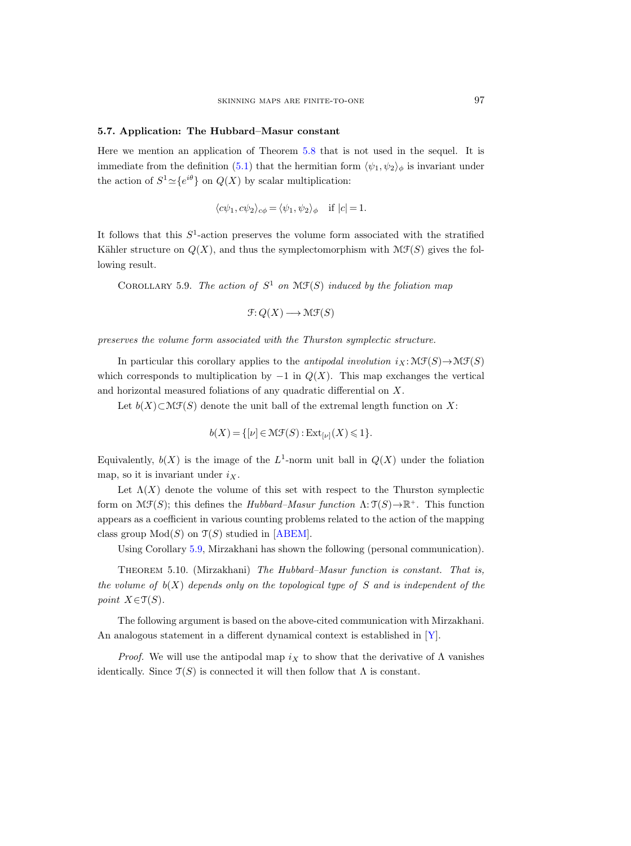## 5.7. Application: The Hubbard–Masur constant

Here we mention an application of Theorem [5.8](#page-40-0) that is not used in the sequel. It is immediate from the definition [\(5.1\)](#page-33-1) that the hermitian form  $\langle \psi_1, \psi_2 \rangle_{\phi}$  is invariant under the action of  $S^1 \simeq \{e^{i\theta}\}\$  on  $Q(X)$  by scalar multiplication:

$$
\langle c\psi_1, c\psi_2 \rangle_{c\phi} = \langle \psi_1, \psi_2 \rangle_{\phi}
$$
 if  $|c| = 1$ .

It follows that this  $S^1$ -action preserves the volume form associated with the stratified Kähler structure on  $Q(X)$ , and thus the symplectomorphism with  $\mathcal{MF}(S)$  gives the following result.

<span id="page-42-0"></span>COROLLARY 5.9. The action of  $S^1$  on  $\mathcal{MF}(S)$  induced by the foliation map

$$
\mathfrak{F}: Q(X) \longrightarrow \mathcal{MF}(S)
$$

preserves the volume form associated with the Thurston symplectic structure.

In particular this corollary applies to the *antipodal involution*  $i_X: \mathcal{MF}(S) \rightarrow \mathcal{MF}(S)$ which corresponds to multiplication by  $-1$  in  $Q(X)$ . This map exchanges the vertical and horizontal measured foliations of any quadratic differential on X.

Let  $b(X) \subset \mathcal{MF}(S)$  denote the unit ball of the extremal length function on X:

$$
b(X) = \{ [\nu] \in \mathcal{MF}(S) : \text{Ext}_{[\nu]}(X) \leq 1 \}.
$$

Equivalently,  $b(X)$  is the image of the  $L^1$ -norm unit ball in  $Q(X)$  under the foliation map, so it is invariant under  $i_X$ .

Let  $\Lambda(X)$  denote the volume of this set with respect to the Thurston symplectic form on  $\mathcal{MF}(S)$ ; this defines the *Hubbard–Masur function*  $\Lambda: \mathcal{T}(S) \to \mathbb{R}^+$ . This function appears as a coefficient in various counting problems related to the action of the mapping class group  $Mod(S)$  on  $\mathfrak{T}(S)$  studied in [\[ABEM\]](#page-69-1).

Using Corollary [5.9,](#page-42-0) Mirzakhani has shown the following (personal communication).

THEOREM 5.10. (Mirzakhani) The Hubbard–Masur function is constant. That is, the volume of  $b(X)$  depends only on the topological type of S and is independent of the point  $X \in \mathcal{T}(S)$ .

The following argument is based on the above-cited communication with Mirzakhani. An analogous statement in a different dynamical context is established in [\[Y\]](#page-71-2).

*Proof.* We will use the antipodal map  $i_X$  to show that the derivative of  $\Lambda$  vanishes identically. Since  $\mathfrak{T}(S)$  is connected it will then follow that  $\Lambda$  is constant.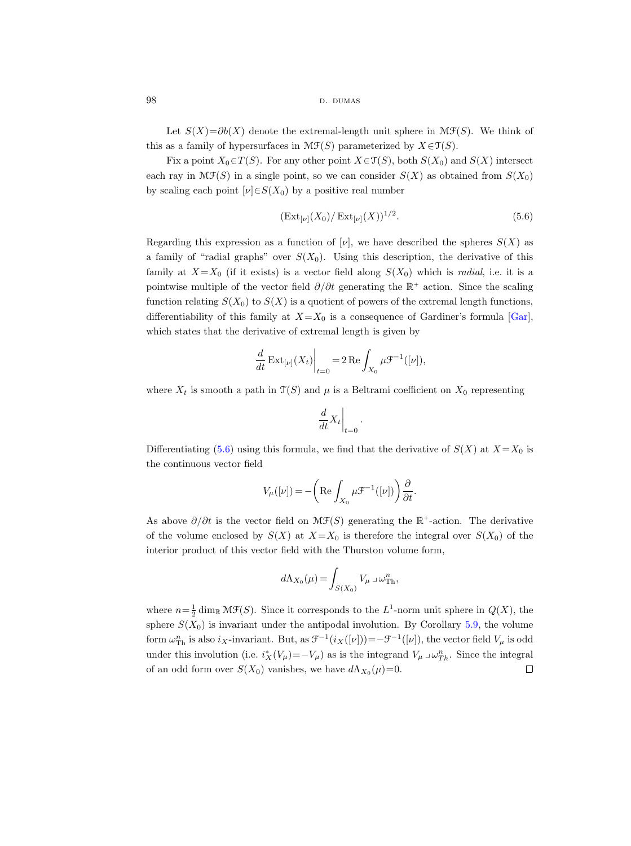Let  $S(X)=\partial b(X)$  denote the extremal-length unit sphere in M $\mathcal{F}(S)$ . We think of this as a family of hypersurfaces in  $\mathcal{MF}(S)$  parameterized by  $X \in \mathcal{T}(S)$ .

Fix a point  $X_0 \in T(S)$ . For any other point  $X \in T(S)$ , both  $S(X_0)$  and  $S(X)$  intersect each ray in  $\mathcal{MF}(S)$  in a single point, so we can consider  $S(X)$  as obtained from  $S(X_0)$ by scaling each point  $[\nu] \in S(X_0)$  by a positive real number

<span id="page-43-0"></span>
$$
(\text{Ext}_{[\nu]}(X_0)/\text{Ext}_{[\nu]}(X))^{1/2}.
$$
 (5.6)

Regarding this expression as a function of  $[\nu]$ , we have described the spheres  $S(X)$  as a family of "radial graphs" over  $S(X_0)$ . Using this description, the derivative of this family at  $X=X_0$  (if it exists) is a vector field along  $S(X_0)$  which is radial, i.e. it is a pointwise multiple of the vector field  $\partial/\partial t$  generating the  $\mathbb{R}^+$  action. Since the scaling function relating  $S(X_0)$  to  $S(X)$  is a quotient of powers of the extremal length functions, differentiability of this family at  $X=X_0$  is a consequence of Gardiner's formula [\[Gar\]](#page-70-3), which states that the derivative of extremal length is given by

$$
\frac{d}{dt} \operatorname{Ext}_{[\nu]}(X_t)\Big|_{t=0} = 2 \operatorname{Re} \int_{X_0} \mu \mathcal{F}^{-1}([\nu]),
$$

where  $X_t$  is smooth a path in  $\mathfrak{T}(S)$  and  $\mu$  is a Beltrami coefficient on  $X_0$  representing

$$
\left. \frac{d}{dt} X_t \right|_{t=0}.
$$

Differentiating [\(5.6\)](#page-43-0) using this formula, we find that the derivative of  $S(X)$  at  $X=X_0$  is the continuous vector field

$$
V_{\mu}([\nu]) = -\bigg(\mathrm{Re}\int_{X_0}\mu \mathcal{F}^{-1}([\nu])\bigg)\frac{\partial}{\partial t}.
$$

As above  $\partial/\partial t$  is the vector field on  $\mathcal{MF}(S)$  generating the  $\mathbb{R}^+$ -action. The derivative of the volume enclosed by  $S(X)$  at  $X=X_0$  is therefore the integral over  $S(X_0)$  of the interior product of this vector field with the Thurston volume form,

$$
d\Lambda_{X_0}(\mu) = \int_{S(X_0)} V_{\mu} \,\lrcorner\, \omega_{\text{Th}}^n,
$$

where  $n=\frac{1}{2}\dim_{\mathbb{R}}\mathcal{MF}(S)$ . Since it corresponds to the  $L^1$ -norm unit sphere in  $Q(X)$ , the sphere  $S(X_0)$  is invariant under the antipodal involution. By Corollary [5.9,](#page-42-0) the volume form  $\omega_{\text{Th}}^n$  is also  $i_X$ -invariant. But, as  $\mathcal{F}^{-1}(i_X([\nu])) = -\mathcal{F}^{-1}([\nu])$ , the vector field  $V_\mu$  is odd under this involution (i.e.  $i_X^*(V_\mu) = -V_\mu$ ) as is the integrand  $V_\mu \Box \omega_{Th}^n$ . Since the integral of an odd form over  $S(X_0)$  vanishes, we have  $d\Lambda_{X_0}(\mu)=0$ .  $\Box$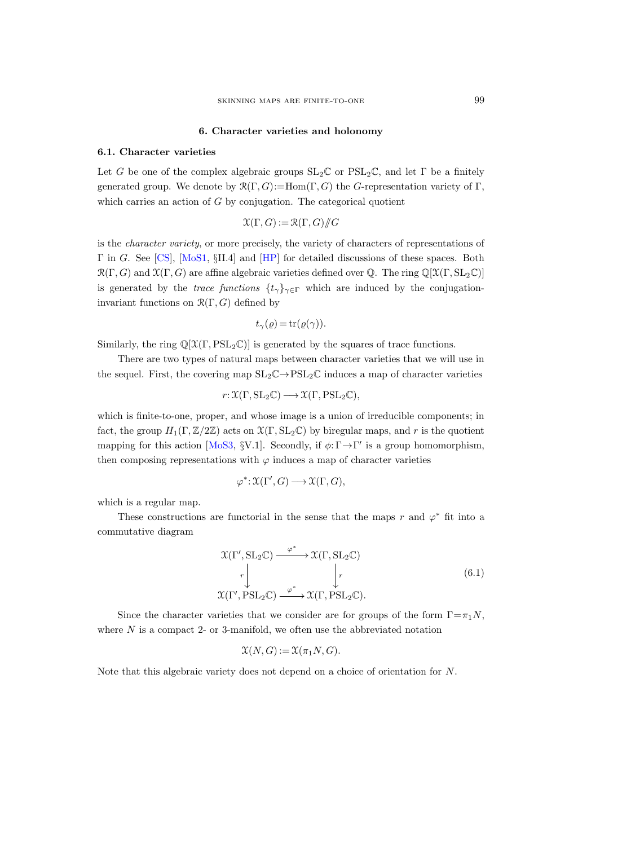### 6. Character varieties and holonomy

#### 6.1. Character varieties

Let G be one of the complex algebraic groups  $SL_2\mathbb{C}$  or  $PSL_2\mathbb{C}$ , and let  $\Gamma$  be a finitely generated group. We denote by  $\mathcal{R}(\Gamma, G) := \text{Hom}(\Gamma, G)$  the G-representation variety of Γ, which carries an action of  $G$  by conjugation. The categorical quotient

$$
\mathfrak{X}(\Gamma,G) := \mathfrak{R}(\Gamma,G)/\!\!/ G
$$

is the character variety, or more precisely, the variety of characters of representations of Γ in G. See [\[CS\]](#page-69-2), [\[MoS1,](#page-70-4) §II.4] and [\[HP\]](#page-70-5) for detailed discussions of these spaces. Both  $\mathcal{R}(\Gamma, G)$  and  $\mathcal{X}(\Gamma, G)$  are affine algebraic varieties defined over Q. The ring  $\mathbb{Q}[\mathcal{X}(\Gamma, SL_2\mathbb{C})]$ is generated by the *trace functions*  $\{t_{\gamma}\}_{\gamma \in \Gamma}$  which are induced by the conjugationinvariant functions on  $\mathcal{R}(\Gamma, G)$  defined by

$$
t_{\gamma}(\varrho) = \operatorname{tr}(\varrho(\gamma)).
$$

Similarly, the ring  $\mathbb{Q}[\mathfrak{X}(\Gamma, \mathrm{PSL}_2\mathbb{C})]$  is generated by the squares of trace functions.

There are two types of natural maps between character varieties that we will use in the sequel. First, the covering map  $SL_2\mathbb{C} \rightarrow PSL_2\mathbb{C}$  induces a map of character varieties

$$
r: \mathfrak{X}(\Gamma, \mathrm{SL}_2\mathbb{C}) \longrightarrow \mathfrak{X}(\Gamma, \mathrm{PSL}_2\mathbb{C}),
$$

which is finite-to-one, proper, and whose image is a union of irreducible components; in fact, the group  $H_1(\Gamma, \mathbb{Z}/2\mathbb{Z})$  acts on  $\mathfrak{X}(\Gamma, SL_2\mathbb{C})$  by biregular maps, and r is the quotient mapping for this action [\[MoS3,](#page-71-3) §V.1]. Secondly, if  $\phi: \Gamma \to \Gamma'$  is a group homomorphism, then composing representations with  $\varphi$  induces a map of character varieties

$$
\varphi^*\!:\!\mathfrak{X}(\Gamma',G)\longrightarrow\mathfrak{X}(\Gamma,G),
$$

which is a regular map.

These constructions are functorial in the sense that the maps r and  $\varphi^*$  fit into a commutative diagram

$$
\mathcal{X}(\Gamma', \text{SL}_2\mathbb{C}) \xrightarrow{\varphi^*} \mathcal{X}(\Gamma, \text{SL}_2\mathbb{C})
$$
\n
$$
r \downarrow \qquad \qquad \downarrow r
$$
\n
$$
\mathcal{X}(\Gamma', \text{PSL}_2\mathbb{C}) \xrightarrow{\varphi^*} \mathcal{X}(\Gamma, \text{PSL}_2\mathbb{C}).
$$
\n(6.1)

<span id="page-44-0"></span>Since the character varieties that we consider are for groups of the form  $\Gamma = \pi_1 N$ , where  $N$  is a compact 2- or 3-manifold, we often use the abbreviated notation

$$
\mathfrak{X}(N,G) := \mathfrak{X}(\pi_1 N, G).
$$

Note that this algebraic variety does not depend on a choice of orientation for N.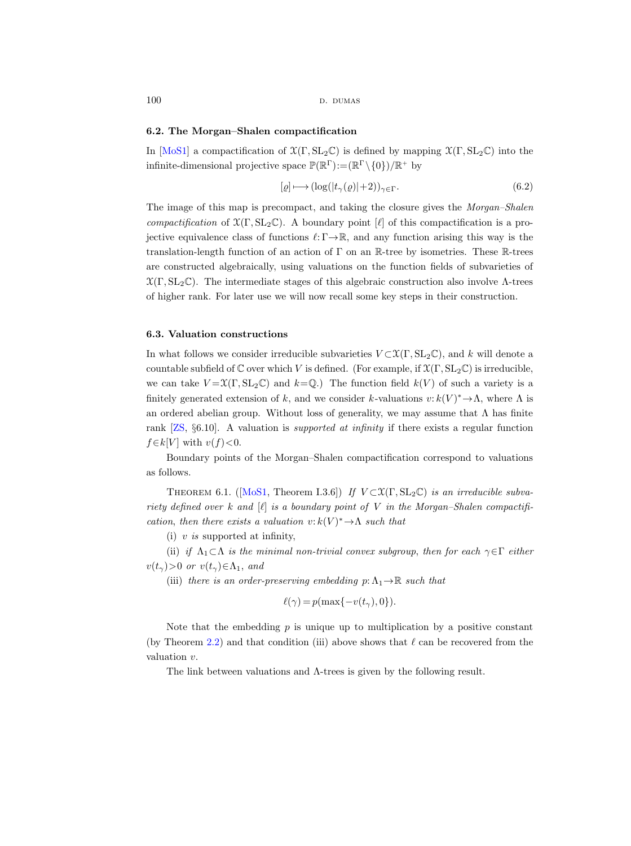#### <span id="page-45-1"></span>6.2. The Morgan–Shalen compactification

In [\[MoS1\]](#page-70-4) a compactification of  $\mathfrak{X}(\Gamma, SL_2\mathbb{C})$  is defined by mapping  $\mathfrak{X}(\Gamma, SL_2\mathbb{C})$  into the infinite-dimensional projective space  $\mathbb{P}(\mathbb{R}^{\Gamma})$ := $(\mathbb{R}^{\Gamma} \setminus \{0\})/\mathbb{R}^+$  by

<span id="page-45-2"></span>
$$
[\varrho] \longmapsto (\log(|t_{\gamma}(\varrho)|+2))_{\gamma \in \Gamma}.\tag{6.2}
$$

The image of this map is precompact, and taking the closure gives the Morgan–Shalen compactification of  $\mathfrak{X}(\Gamma, \mathrm{SL}_2\mathbb{C})$ . A boundary point [ $\ell$ ] of this compactification is a projective equivalence class of functions  $\ell: \Gamma \to \mathbb{R}$ , and any function arising this way is the translation-length function of an action of  $\Gamma$  on an  $\mathbb{R}$ -tree by isometries. These  $\mathbb{R}$ -trees are constructed algebraically, using valuations on the function fields of subvarieties of  $\mathfrak{X}(\Gamma, SL_2\mathbb{C})$ . The intermediate stages of this algebraic construction also involve Λ-trees of higher rank. For later use we will now recall some key steps in their construction.

## 6.3. Valuation constructions

In what follows we consider irreducible subvarieties  $V \subset \mathcal{X}(\Gamma, SL_2\mathbb{C})$ , and k will denote a countable subfield of  $\mathbb C$  over which V is defined. (For example, if  $\mathfrak X(\Gamma,\mathrm{SL}_2\mathbb C)$  is irreducible, we can take  $V = \mathfrak{X}(\Gamma, SL_2\mathbb{C})$  and  $k = \mathbb{Q}$ .) The function field  $k(V)$  of such a variety is a finitely generated extension of k, and we consider k-valuations  $v: k(V)^* \to \Lambda$ , where  $\Lambda$  is an ordered abelian group. Without loss of generality, we may assume that  $\Lambda$  has finite rank  $[ZS, §6.10]$ . A valuation is *supported at infinity* if there exists a regular function  $f \in k[V]$  with  $v(f) < 0$ .

Boundary points of the Morgan–Shalen compactification correspond to valuations as follows.

<span id="page-45-0"></span>THEOREM6.1. ( $[MoS1, Theorem I.3.6]$  $[MoS1, Theorem I.3.6]$ ) If  $V \subset \mathfrak{X}(\Gamma, SL_2\mathbb{C})$  is an irreducible subvariety defined over k and  $[\ell]$  is a boundary point of V in the Morgan–Shalen compactification, then there exists a valuation  $v: k(V)^* \to \Lambda$  such that

(i) v is supported at infinity,

(ii) if  $\Lambda_1 \subset \Lambda$  is the minimal non-trivial convex subgroup, then for each  $\gamma \in \Gamma$  either  $v(t_\gamma) > 0$  or  $v(t_\gamma) \in \Lambda_1$ , and

(iii) there is an order-preserving embedding  $p: \Lambda_1 \to \mathbb{R}$  such that

$$
\ell(\gamma) = p(\max\{-v(t_{\gamma}), 0\}).
$$

Note that the embedding  $p$  is unique up to multiplication by a positive constant (by Theorem [2.2\)](#page-7-0) and that condition (iii) above shows that  $\ell$  can be recovered from the valuation v.

The link between valuations and Λ-trees is given by the following result.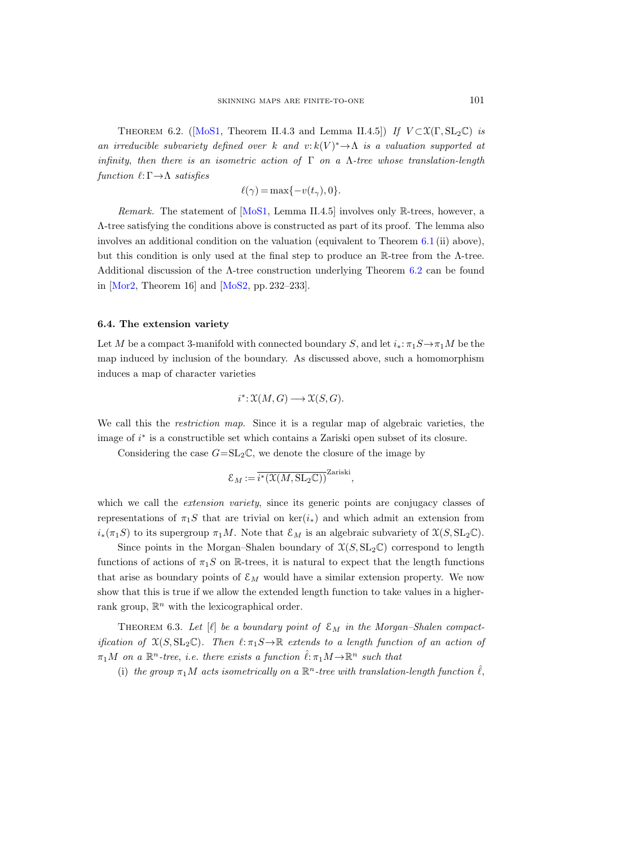<span id="page-46-0"></span>THEOREM6.2. ([\[MoS1,](#page-70-4) Theorem II.4.3 and Lemma II.4.5]) If  $V \subset \mathfrak{X}(\Gamma, SL_2\mathbb{C})$  is an irreducible subvariety defined over k and  $v: k(V)^* \to \Lambda$  is a valuation supported at infinity, then there is an isometric action of  $\Gamma$  on a  $\Lambda$ -tree whose translation-length function  $\ell: \Gamma \to \Lambda$  satisfies

$$
\ell(\gamma) = \max\{-v(t_\gamma), 0\}.
$$

Remark. The statement of [\[MoS1,](#page-70-4) Lemma II.4.5] involves only R-trees, however, a Λ-tree satisfying the conditions above is constructed as part of its proof. The lemma also involves an additional condition on the valuation (equivalent to Theorem [6.1](#page-45-0) (ii) above), but this condition is only used at the final step to produce an R-tree from the Λ-tree. Additional discussion of the Λ-tree construction underlying Theorem [6.2](#page-46-0) can be found in [\[Mor2,](#page-70-6) Theorem 16] and [\[MoS2,](#page-71-5) pp. 232–233].

### 6.4. The extension variety

Let M be a compact 3-manifold with connected boundary S, and let  $i_*: \pi_1 S \to \pi_1 M$  be the map induced by inclusion of the boundary. As discussed above, such a homomorphism induces a map of character varieties

$$
i^* \colon \mathfrak{X}(M, G) \longrightarrow \mathfrak{X}(S, G).
$$

We call this the *restriction map*. Since it is a regular map of algebraic varieties, the image of  $i<sup>∗</sup>$  is a constructible set which contains a Zariski open subset of its closure.

Considering the case  $G = SL_2 \mathbb{C}$ , we denote the closure of the image by

$$
\mathcal{E}_M:=\overline{i^*(\mathfrak{X}(M,\operatorname{SL}_2\mathbb{C}))}^\mathrm{Zariski}
$$

which we call the *extension variety*, since its generic points are conjugacy classes of representations of  $\pi_1S$  that are trivial on ker(i<sub>\*</sub>) and which admit an extension from  $i_*(\pi_1S)$  to its supergroup  $\pi_1M$ . Note that  $\mathcal{E}_M$  is an algebraic subvariety of  $\mathfrak{X}(S, \mathrm{SL}_2\mathbb{C})$ .

Since points in the Morgan–Shalen boundary of  $\mathfrak{X}(S, SL_2\mathbb{C})$  correspond to length functions of actions of  $\pi_1S$  on R-trees, it is natural to expect that the length functions that arise as boundary points of  $\mathcal{E}_M$  would have a similar extension property. We now show that this is true if we allow the extended length function to take values in a higherrank group,  $\mathbb{R}^n$  with the lexicographical order.

<span id="page-46-1"></span>THEOREM 6.3. Let  $[\ell]$  be a boundary point of  $\mathcal{E}_M$  in the Morgan–Shalen compactification of  $\mathfrak{X}(S, \mathrm{SL}_2\mathbb{C})$ . Then  $\ell: \pi_1S \to \mathbb{R}$  extends to a length function of an action of  $\pi_1 M$  on a  $\mathbb{R}^n$ -tree, i.e. there exists a function  $\hat{\ell}: \pi_1 M \to \mathbb{R}^n$  such that

(i) the group  $\pi_1 M$  acts isometrically on a  $\mathbb{R}^n$ -tree with translation-length function  $\hat{\ell}$ ,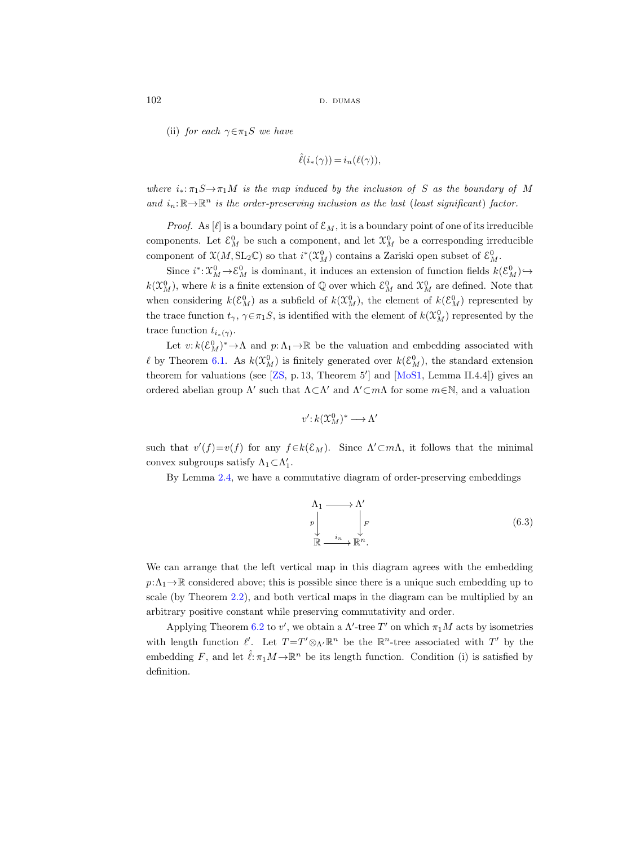(ii) for each  $\gamma \in \pi_1 S$  we have

$$
\hat{\ell}(i_*(\gamma)) = i_n(\ell(\gamma)),
$$

where  $i_*: \pi_1S \to \pi_1M$  is the map induced by the inclusion of S as the boundary of M and  $i_n: \mathbb{R} \to \mathbb{R}^n$  is the order-preserving inclusion as the last (least significant) factor.

*Proof.* As  $[\ell]$  is a boundary point of  $\mathcal{E}_M$ , it is a boundary point of one of its irreducible components. Let  $\mathcal{E}_M^0$  be such a component, and let  $\mathcal{X}_M^0$  be a corresponding irreducible component of  $X(M, SL_2\mathbb{C})$  so that  $i^*(\mathfrak{X}^0_M)$  contains a Zariski open subset of  $\mathcal{E}^0_M$ .

Since  $i^* \colon \mathfrak{X}_M^0 \to \mathcal{E}_M^0$  is dominant, it induces an extension of function fields  $k(\mathcal{E}_M^0) \hookrightarrow$  $k(\mathfrak{X}_M^0)$ , where k is a finite extension of  $\mathbb Q$  over which  $\mathcal{E}_M^0$  and  $\mathfrak{X}_M^0$  are defined. Note that when considering  $k(\mathcal{E}_M^0)$  as a subfield of  $k(\mathcal{X}_M^0)$ , the element of  $k(\mathcal{E}_M^0)$  represented by the trace function  $t_{\gamma}$ ,  $\gamma \in \pi_1 S$ , is identified with the element of  $k(\mathfrak{X}^0_M)$  represented by the trace function  $t_{i_*(\gamma)}$ .

Let  $v: k(\mathcal{E}_M^0)^* \to \Lambda$  and  $p: \Lambda_1 \to \mathbb{R}$  be the valuation and embedding associated with  $\ell$  by Theorem [6.1.](#page-45-0) As  $k(\mathfrak{X}_{M}^{0})$  is finitely generated over  $k(\mathcal{E}_{M}^{0})$ , the standard extension theorem for valuations (see  $[ZS, p. 13,$  Theorem 5'] and  $[MoS1,$  Lemma II.4.4]) gives an ordered abelian group  $\Lambda'$  such that  $\Lambda \subset \Lambda'$  and  $\Lambda' \subset m\Lambda$  for some  $m \in \mathbb{N}$ , and a valuation

$$
v'\hbox{\rm :}\ k(\mathfrak{X}^0_M)^* \longrightarrow \Lambda'
$$

such that  $v'(f)=v(f)$  for any  $f \in k(\mathcal{E}_M)$ . Since  $\Lambda' \subset m\Lambda$ , it follows that the minimal convex subgroups satisfy  $\Lambda_1 \subset \Lambda'_1$ .

<span id="page-47-0"></span>By Lemma [2.4,](#page-8-0) we have a commutative diagram of order-preserving embeddings

$$
\Lambda_1 \longrightarrow \Lambda'
$$
\n
$$
P \downarrow \qquad \qquad F
$$
\n
$$
\mathbb{R} \longrightarrow \mathbb{R}^n.
$$
\n(6.3)

We can arrange that the left vertical map in this diagram agrees with the embedding  $p:\Lambda_1\to\mathbb{R}$  considered above; this is possible since there is a unique such embedding up to scale (by Theorem [2.2\)](#page-7-0), and both vertical maps in the diagram can be multiplied by an arbitrary positive constant while preserving commutativity and order.

Applying Theorem [6.2](#page-46-0) to  $v'$ , we obtain a  $\Lambda'$ -tree T' on which  $\pi_1 M$  acts by isometries with length function  $\ell'$ . Let  $T = T' \otimes_{\Lambda'} \mathbb{R}^n$  be the  $\mathbb{R}^n$ -tree associated with  $T'$  by the embedding F, and let  $\hat{\ell}: \pi_1 M \to \mathbb{R}^n$  be its length function. Condition (i) is satisfied by definition.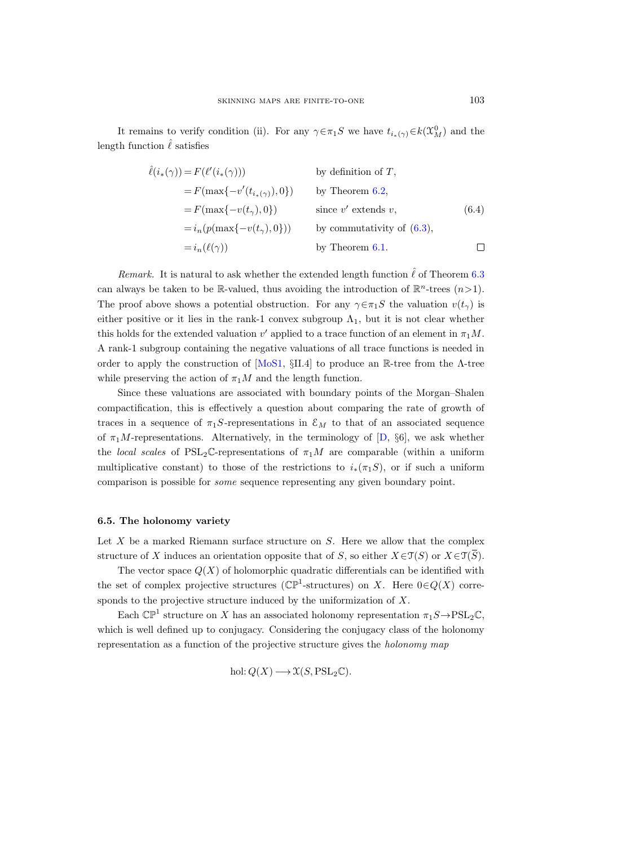It remains to verify condition (ii). For any  $\gamma \in \pi_1S$  we have  $t_{i_*(\gamma)} \in k(\mathfrak{X}_M^0)$  and the length function  $\hat{\ell}$  satisfies

<span id="page-48-1"></span>
$$
\hat{\ell}(i_*(\gamma)) = F(\ell'(i_*(\gamma))) \qquad \text{by definition of } T,
$$
  
\n
$$
= F(\max\{-v'(t_{i_*(\gamma)}), 0\}) \qquad \text{by Theorem 6.2,}
$$
  
\n
$$
= F(\max\{-v(t_{\gamma}), 0\}) \qquad \text{since } v' \text{ extends } v,
$$
  
\n
$$
= i_n(p(\max\{-v(t_{\gamma}), 0\})) \qquad \text{by commutativity of (6.3),}
$$
  
\n
$$
= i_n(\ell(\gamma)) \qquad \text{by Theorem 6.1.}
$$

Remark. It is natural to ask whether the extended length function  $\hat{\ell}$  of Theorem [6.3](#page-46-1) can always be taken to be R-valued, thus avoiding the introduction of  $\mathbb{R}^n$ -trees  $(n>1)$ . The proof above shows a potential obstruction. For any  $\gamma \in \pi_1 S$  the valuation  $v(t_\gamma)$  is either positive or it lies in the rank-1 convex subgroup  $\Lambda_1$ , but it is not clear whether this holds for the extended valuation  $v'$  applied to a trace function of an element in  $\pi_1 M$ . A rank-1 subgroup containing the negative valuations of all trace functions is needed in order to apply the construction of [\[MoS1,](#page-70-4) §II.4] to produce an R-tree from the  $\Lambda$ -tree while preserving the action of  $\pi_1 M$  and the length function.

Since these valuations are associated with boundary points of the Morgan–Shalen compactification, this is effectively a question about comparing the rate of growth of traces in a sequence of  $\pi_1 S$ -representations in  $\mathcal{E}_M$  to that of an associated sequence of  $\pi_1 M$ -representations. Alternatively, in the terminology of [\[D,](#page-69-3) §6], we ask whether the local scales of PSL<sub>2</sub>C-representations of  $\pi_1 M$  are comparable (within a uniform multiplicative constant) to those of the restrictions to  $i_*(\pi_1S)$ , or if such a uniform comparison is possible for some sequence representing any given boundary point.

#### <span id="page-48-0"></span>6.5. The holonomy variety

Let  $X$  be a marked Riemann surface structure on  $S$ . Here we allow that the complex structure of X induces an orientation opposite that of S, so either  $X \in \mathcal{T}(S)$  or  $X \in \mathcal{T}(\overline{S})$ .

The vector space  $Q(X)$  of holomorphic quadratic differentials can be identified with the set of complex projective structures ( $\mathbb{CP}^1$ -structures) on X. Here  $0 \in Q(X)$  corresponds to the projective structure induced by the uniformization of X.

Each  $\mathbb{CP}^1$  structure on X has an associated holonomy representation  $\pi_1S \to \mathrm{PSL}_2\mathbb{C}$ , which is well defined up to conjugacy. Considering the conjugacy class of the holonomy representation as a function of the projective structure gives the holonomy map

hol: 
$$
Q(X) \longrightarrow \mathfrak{X}(S, \mathrm{PSL}_2\mathbb{C}).
$$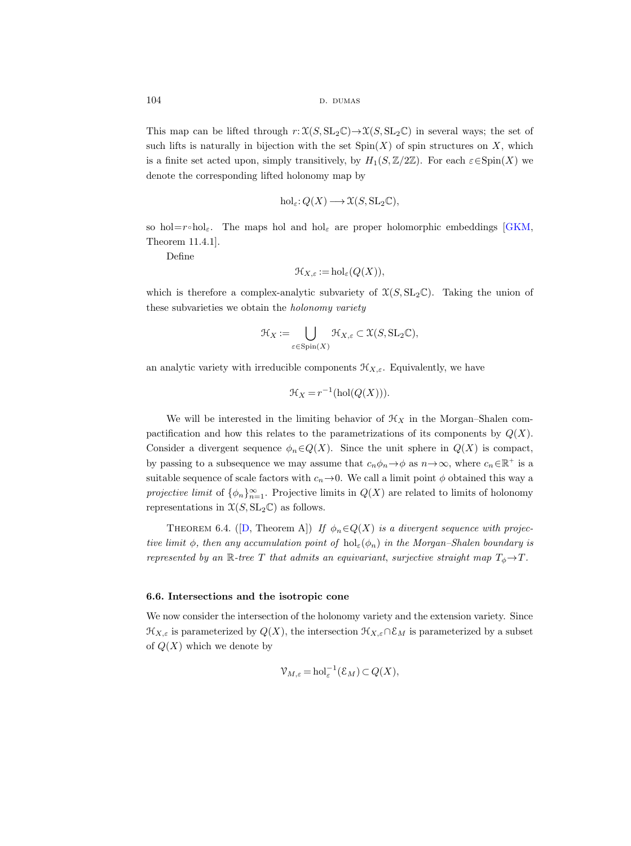104 d. D. DUMAS

This map can be lifted through  $r: \mathfrak{X}(S, SL_2\mathbb{C}) \to \mathfrak{X}(S, SL_2\mathbb{C})$  in several ways; the set of such lifts is naturally in bijection with the set  $\text{Spin}(X)$  of spin structures on X, which is a finite set acted upon, simply transitively, by  $H_1(S, \mathbb{Z}/2\mathbb{Z})$ . For each  $\varepsilon \in \text{Spin}(X)$  we denote the corresponding lifted holonomy map by

$$
\mathrm{hol}_{\varepsilon}\colon Q(X)\longrightarrow \mathfrak{X}(S,\mathrm{SL}_2\mathbb{C}),
$$

so hol=r $\circ$ hol<sub>ε</sub>. The maps hol and hol<sub>ε</sub> are proper holomorphic embeddings [\[GKM,](#page-70-7) Theorem 11.4.1].

Define

$$
\mathcal{H}_{X,\varepsilon} := \mathrm{hol}_{\varepsilon}(Q(X)),
$$

which is therefore a complex-analytic subvariety of  $X(S, SL_2\mathbb{C})$ . Taking the union of these subvarieties we obtain the holonomy variety

$$
\mathcal{H}_X := \bigcup_{\varepsilon \in \text{Spin}(X)} \mathcal{H}_{X,\varepsilon} \subset \mathfrak{X}(S, \text{SL}_2\mathbb{C}),
$$

an analytic variety with irreducible components  $\mathfrak{K}_{X,\varepsilon}$ . Equivalently, we have

$$
\mathcal{H}_X = r^{-1}(\text{hol}(Q(X))).
$$

We will be interested in the limiting behavior of  $\mathcal{H}_X$  in the Morgan–Shalen compactification and how this relates to the parametrizations of its components by  $Q(X)$ . Consider a divergent sequence  $\phi_n \in Q(X)$ . Since the unit sphere in  $Q(X)$  is compact, by passing to a subsequence we may assume that  $c_n \phi_n \to \phi$  as  $n \to \infty$ , where  $c_n \in \mathbb{R}^+$  is a suitable sequence of scale factors with  $c_n \rightarrow 0$ . We call a limit point  $\phi$  obtained this way a projective limit of  $\{\phi_n\}_{n=1}^{\infty}$ . Projective limits in  $Q(X)$  are related to limits of holonomy representations in  $\mathfrak{X}(S, \mathrm{SL}_2\mathbb{C})$  as follows.

<span id="page-49-0"></span>THEOREM6.4. ( $[D,$  Theorem A)) If  $\phi_n \in Q(X)$  is a divergent sequence with projective limit  $\phi$ , then any accumulation point of hol<sub>ε</sub>( $\phi_n$ ) in the Morgan–Shalen boundary is represented by an R-tree T that admits an equivariant, surjective straight map  $T_{\phi} \rightarrow T$ .

## 6.6. Intersections and the isotropic cone

We now consider the intersection of the holonomy variety and the extension variety. Since  $\mathcal{H}_{X,\varepsilon}$  is parameterized by  $Q(X)$ , the intersection  $\mathcal{H}_{X,\varepsilon}\cap\mathcal{E}_M$  is parameterized by a subset of  $Q(X)$  which we denote by

$$
\mathcal{V}_{M,\varepsilon} = \mathrm{hol}_{\varepsilon}^{-1}(\mathcal{E}_M) \subset Q(X),
$$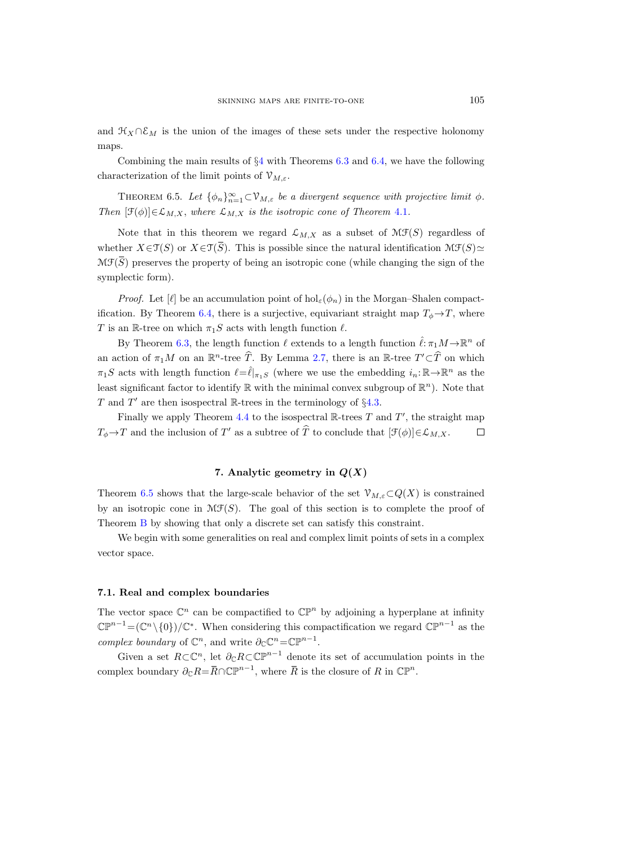and  $\mathcal{H}_X \cap \mathcal{E}_M$  is the union of the images of these sets under the respective holonomy maps.

Combining the main results of  $\S 4$  $\S 4$  with Theorems [6.3](#page-46-1) and [6.4,](#page-49-0) we have the following characterization of the limit points of  $\mathcal{V}_{M,\varepsilon}$ .

<span id="page-50-0"></span>THEOREM 6.5. Let  $\{\phi_n\}_{n=1}^{\infty} \subset \mathcal{V}_{M,\varepsilon}$  be a divergent sequence with projective limit  $\phi$ . Then  $[\mathfrak{F}(\phi)] \in \mathcal{L}_{M,X}$ , where  $\mathcal{L}_{M,X}$  is the isotropic cone of Theorem [4.1](#page-23-0).

Note that in this theorem we regard  $\mathcal{L}_{M,X}$  as a subset of  $\mathcal{MF}(S)$  regardless of whether  $X \in \mathcal{T}(S)$  or  $X \in \mathcal{T}(\overline{S})$ . This is possible since the natural identification  $\mathcal{MF}(S) \simeq$  $\mathcal{MF}(\overline{S})$  preserves the property of being an isotropic cone (while changing the sign of the symplectic form).

*Proof.* Let  $[\ell]$  be an accumulation point of  $hol_{\varepsilon}(\phi_n)$  in the Morgan–Shalen compact-ification. By Theorem [6.4,](#page-49-0) there is a surjective, equivariant straight map  $T_{\phi} \rightarrow T$ , where T is an R-tree on which  $\pi_1 S$  acts with length function  $\ell$ .

By Theorem [6.3,](#page-46-1) the length function  $\ell$  extends to a length function  $\hat{\ell}: \pi_1 M \to \mathbb{R}^n$  of an action of  $\pi_1 M$  on an  $\mathbb{R}^n$ -tree  $\widehat{T}$ . By Lemma [2.7,](#page-11-0) there is an  $\mathbb{R}$ -tree  $T' \subset \widehat{T}$  on which  $\pi_1S$  acts with length function  $\ell = \hat{\ell}|_{\pi_1S}$  (where we use the embedding  $i_n: \mathbb{R} \to \mathbb{R}^n$  as the least significant factor to identify  $\mathbb R$  with the minimal convex subgroup of  $\mathbb R^n$ ). Note that T and  $T'$  are then isospectral  $\mathbb R$ -trees in the terminology of §[4.3.](#page-26-0)

Finally we apply Theorem [4.4](#page-26-1) to the isospectral  $\mathbb{R}$ -trees T and T', the straight map  $T_{\phi} \to T$  and the inclusion of T' as a subtree of  $\widehat{T}$  to conclude that  $[\mathcal{F}(\phi)] \in \mathcal{L}_{M,X}$ .  $\Box$ 

# 7. Analytic geometry in  $Q(X)$

Theorem [6.5](#page-50-0) shows that the large-scale behavior of the set  $\mathcal{V}_{M,\varepsilon} \subset Q(X)$  is constrained by an isotropic cone in  $\mathcal{MF}(S)$ . The goal of this section is to complete the proof of Theorem [B](#page-1-0) by showing that only a discrete set can satisfy this constraint.

We begin with some generalities on real and complex limit points of sets in a complex vector space.

### 7.1. Real and complex boundaries

The vector space  $\mathbb{C}^n$  can be compactified to  $\mathbb{CP}^n$  by adjoining a hyperplane at infinity  $\mathbb{CP}^{n-1} = (\mathbb{C}^n \setminus \{0\})/\mathbb{C}^*$ . When considering this compactification we regard  $\mathbb{CP}^{n-1}$  as the *complex boundary* of  $\mathbb{C}^n$ , and write  $\partial_{\mathbb{C}} \mathbb{C}^n = \mathbb{CP}^{n-1}$ .

Given a set  $R\subset\mathbb{C}^n$ , let  $\partial_{\mathbb{C}}R\subset\mathbb{CP}^{n-1}$  denote its set of accumulation points in the complex boundary  $\partial_{\mathbb{C}} R = \overline{R} \cap \mathbb{CP}^{n-1}$ , where  $\overline{R}$  is the closure of R in  $\mathbb{CP}^n$ .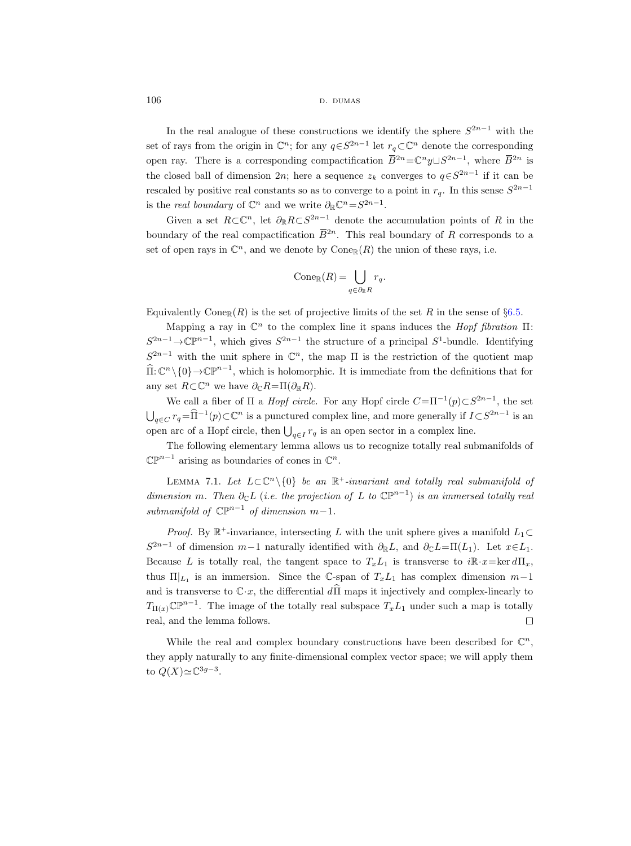In the real analogue of these constructions we identify the sphere  $S^{2n-1}$  with the set of rays from the origin in  $\mathbb{C}^n$ ; for any  $q \in S^{2n-1}$  let  $r_q \subset \mathbb{C}^n$  denote the corresponding open ray. There is a corresponding compactification  $\overline{B}^{2n} = \mathbb{C}^n y \sqcup S^{2n-1}$ , where  $\overline{B}^{2n}$  is the closed ball of dimension 2n; here a sequence  $z_k$  converges to  $q \in S^{2n-1}$  if it can be rescaled by positive real constants so as to converge to a point in  $r_q$ . In this sense  $S^{2n-1}$ is the *real boundary* of  $\mathbb{C}^n$  and we write  $\partial_{\mathbb{R}} \mathbb{C}^n = S^{2n-1}$ .

Given a set  $R\subset\mathbb{C}^n$ , let  $\partial_{\mathbb{R}}R\subset S^{2n-1}$  denote the accumulation points of R in the boundary of the real compactification  $\bar{B}^{2n}$ . This real boundary of R corresponds to a set of open rays in  $\mathbb{C}^n$ , and we denote by  $\mathrm{Cone}_{\mathbb{R}}(R)$  the union of these rays, i.e.

$$
\operatorname{Cone}_{\mathbb{R}}(R) = \bigcup_{q \in \partial_{\mathbb{R}}R} r_q.
$$

Equivalently Cone<sub>R</sub>(R) is the set of projective limits of the set R in the sense of §[6.5.](#page-48-0)

Mapping a ray in  $\mathbb{C}^n$  to the complex line it spans induces the *Hopf fibration*  $\Pi$ :  $S^{2n-1}$  →  $\mathbb{CP}^{n-1}$ , which gives  $S^{2n-1}$  the structure of a principal  $S^1$ -bundle. Identifying  $S^{2n-1}$  with the unit sphere in  $\mathbb{C}^n$ , the map  $\Pi$  is the restriction of the quotient map  $\widehat{\Pi}: \mathbb{C}^n \setminus \{0\} \to \mathbb{CP}^{n-1}$ , which is holomorphic. It is immediate from the definitions that for any set  $R \subset \mathbb{C}^n$  we have  $\partial_{\mathbb{C}}R = \Pi(\partial_{\mathbb{R}}R)$ .

We call a fiber of  $\Pi$  a *Hopf circle*. For any Hopf circle  $C=\Pi^{-1}(p) \subset S^{2n-1}$ , the set  $\bigcup_{q \in C} r_q = \widehat{\Pi}^{-1}(p) \subset \mathbb{C}^n$  is a punctured complex line, and more generally if  $I \subset S^{2n-1}$  is an open arc of a Hopf circle, then  $\bigcup_{q \in I} r_q$  is an open sector in a complex line.

The following elementary lemma allows us to recognize totally real submanifolds of  $\mathbb{CP}^{n-1}$  arising as boundaries of cones in  $\mathbb{C}^n$ .

<span id="page-51-0"></span>LEMMA 7.1. Let  $L \subset \mathbb{C}^n \setminus \{0\}$  be an  $\mathbb{R}^+$ -invariant and totally real submanifold of dimension m. Then  $\partial_{\mathbb{C}} L$  (i.e. the projection of L to  $\mathbb{CP}^{n-1}$ ) is an immersed totally real submanifold of  $\mathbb{CP}^{n-1}$  of dimension  $m-1$ .

*Proof.* By  $\mathbb{R}^+$ -invariance, intersecting L with the unit sphere gives a manifold  $L_1 \subset$  $S^{2n-1}$  of dimension  $m-1$  naturally identified with  $\partial_{\mathbb{R}}L$ , and  $\partial_{\mathbb{C}}L=\Pi(L_1)$ . Let  $x \in L_1$ . Because L is totally real, the tangent space to  $T_xL_1$  is transverse to  $i\mathbb{R}\cdot x = \text{ker }d\Pi_x$ , thus  $\Pi|_{L_1}$  is an immersion. Since the C-span of  $T_xL_1$  has complex dimension  $m-1$ and is transverse to  $\mathbb{C}\cdot x$ , the differential  $d\hat{\Pi}$  maps it injectively and complex-linearly to  $T_{\Pi(x)}\mathbb{CP}^{n-1}$ . The image of the totally real subspace  $T_xL_1$  under such a map is totally real, and the lemma follows.  $\Box$ 

While the real and complex boundary constructions have been described for  $\mathbb{C}^n$ , they apply naturally to any finite-dimensional complex vector space; we will apply them to  $Q(X) \simeq \mathbb{C}^{3g-3}$ .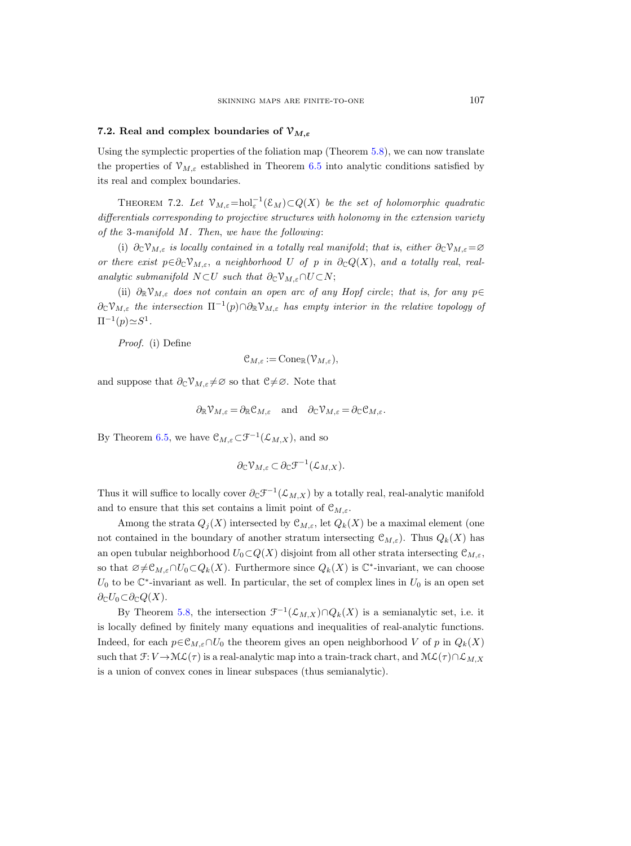## 7.2. Real and complex boundaries of  $\mathcal{V}_{M,\varepsilon}$

Using the symplectic properties of the foliation map (Theorem [5.8\)](#page-40-0), we can now translate the properties of  $\mathcal{V}_{M,\varepsilon}$  established in Theorem [6.5](#page-50-0) into analytic conditions satisfied by its real and complex boundaries.

<span id="page-52-0"></span>THEOREM 7.2. Let  $\mathcal{V}_{M,\varepsilon} = \text{hol}_{\varepsilon}^{-1}(\mathcal{E}_M) \subset Q(X)$  be the set of holomorphic quadratic differentials corresponding to projective structures with holonomy in the extension variety of the 3-manifold M. Then, we have the following:

(i)  $\partial_{\mathbb{C}}\mathcal{V}_{M,\varepsilon}$  is locally contained in a totally real manifold; that is, either  $\partial_{\mathbb{C}}\mathcal{V}_{M,\varepsilon}=\varnothing$ or there exist  $p \in \partial_{\mathbb{C}} V_{M,\varepsilon}$ , a neighborhood U of p in  $\partial_{\mathbb{C}} Q(X)$ , and a totally real, realanalytic submanifold  $N \subset U$  such that  $\partial_{\mathbb{C}} \mathcal{V}_{M,\varepsilon} \cap U \subset N$ ;

(ii)  $\partial_{\mathbb{R}}\mathcal{V}_{M,\varepsilon}$  does not contain an open arc of any Hopf circle; that is, for any  $p\in$  $\partial_{\mathbb{C}}\mathcal{V}_{M,\varepsilon}$  the intersection  $\Pi^{-1}(p)\cap\partial_{\mathbb{R}}\mathcal{V}_{M,\varepsilon}$  has empty interior in the relative topology of  $\Pi^{-1}(p) \simeq S^1$ .

Proof. (i) Define

$$
\mathcal{C}_{M,\varepsilon}:=\mathrm{Cone}_{\mathbb{R}}(\mathcal{V}_{M,\varepsilon}),
$$

and suppose that  $\partial_{\mathbb{C}} \mathcal{V}_{M,\varepsilon} \neq \emptyset$  so that  $\mathcal{C} \neq \emptyset$ . Note that

$$
\partial_{\mathbb{R}} \mathcal{V}_{M,\varepsilon} = \partial_{\mathbb{R}} \mathcal{C}_{M,\varepsilon} \quad \text{and} \quad \partial_{\mathbb{C}} \mathcal{V}_{M,\varepsilon} = \partial_{\mathbb{C}} \mathcal{C}_{M,\varepsilon}.
$$

By Theorem [6.5,](#page-50-0) we have  $\mathcal{C}_{M,\varepsilon} \subset \mathcal{F}^{-1}(\mathcal{L}_{M,X})$ , and so

$$
\partial_{\mathbb{C}} \mathcal{V}_{M,\varepsilon} \subset \partial_{\mathbb{C}} \mathcal{F}^{-1}(\mathcal{L}_{M,X}).
$$

Thus it will suffice to locally cover  $\partial_{\mathbb{C}} \mathcal{F}^{-1}(\mathcal{L}_{M,X})$  by a totally real, real-analytic manifold and to ensure that this set contains a limit point of  $\mathcal{C}_{M,\varepsilon}$ .

Among the strata  $Q_i(X)$  intersected by  $\mathcal{C}_{M,\varepsilon}$ , let  $Q_k(X)$  be a maximal element (one not contained in the boundary of another stratum intersecting  $\mathcal{C}_{M,\varepsilon}$ ). Thus  $Q_k(X)$  has an open tubular neighborhood  $U_0\subset Q(X)$  disjoint from all other strata intersecting  $\mathcal{C}_{M,\varepsilon}$ , so that  $\emptyset \neq \mathcal{C}_{M,\varepsilon} \cap U_0 \subset Q_k(X)$ . Furthermore since  $Q_k(X)$  is  $\mathbb{C}^*$ -invariant, we can choose  $U_0$  to be  $\mathbb{C}^*$ -invariant as well. In particular, the set of complex lines in  $U_0$  is an open set  $\partial_{\mathbb{C}}U_0 \subset \partial_{\mathbb{C}}Q(X)$ .

By Theorem [5.8,](#page-40-0) the intersection  $\mathcal{F}^{-1}(\mathcal{L}_{M,X}) \cap Q_k(X)$  is a semianalytic set, i.e. it is locally defined by finitely many equations and inequalities of real-analytic functions. Indeed, for each  $p \in \mathcal{C}_{M,\varepsilon} \cap U_0$  the theorem gives an open neighborhood V of p in  $Q_k(X)$ such that  $\mathfrak{F}: V \to \mathcal{ML}(\tau)$  is a real-analytic map into a train-track chart, and  $\mathcal{ML}(\tau) \cap \mathcal{L}_{M,X}$ is a union of convex cones in linear subspaces (thus semianalytic).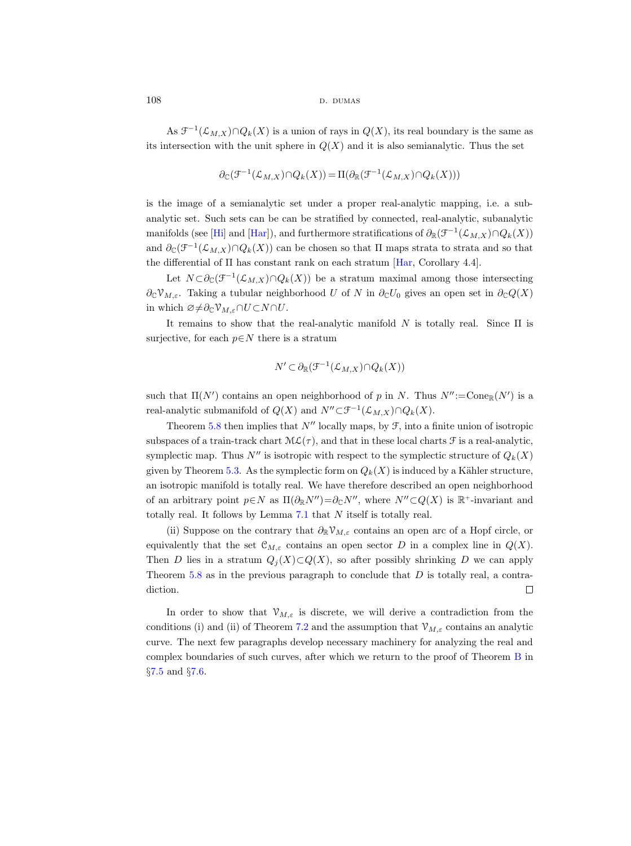As  $\mathcal{F}^{-1}(\mathcal{L}_{M,X}) \cap Q_k(X)$  is a union of rays in  $Q(X)$ , its real boundary is the same as its intersection with the unit sphere in  $Q(X)$  and it is also semianalytic. Thus the set

$$
\partial_{\mathbb{C}}(\mathcal{F}^{-1}(\mathcal{L}_{M,X}) \cap Q_{k}(X)) = \Pi(\partial_{\mathbb{R}}(\mathcal{F}^{-1}(\mathcal{L}_{M,X}) \cap Q_{k}(X)))
$$

is the image of a semianalytic set under a proper real-analytic mapping, i.e. a subanalytic set. Such sets can be can be stratified by connected, real-analytic, subanalytic manifolds (see [\[Hi\]](#page-70-8) and [\[Har\]](#page-70-9)), and furthermore stratifications of  $\partial_{\mathbb{R}}(\mathcal{F}^{-1}(\mathcal{L}_{M,X}) \cap Q_k(X))$ and  $\partial_{\mathbb{C}}(\mathcal{F}^{-1}(\mathcal{L}_{M,X}) \cap Q_k(X))$  can be chosen so that  $\Pi$  maps strata to strata and so that the differential of Π has constant rank on each stratum [\[Har,](#page-70-9) Corollary 4.4].

Let  $N \subset \partial_{\mathbb{C}}(\mathcal{F}^{-1}(\mathcal{L}_{M,X}) \cap Q_k(X))$  be a stratum maximal among those intersecting  $\partial_{\mathbb{C}}\mathcal{V}_{M,\varepsilon}$ . Taking a tubular neighborhood U of N in  $\partial_{\mathbb{C}}U_0$  gives an open set in  $\partial_{\mathbb{C}}Q(X)$ in which  $\varnothing \neq \partial_{\mathbb{C}} \mathcal{V}_{M,\varepsilon} \cap U \subset N \cap U$ .

It remains to show that the real-analytic manifold N is totally real. Since  $\Pi$  is surjective, for each  $p \in N$  there is a stratum

$$
N' \subset \partial_{\mathbb{R}}(\mathcal{F}^{-1}(\mathcal{L}_{M,X}) \cap Q_k(X))
$$

such that  $\Pi(N')$  contains an open neighborhood of p in N. Thus  $N''$ :=Cone $\mathbb{R}(N')$  is a real-analytic submanifold of  $Q(X)$  and  $N'' \subset \mathcal{F}^{-1}(\mathcal{L}_{M,X}) \cap Q_k(X)$ .

Theorem [5.8](#page-40-0) then implies that  $N''$  locally maps, by  $\mathcal{F}$ , into a finite union of isotropic subspaces of a train-track chart  $\mathcal{ML}(\tau)$ , and that in these local charts  $\mathcal F$  is a real-analytic, symplectic map. Thus N'' is isotropic with respect to the symplectic structure of  $Q_k(X)$ given by Theorem [5.3.](#page-33-0) As the symplectic form on  $Q_k(X)$  is induced by a Kähler structure, an isotropic manifold is totally real. We have therefore described an open neighborhood of an arbitrary point  $p \in N$  as  $\Pi(\partial_{\mathbb{R}} N'') = \partial_{\mathbb{C}} N''$ , where  $N'' \subset Q(X)$  is  $\mathbb{R}^+$ -invariant and totally real. It follows by Lemma  $7.1$  that  $N$  itself is totally real.

(ii) Suppose on the contrary that  $\partial_{\mathbb{R}} V_{M,\varepsilon}$  contains an open arc of a Hopf circle, or equivalently that the set  $\mathcal{C}_{M,\varepsilon}$  contains an open sector D in a complex line in  $Q(X)$ . Then D lies in a stratum  $Q_i(X) \subset Q(X)$ , so after possibly shrinking D we can apply Theorem [5.8](#page-40-0) as in the previous paragraph to conclude that  $D$  is totally real, a contradiction.  $\Box$ 

In order to show that  $\mathcal{V}_{M,\varepsilon}$  is discrete, we will derive a contradiction from the conditions (i) and (ii) of Theorem [7.2](#page-52-0) and the assumption that  $\mathcal{V}_{M,\varepsilon}$  contains an analytic curve. The next few paragraphs develop necessary machinery for analyzing the real and complex boundaries of such curves, after which we return to the proof of Theorem [B](#page-1-0) in §[7.5](#page-55-0) and §[7.6.](#page-57-0)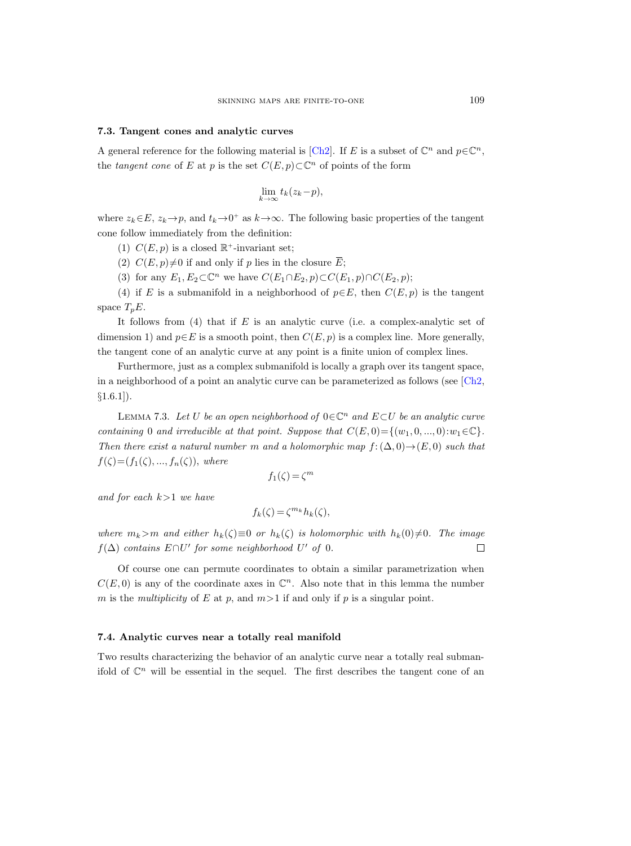## 7.3. Tangent cones and analytic curves

A general reference for the following material is [Ch<sub>2</sub>]. If E is a subset of  $\mathbb{C}^n$  and  $p \in \mathbb{C}^n$ , the tangent cone of E at p is the set  $C(E, p) \subset \mathbb{C}^n$  of points of the form

$$
\lim_{k\to\infty} t_k(z_k-p),
$$

where  $z_k \in E$ ,  $z_k \to p$ , and  $t_k \to 0^+$  as  $k \to \infty$ . The following basic properties of the tangent cone follow immediately from the definition:

(1)  $C(E, p)$  is a closed  $\mathbb{R}^+$ -invariant set;

(2)  $C(E, p) \neq 0$  if and only if p lies in the closure  $\overline{E}$ ;

(3) for any  $E_1, E_2 \subset \mathbb{C}^n$  we have  $C(E_1 \cap E_2, p) \subset C(E_1, p) \cap C(E_2, p);$ 

(4) if E is a submanifold in a neighborhood of  $p \in E$ , then  $C(E, p)$  is the tangent space  $T_nE$ .

It follows from  $(4)$  that if E is an analytic curve (i.e. a complex-analytic set of dimension 1) and  $p \in E$  is a smooth point, then  $C(E, p)$  is a complex line. More generally, the tangent cone of an analytic curve at any point is a finite union of complex lines.

Furthermore, just as a complex submanifold is locally a graph over its tangent space, in a neighborhood of a point an analytic curve can be parameterized as follows (see [\[Ch2,](#page-69-4)  $§1.6.1]$ ).

<span id="page-54-0"></span>LEMMA 7.3. Let U be an open neighborhood of  $0 \in \mathbb{C}^n$  and  $E \subset U$  be an analytic curve containing 0 and irreducible at that point. Suppose that  $C(E, 0) = \{(w_1, 0, ..., 0): w_1 \in \mathbb{C}\}.$ Then there exist a natural number m and a holomorphic map  $f: (\Delta, 0) \rightarrow (E, 0)$  such that  $f(\zeta) = (f_1(\zeta), ..., f_n(\zeta))$ , where

$$
f_1(\zeta) = \zeta^m
$$

and for each  $k>1$  we have

$$
f_k(\zeta) = \zeta^{m_k} h_k(\zeta),
$$

where  $m_k>m$  and either  $h_k(\zeta)\equiv 0$  or  $h_k(\zeta)$  is holomorphic with  $h_k(0)\neq 0$ . The image  $f(\Delta)$  contains  $E \cap U'$  for some neighborhood U' of 0.  $\Box$ 

Of course one can permute coordinates to obtain a similar parametrization when  $C(E, 0)$  is any of the coordinate axes in  $\mathbb{C}^n$ . Also note that in this lemma the number m is the multiplicity of E at p, and  $m>1$  if and only if p is a singular point.

### 7.4. Analytic curves near a totally real manifold

Two results characterizing the behavior of an analytic curve near a totally real submanifold of  $\mathbb{C}^n$  will be essential in the sequel. The first describes the tangent cone of an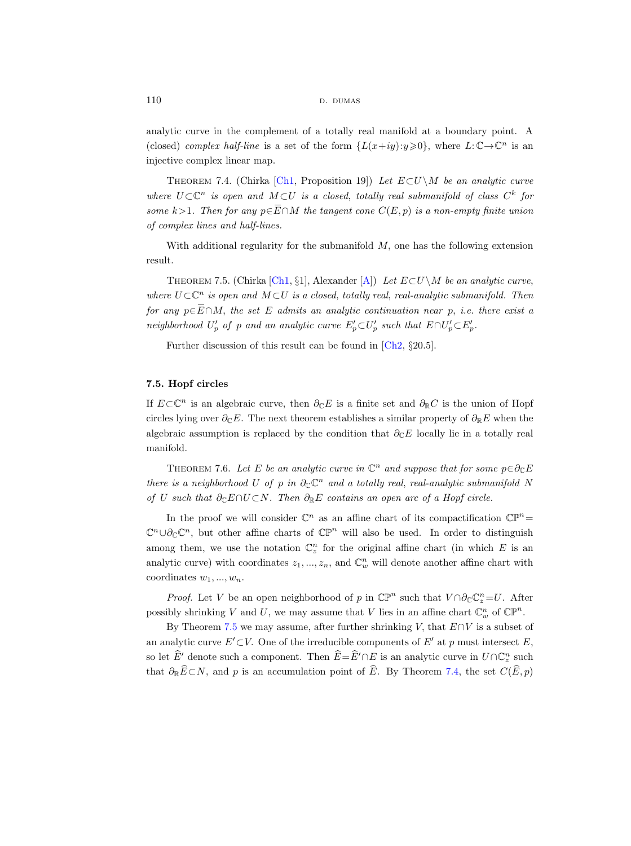analytic curve in the complement of a totally real manifold at a boundary point. A (closed) complex half-line is a set of the form  $\{L(x+iy):y\geq 0\}$ , where  $L:\mathbb{C}\to\mathbb{C}^n$  is an injective complex linear map.

<span id="page-55-2"></span>THEOREM 7.4. (Chirka [\[Ch1,](#page-69-5) Proposition 19]) Let  $E\subset U\setminus M$  be an analytic curve where  $U\subset\mathbb{C}^n$  is open and  $M\subset U$  is a closed, totally real submanifold of class  $C^k$  for some k>1. Then for any  $p \in \overline{E} \cap M$  the tangent cone  $C(E, p)$  is a non-empty finite union of complex lines and half-lines.

With additional regularity for the submanifold  $M$ , one has the following extension result.

<span id="page-55-1"></span>THEOREM 7.5. (Chirka [\[Ch1,](#page-69-5) §1], Alexander [\[A\]](#page-69-6)) Let  $E\subset U\setminus M$  be an analytic curve, where  $U\subset\mathbb{C}^n$  is open and  $M\subset U$  is a closed, totally real, real-analytic submanifold. Then for any  $p \in \overline{E} \cap M$ , the set E admits an analytic continuation near p, i.e. there exist a neighborhood  $U'_p$  of p and an analytic curve  $E'_p \subset U'_p$  such that  $E \cap U'_p \subset E'_p$ .

Further discussion of this result can be found in [Ch<sub>2</sub>, §20.5].

# <span id="page-55-0"></span>7.5. Hopf circles

If  $E\subset\mathbb{C}^n$  is an algebraic curve, then  $\partial_{\mathbb{C}}E$  is a finite set and  $\partial_{\mathbb{R}}C$  is the union of Hopf circles lying over  $\partial_{\mathbb{C}}E$ . The next theorem establishes a similar property of  $\partial_{\mathbb{R}}E$  when the algebraic assumption is replaced by the condition that  $\partial_{\mathbb{C}}E$  locally lie in a totally real manifold.

<span id="page-55-3"></span>THEOREM 7.6. Let E be an analytic curve in  $\mathbb{C}^n$  and suppose that for some  $p \in \partial_{\mathbb{C}} E$ there is a neighborhood U of p in  $\partial_{\mathbb{C}} \mathbb{C}^n$  and a totally real, real-analytic submanifold N of U such that  $\partial_{\mathbb{C}} E \cap U \subset N$ . Then  $\partial_{\mathbb{R}} E$  contains an open arc of a Hopf circle.

In the proof we will consider  $\mathbb{C}^n$  as an affine chart of its compactification  $\mathbb{CP}^n=$  $\mathbb{C}^n\cup\partial_{\mathbb{C}}\mathbb{C}^n$ , but other affine charts of  $\mathbb{CP}^n$  will also be used. In order to distinguish among them, we use the notation  $\mathbb{C}_z^n$  for the original affine chart (in which E is an analytic curve) with coordinates  $z_1, ..., z_n$ , and  $\mathbb{C}_w^n$  will denote another affine chart with coordinates  $w_1, ..., w_n$ .

*Proof.* Let V be an open neighborhood of p in  $\mathbb{CP}^n$  such that  $V \cap \partial_{\mathbb{C}} \mathbb{C}_z^n = U$ . After possibly shrinking V and U, we may assume that V lies in an affine chart  $\mathbb{C}_w^n$  of  $\mathbb{CP}^n$ .

By Theorem [7.5](#page-55-1) we may assume, after further shrinking V, that  $E \cap V$  is a subset of an analytic curve  $E' \subset V$ . One of the irreducible components of E' at p must intersect E, so let  $\hat{E}'$  denote such a component. Then  $\hat{E} = \hat{E}' \cap E$  is an analytic curve in  $U \cap \mathbb{C}_z^n$  such that  $\partial_{\mathbb{R}}\widehat{E}\subset N$ , and p is an accumulation point of  $\widehat{E}$ . By Theorem [7.4,](#page-55-2) the set  $C(\widehat{E}, p)$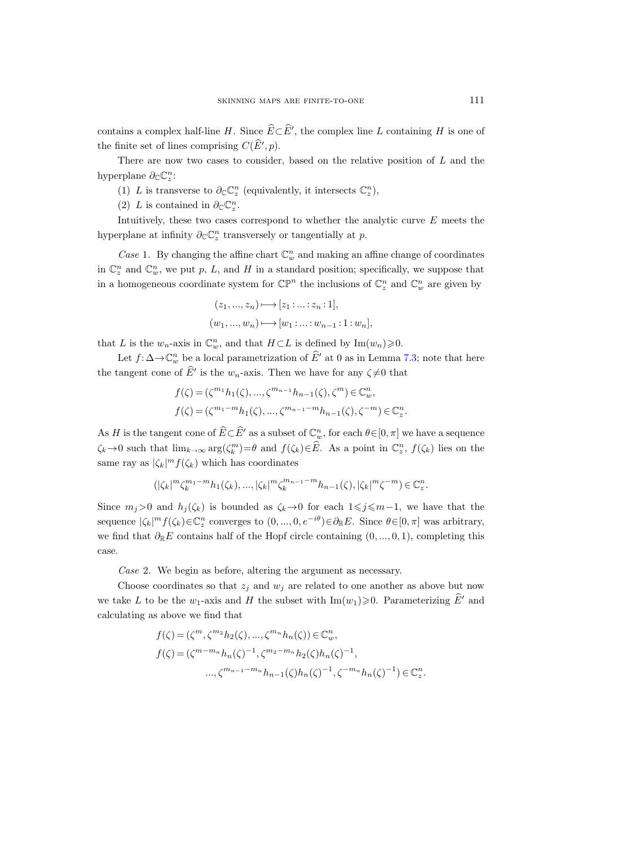contains a complex half-line H. Since  $\widehat{E}\subset \widehat{E}'$ , the complex line L containing H is one of the finite set of lines comprising  $C(\widehat{E}', p)$ .

There are now two cases to consider, based on the relative position of L and the hyperplane  $\partial_{\mathbb{C}} \mathbb{C}_z^n$ :

(1) L is transverse to  $\partial_{\mathbb{C}} \mathbb{C}^n_z$  (equivalently, it intersects  $\mathbb{C}^n_z$ ),

(2) L is contained in  $\partial_{\mathbb{C}} \mathbb{C}_{z}^{n}$ .

Intuitively, these two cases correspond to whether the analytic curve E meets the hyperplane at infinity  $\partial_{\mathbb{C}} \mathbb{C}^n_z$  transversely or tangentially at p.

Case 1. By changing the affine chart  $\mathbb{C}_w^n$  and making an affine change of coordinates in  $\mathbb{C}_z^n$  and  $\mathbb{C}_w^n$ , we put p, L, and H in a standard position; specifically, we suppose that in a homogeneous coordinate system for  $\mathbb{CP}^n$  the inclusions of  $\mathbb{C}_z^n$  and  $\mathbb{C}_w^n$  are given by

$$
(z_1, ..., z_n) \longmapsto [z_1 : ... : z_n : 1],
$$
  

$$
(w_1, ..., w_n) \longmapsto [w_1 : ... : w_{n-1} : 1 : w_n],
$$

that L is the  $w_n$ -axis in  $\mathbb{C}^n_w$ , and that  $H \subset L$  is defined by  $\text{Im}(w_n) \geq 0$ .

Let  $f: \Delta \to \mathbb{C}_w^n$  be a local parametrization of  $\widehat{E}'$  at 0 as in Lemma [7.3;](#page-54-0) note that here the tangent cone of  $\hat{E}'$  is the  $w_n$ -axis. Then we have for any  $\zeta \neq 0$  that

$$
f(\zeta) = (\zeta^{m_1} h_1(\zeta), ..., \zeta^{m_{n-1}} h_{n-1}(\zeta), \zeta^m) \in \mathbb{C}_w^n,
$$
  

$$
f(\zeta) = (\zeta^{m_1 - m} h_1(\zeta), ..., \zeta^{m_{n-1} - m} h_{n-1}(\zeta), \zeta^{-m}) \in \mathbb{C}_z^n.
$$

As H is the tangent cone of  $\widehat{E}\subset \widehat{E}'$  as a subset of  $\mathbb{C}_{\infty}^n$ , for each  $\theta \in [0, \pi]$  we have a sequence  $\zeta_k \to 0$  such that  $\lim_{k \to \infty} \arg(\zeta_k^m) = \theta$  and  $f(\zeta_k) \in \widehat{E}$ . As a point in  $\mathbb{C}_z^n$ ,  $f(\zeta_k)$  lies on the same ray as  $|\zeta_k|^m f(\zeta_k)$  which has coordinates

$$
\big(|\zeta_k|^m\zeta_k^{m_1-m}h_1(\zeta_k),...,|\zeta_k|^m\zeta_k^{m_{n-1}-m}h_{n-1}(\zeta),|\zeta_k|^m\zeta^{-m}\big)\!\in\!\mathbb{C}_z^n.
$$

Since  $m_j>0$  and  $h_j(\zeta_k)$  is bounded as  $\zeta_k \to 0$  for each  $1 \leq j \leq m-1$ , we have that the sequence  $|\zeta_k|^m f(\zeta_k) \in \mathbb{C}^n_z$  converges to  $(0, ..., 0, e^{-i\theta}) \in \partial_{\mathbb{R}} E$ . Since  $\theta \in [0, \pi]$  was arbitrary, we find that  $\partial_{\mathbb{R}}E$  contains half of the Hopf circle containing  $(0, ..., 0, 1)$ , completing this case.

Case 2. We begin as before, altering the argument as necessary.

Choose coordinates so that  $z_j$  and  $w_j$  are related to one another as above but now we take L to be the  $w_1$ -axis and H the subset with  $\text{Im}(w_1)\geq 0$ . Parameterizing  $\hat{E}'$  and calculating as above we find that

$$
f(\zeta) = (\zeta^m, \zeta^{m_2} h_2(\zeta), ..., \zeta^{m_n} h_n(\zeta)) \in \mathbb{C}_w^n,
$$
  
\n
$$
f(\zeta) = (\zeta^{m - m_n} h_n(\zeta)^{-1}, \zeta^{m_2 - m_n} h_2(\zeta) h_n(\zeta)^{-1},
$$
  
\n
$$
..., \zeta^{m_{n-1} - m_n} h_{n-1}(\zeta) h_n(\zeta)^{-1}, \zeta^{-m_n} h_n(\zeta)^{-1}) \in \mathbb{C}_z^n.
$$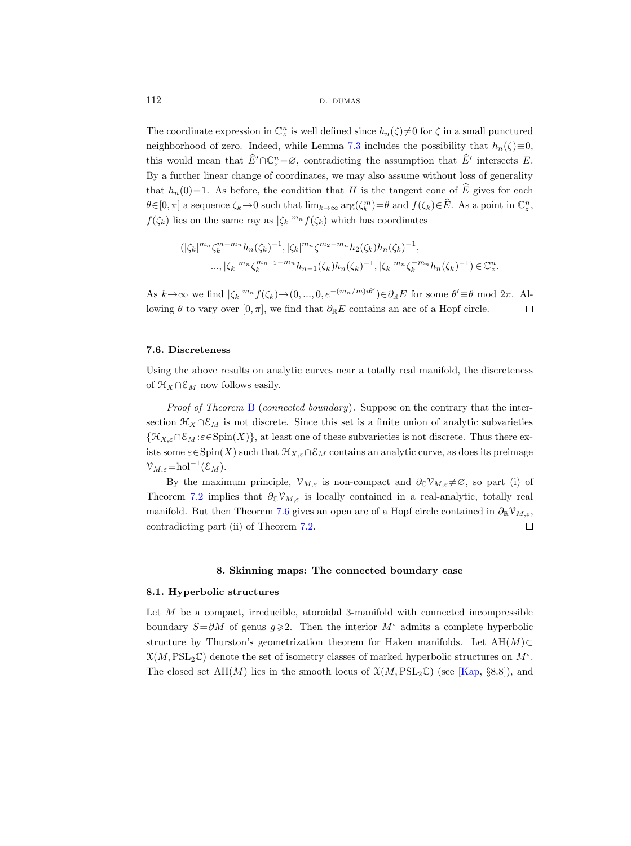The coordinate expression in  $\mathbb{C}_z^n$  is well defined since  $h_n(\zeta) \neq 0$  for  $\zeta$  in a small punctured neighborhood of zero. Indeed, while Lemma [7.3](#page-54-0) includes the possibility that  $h_n(\zeta) \equiv 0$ , this would mean that  $\widehat{E}' \cap \mathbb{C}_z^n = \emptyset$ , contradicting the assumption that  $\widehat{E}'$  intersects E. By a further linear change of coordinates, we may also assume without loss of generality that  $h_n(0)=1$ . As before, the condition that H is the tangent cone of  $\widehat{E}$  gives for each  $\theta \in [0, \pi]$  a sequence  $\zeta_k \to 0$  such that  $\lim_{k \to \infty} \arg(\zeta_k^m) = \theta$  and  $f(\zeta_k) \in \widehat{E}$ . As a point in  $\mathbb{C}_z^n$ ,  $f(\zeta_k)$  lies on the same ray as  $|\zeta_k|^{m_n} f(\zeta_k)$  which has coordinates

$$
(|\zeta_k|^{m_n} \zeta_k^{m-m_n} h_n(\zeta_k)^{-1}, |\zeta_k|^{m_n} \zeta^{m_2-m_n} h_2(\zeta_k) h_n(\zeta_k)^{-1},
$$
  
...,  $|\zeta_k|^{m_n} \zeta_k^{m_{n-1}-m_n} h_{n-1}(\zeta_k) h_n(\zeta_k)^{-1}, |\zeta_k|^{m_n} \zeta_k^{-m_n} h_n(\zeta_k)^{-1}) \in \mathbb{C}_z^n$ .

As  $k \to \infty$  we find  $|\zeta_k|^{m_n} f(\zeta_k) \to (0, ..., 0, e^{-(m_n/m)i\theta'}) \in \partial_{\mathbb{R}} E$  for some  $\theta' \equiv \theta \mod 2\pi$ . Allowing  $\theta$  to vary over [0,  $\pi$ ], we find that  $\partial_{\mathbb{R}} E$  contains an arc of a Hopf circle.  $\Box$ 

### <span id="page-57-0"></span>7.6. Discreteness

Using the above results on analytic curves near a totally real manifold, the discreteness of  $\mathcal{H}_X \cap \mathcal{E}_M$  now follows easily.

Proof of Theorem [B](#page-1-0) (connected boundary). Suppose on the contrary that the intersection  $\mathcal{H}_X \cap \mathcal{E}_M$  is not discrete. Since this set is a finite union of analytic subvarieties  $\{\mathcal{H}_{X,\varepsilon}\cap \mathcal{E}_M : \varepsilon \in \text{Spin}(X)\}\$ , at least one of these subvarieties is not discrete. Thus there exists some  $\varepsilon \in \text{Spin}(X)$  such that  $\mathcal{H}_{X,\varepsilon} \cap \mathcal{E}_M$  contains an analytic curve, as does its preimage  $\mathcal{V}_{M,\varepsilon} = \text{hol}^{-1}(\mathcal{E}_M).$ 

By the maximum principle,  $\mathcal{V}_{M,\varepsilon}$  is non-compact and  $\partial_{\mathbb{C}}\mathcal{V}_{M,\varepsilon}\neq\varnothing$ , so part (i) of Theorem [7.2](#page-52-0) implies that  $\partial_{\mathbb{C}}\mathcal{V}_{M,\varepsilon}$  is locally contained in a real-analytic, totally real manifold. But then Theorem [7.6](#page-55-3) gives an open arc of a Hopf circle contained in  $\partial_{\mathbb{R}} \mathcal{V}_{M,\varepsilon}$ , contradicting part (ii) of Theorem [7.2.](#page-52-0)  $\Box$ 

### 8. Skinning maps: The connected boundary case

## 8.1. Hyperbolic structures

Let  $M$  be a compact, irreducible, atoroidal 3-manifold with connected incompressible boundary  $S=\partial M$  of genus  $g\geqslant 2$ . Then the interior M<sup>°</sup> admits a complete hyperbolic structure by Thurston's geometrization theorem for Haken manifolds. Let  $AH(M)\subset$  $X(M, \text{PSL}_2\mathbb{C})$  denote the set of isometry classes of marked hyperbolic structures on  $M^{\circ}$ . The closed set  $AH(M)$  lies in the smooth locus of  $\mathfrak{X}(M, \mathrm{PSL}_2\mathbb{C})$  (see [\[Kap,](#page-70-10) §8.8]), and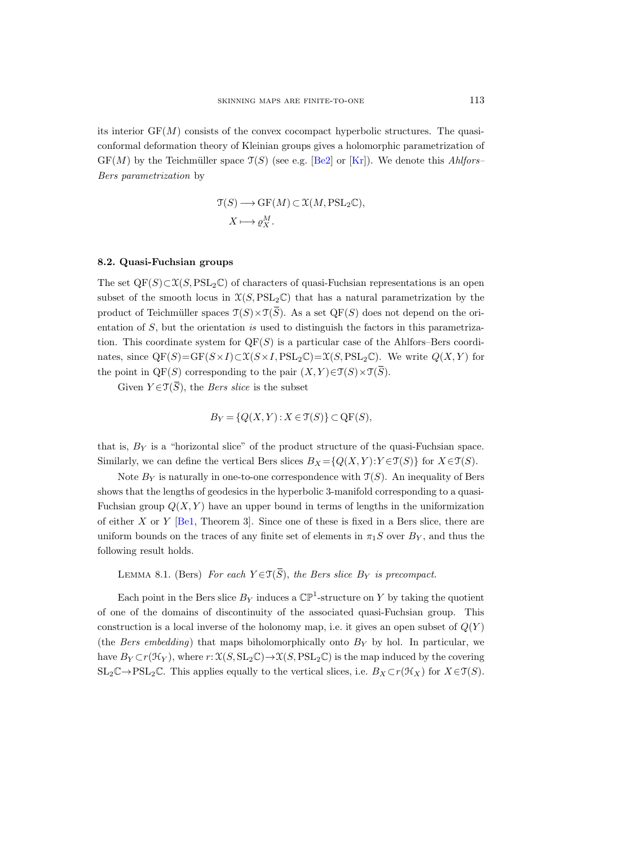its interior  $GF(M)$  consists of the convex cocompact hyperbolic structures. The quasiconformal deformation theory of Kleinian groups gives a holomorphic parametrization of  $GF(M)$  by the Teichmüller space  $\mathcal{T}(S)$  (see e.g. [\[Be2\]](#page-69-7) or [\[Kr\]](#page-70-11)). We denote this Ahlfors– Bers parametrization by

$$
\begin{aligned} \mathfrak{T}(S) &\longrightarrow \mathrm{GF}(M) \subset \mathfrak{X}(M, \mathrm{PSL}_2\mathbb{C}),\\ X &\longmapsto \varrho^M_X. \end{aligned}
$$

#### 8.2. Quasi-Fuchsian groups

The set  $QF(S) \subset \mathcal{X}(S, PSL_2\mathbb{C})$  of characters of quasi-Fuchsian representations is an open subset of the smooth locus in  $\mathfrak{X}(S, \mathrm{PSL}_2\mathbb{C})$  that has a natural parametrization by the product of Teichmüller spaces  $\mathfrak{T}(S) \times \mathfrak{T}(\overline{S})$ . As a set QF(S) does not depend on the orientation of  $S$ , but the orientation is used to distinguish the factors in this parametrization. This coordinate system for  $QF(S)$  is a particular case of the Ahlfors–Bers coordinates, since  $QF(S) = GF(S \times I) \subset \mathfrak{X}(S \times I, \text{PSL}_2\mathbb{C}) = \mathfrak{X}(S, \text{PSL}_2\mathbb{C})$ . We write  $Q(X, Y)$  for the point in QF(S) corresponding to the pair  $(X, Y) \in \mathcal{T}(S) \times \mathcal{T}(\overline{S})$ .

Given  $Y \in \mathcal{T}(\overline{S})$ , the *Bers slice* is the subset

$$
B_Y = \{Q(X, Y) : X \in \mathfrak{T}(S)\} \subset \mathcal{QF}(S),
$$

that is,  $B_Y$  is a "horizontal slice" of the product structure of the quasi-Fuchsian space. Similarly, we can define the vertical Bers slices  $B_X = \{Q(X, Y): Y \in \mathcal{T}(S)\}\)$  for  $X \in \mathcal{T}(S)$ .

Note  $B_Y$  is naturally in one-to-one correspondence with  $\mathfrak{T}(S)$ . An inequality of Bers shows that the lengths of geodesics in the hyperbolic 3-manifold corresponding to a quasi-Fuchsian group  $Q(X, Y)$  have an upper bound in terms of lengths in the uniformization of either X or Y [\[Be1,](#page-69-8) Theorem 3]. Since one of these is fixed in a Bers slice, there are uniform bounds on the traces of any finite set of elements in  $\pi_1 S$  over  $B_Y$ , and thus the following result holds.

LEMMA 8.1. (Bers) For each  $Y \in \mathfrak{T}(\overline{S})$ , the Bers slice B<sub>Y</sub> is precompact.

Each point in the Bers slice  $B_Y$  induces a  $\mathbb{CP}^1$ -structure on Y by taking the quotient of one of the domains of discontinuity of the associated quasi-Fuchsian group. This construction is a local inverse of the holonomy map, i.e. it gives an open subset of  $Q(Y)$ (the Bers embedding) that maps biholomorphically onto  $B<sub>Y</sub>$  by hol. In particular, we have  $B_Y \subset r(\mathcal{H}_Y)$ , where  $r: \mathfrak{X}(S, SL_2\mathbb{C}) \to \mathfrak{X}(S,PSL_2\mathbb{C})$  is the map induced by the covering  $SL_2\mathbb{C}\rightarrow PSL_2\mathbb{C}$ . This applies equally to the vertical slices, i.e.  $B_X\subset r(\mathcal{H}_X)$  for  $X\in\mathcal{T}(S)$ .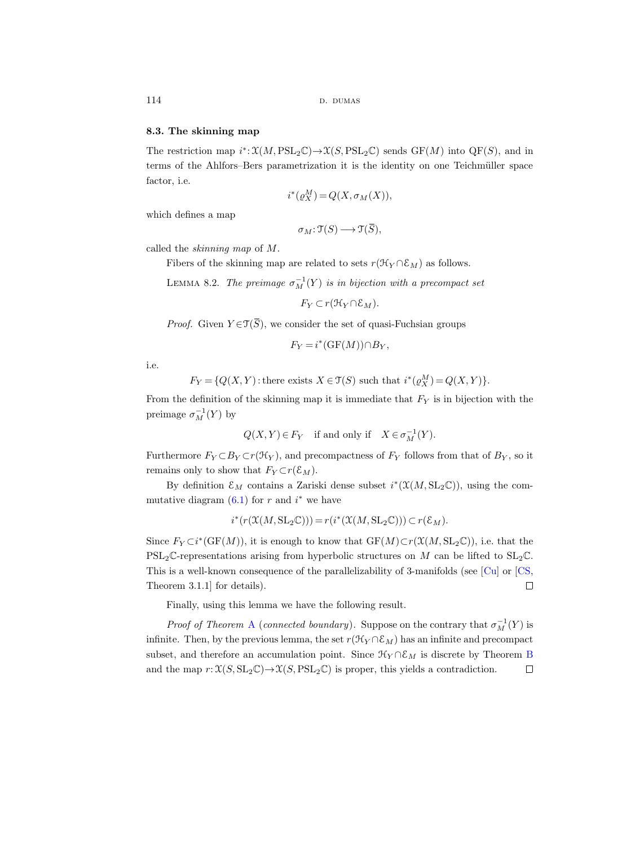### 8.3. The skinning map

The restriction map  $i^*:\mathfrak{X}(M, \mathrm{PSL}_2\mathbb{C})\to \mathfrak{X}(S, \mathrm{PSL}_2\mathbb{C})$  sends  $\mathrm{GF}(M)$  into  $\mathrm{QF}(S)$ , and in terms of the Ahlfors–Bers parametrization it is the identity on one Teichmüller space factor, i.e.

$$
i^*(\varrho^M_X) = Q(X, \sigma_M(X)),
$$

which defines a map

$$
\sigma_M\!:\!\mathfrak{T}(S)\!\longrightarrow\!\mathfrak{T}(\overline{S}),
$$

called the skinning map of M.

Fibers of the skinning map are related to sets  $r(\mathcal{H}_Y \cap \mathcal{E}_M)$  as follows.

<span id="page-59-0"></span>LEMMA 8.2. The preimage  $\sigma_M^{-1}(Y)$  is in bijection with a precompact set

 $F_Y \subset r(\mathcal{H}_Y \cap \mathcal{E}_M).$ 

*Proof.* Given  $Y \in \mathfrak{T}(\overline{S})$ , we consider the set of quasi-Fuchsian groups

$$
F_Y = i^*(\text{GF}(M)) \cap B_Y,
$$

i.e.

$$
F_Y = \{Q(X, Y) : \text{there exists } X \in \mathfrak{T}(S) \text{ such that } i^*(\varrho_X^M) = Q(X, Y) \}.
$$

From the definition of the skinning map it is immediate that  $F<sub>Y</sub>$  is in bijection with the preimage  $\sigma_M^{-1}(Y)$  by

$$
Q(X,Y) \in F_Y
$$
 if and only if  $X \in \sigma_M^{-1}(Y)$ .

Furthermore  $F_Y \subset B_Y \subset r(\mathcal{H}_Y)$ , and precompactness of  $F_Y$  follows from that of  $B_Y$ , so it remains only to show that  $F_Y \subset r(\mathcal{E}_M)$ .

By definition  $\mathcal{E}_M$  contains a Zariski dense subset  $i^*(\mathfrak{X}(M, \mathrm{SL}_2\mathbb{C}))$ , using the commutative diagram  $(6.1)$  for r and i<sup>\*</sup> we have

$$
i^*(r(\mathfrak{X}(M, \mathop{\mathrm{SL}}\nolimits_2{\mathbb{C}}))) = r(i^*(\mathfrak{X}(M, \mathop{\mathrm{SL}}\nolimits_2{\mathbb{C}}))) \subset r(\mathcal{E}_M).
$$

Since  $F_Y \subset i^*(\mathrm{GF}(M))$ , it is enough to know that  $\mathrm{GF}(M) \subset r(\mathfrak{X}(M, \mathrm{SL}_2\mathbb{C}))$ , i.e. that the  $PSL_2\mathbb{C}$ -representations arising from hyperbolic structures on M can be lifted to  $SL_2\mathbb{C}$ . This is a well-known consequence of the parallelizability of 3-manifolds (see [\[Cu\]](#page-69-9) or [\[CS,](#page-69-2) Theorem 3.1.1] for details).  $\Box$ 

Finally, using this lemma we have the following result.

*Proof of Theorem [A](#page-1-1) (connected boundary)*. Suppose on the contrary that  $\sigma_M^{-1}(Y)$  is infinite. Then, by the previous lemma, the set  $r(\mathcal{H}_Y \cap \mathcal{E}_M)$  has an infinite and precompact subset, and therefore an accumulation point. Since  $\mathcal{H}_Y \cap \mathcal{E}_M$  is discrete by Theorem [B](#page-1-0) and the map  $r: \mathfrak{X}(S, SL_2\mathbb{C}) \to \mathfrak{X}(S, PSL_2\mathbb{C})$  is proper, this yields a contradiction.  $\Box$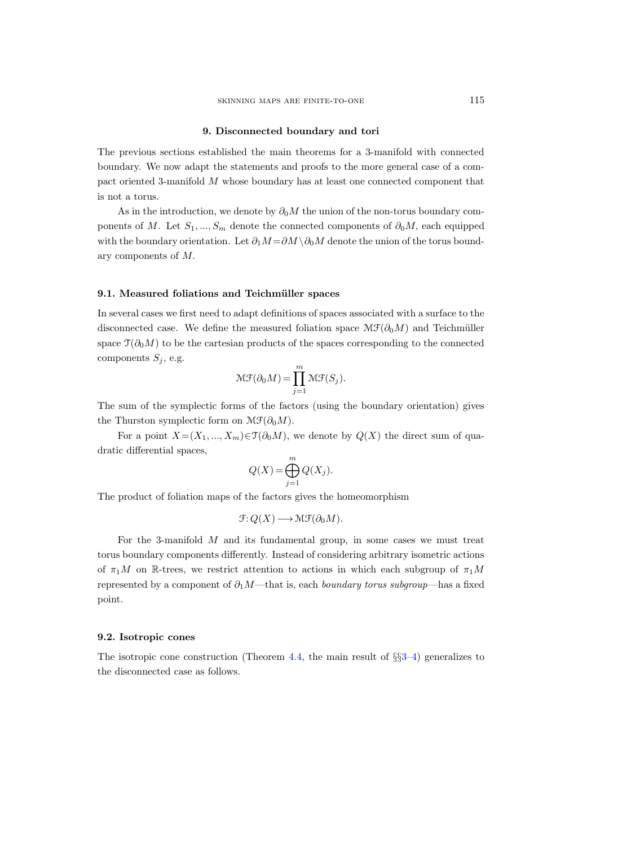### 9. Disconnected boundary and tori

The previous sections established the main theorems for a 3-manifold with connected boundary. We now adapt the statements and proofs to the more general case of a compact oriented 3-manifold M whose boundary has at least one connected component that is not a torus.

As in the introduction, we denote by  $\partial_0 M$  the union of the non-torus boundary components of M. Let  $S_1, ..., S_m$  denote the connected components of  $\partial_0 M$ , each equipped with the boundary orientation. Let  $\partial_1 M = \partial M \setminus \partial_0 M$  denote the union of the torus boundary components of M.

## 9.1. Measured foliations and Teichmüller spaces

In several cases we first need to adapt definitions of spaces associated with a surface to the disconnected case. We define the measured foliation space  $\mathcal{MF}(\partial_0 M)$  and Teichmüller space  $\mathfrak{T}(\partial_0M)$  to be the cartesian products of the spaces corresponding to the connected components  $S_j$ , e.g.

$$
\mathcal{MF}(\partial_0 M) = \prod_{j=1}^m \mathcal{MF}(S_j).
$$

The sum of the symplectic forms of the factors (using the boundary orientation) gives the Thurston symplectic form on  $\mathcal{MF}(\partial_0 M)$ .

For a point  $X=(X_1, ..., X_m) \in \mathfrak{T}(\partial_0 M)$ , we denote by  $Q(X)$  the direct sum of quadratic differential spaces,

$$
Q(X) = \bigoplus_{j=1}^{m} Q(X_j).
$$

The product of foliation maps of the factors gives the homeomorphism

$$
\mathcal{F}\!:\!Q(X)\!\longrightarrow\!\mathcal{MF}(\partial_0 M).
$$

For the 3-manifold M and its fundamental group, in some cases we must treat torus boundary components differently. Instead of considering arbitrary isometric actions of  $\pi_1M$  on R-trees, we restrict attention to actions in which each subgroup of  $\pi_1M$ represented by a component of  $\partial_1 M$ —that is, each *boundary torus subgroup*—has a fixed point.

## 9.2. Isotropic cones

The isotropic cone construction (Theorem [4.4,](#page-26-1) the main result of  $\S$ §[3](#page-15-0)[–4\)](#page-22-0) generalizes to the disconnected case as follows.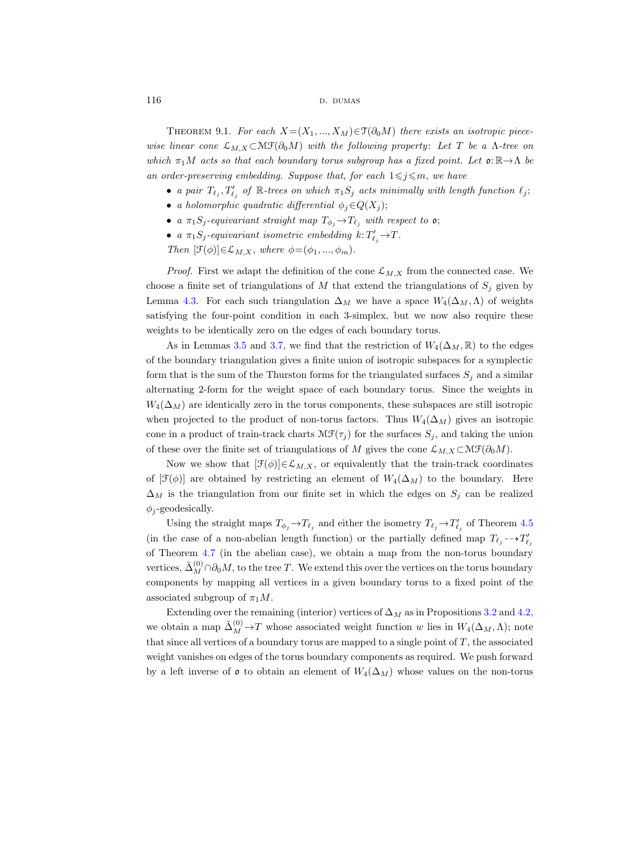$116$  D. DUMAS

<span id="page-61-0"></span>THEOREM 9.1. For each  $X = (X_1, ..., X_M) \in \mathcal{T}(\partial_0 M)$  there exists an isotropic piecewise linear cone  $\mathcal{L}_{M,X} \subset \mathcal{MF}(\partial_0 M)$  with the following property: Let T be a  $\Lambda$ -tree on which  $\pi_1M$  acts so that each boundary torus subgroup has a fixed point. Let  $\mathfrak{o}: \mathbb{R} \to \Lambda$  be an order-preserving embedding. Suppose that, for each  $1 \leq j \leq m$ , we have

- a pair  $T_{\ell_j}, T'_{\ell_j}$  of  $\mathbb R$ -trees on which  $\pi_1 S_j$  acts minimally with length function  $\ell_j$ ;
- a holomorphic quadratic differential  $\phi_j \in Q(X_j)$ ;
- a  $\pi_1 S_j$ -equivariant straight map  $T_{\phi_j} \rightarrow T_{\ell_j}$  with respect to  $\mathfrak{o};$
- a  $\pi_1 S_j$ -equivariant isometric embedding  $k: T'_{\ell_j} \to T$ .

Then  $[\mathcal{F}(\phi)] \in \mathcal{L}_{M,X}$ , where  $\phi = (\phi_1, ..., \phi_m)$ .

*Proof.* First we adapt the definition of the cone  $\mathcal{L}_{M,X}$  from the connected case. We choose a finite set of triangulations of M that extend the triangulations of  $S_j$  given by Lemma [4.3.](#page-24-0) For each such triangulation  $\Delta_M$  we have a space  $W_4(\Delta_M, \Lambda)$  of weights satisfying the four-point condition in each 3-simplex, but we now also require these weights to be identically zero on the edges of each boundary torus.

As in Lemmas [3.5](#page-20-0) and [3.7,](#page-21-0) we find that the restriction of  $W_4(\Delta_M, \mathbb{R})$  to the edges of the boundary triangulation gives a finite union of isotropic subspaces for a symplectic form that is the sum of the Thurston forms for the triangulated surfaces  $S_i$  and a similar alternating 2-form for the weight space of each boundary torus. Since the weights in  $W_4(\Delta_M)$  are identically zero in the torus components, these subspaces are still isotropic when projected to the product of non-torus factors. Thus  $W_4(\Delta_M)$  gives an isotropic cone in a product of train-track charts  $M\mathcal{F}(\tau_j)$  for the surfaces  $S_j$ , and taking the union of these over the finite set of triangulations of M gives the cone  $\mathcal{L}_{M,X} \subset \mathcal{MF}(\partial_0 M)$ .

Now we show that  $[\mathcal{F}(\phi)] \in \mathcal{L}_{M,X}$ , or equivalently that the train-track coordinates of  $[\mathcal{F}(\phi)]$  are obtained by restricting an element of  $W_4(\Delta_M)$  to the boundary. Here  $\Delta_M$  is the triangulation from our finite set in which the edges on  $S_j$  can be realized  $\phi_i$ -geodesically.

Using the straight maps  $T_{\phi_j} \to T_{\ell_j}$  and either the isometry  $T_{\ell_j} \to T'_{\ell_j}$  of Theorem [4.5](#page-27-0) (in the case of a non-abelian length function) or the partially defined map  $T_{\ell_j} \rightarrow T'_{\ell_j}$ of Theorem [4.7](#page-28-0) (in the abelian case), we obtain a map from the non-torus boundary vertices,  $\tilde{\Delta}_{M}^{(0)} \cap \partial_0 M$ , to the tree T. We extend this over the vertices on the torus boundary components by mapping all vertices in a given boundary torus to a fixed point of the associated subgroup of  $\pi_1 M$ .

Extending over the remaining (interior) vertices of  $\Delta_M$  as in Propositions [3.2](#page-17-0) and [4.2,](#page-23-1) we obtain a map  $\tilde{\Delta}_M^{(0)} \rightarrow T$  whose associated weight function w lies in  $W_4(\Delta_M, \Lambda)$ ; note that since all vertices of a boundary torus are mapped to a single point of  $T$ , the associated weight vanishes on edges of the torus boundary components as required. We push forward by a left inverse of  $\mathfrak o$  to obtain an element of  $W_4(\Delta_M)$  whose values on the non-torus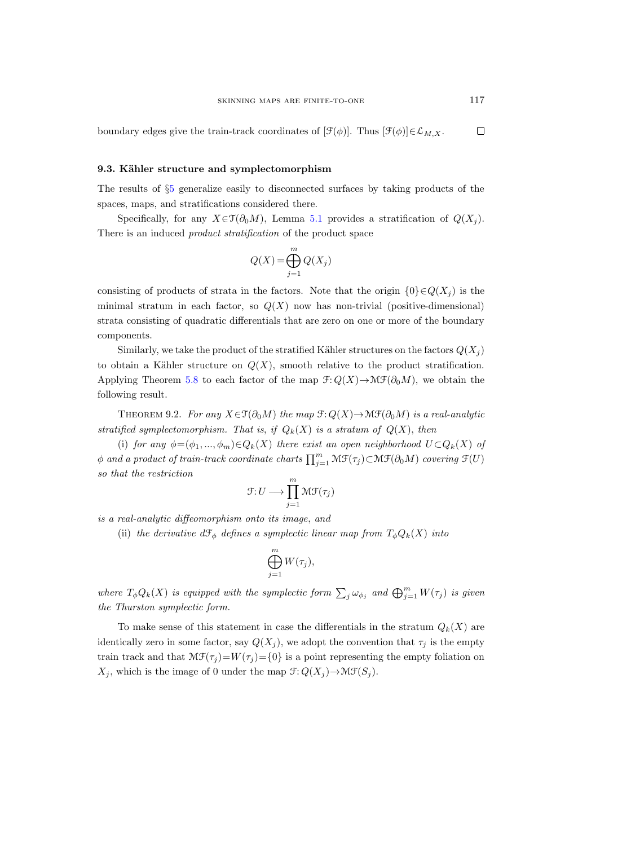boundary edges give the train-track coordinates of  $[\mathcal{F}(\phi)]$ . Thus  $[\mathcal{F}(\phi)] \in \mathcal{L}_{M,X}$ .  $\Box$ 

### 9.3. Kähler structure and symplectomorphism

The results of §[5](#page-31-0) generalize easily to disconnected surfaces by taking products of the spaces, maps, and stratifications considered there.

Specifically, for any  $X \in \mathfrak{T}(\partial_0 M)$ , Lemma [5.1](#page-32-0) provides a stratification of  $Q(X_i)$ . There is an induced product stratification of the product space

$$
Q(X) = \bigoplus_{j=1}^{m} Q(X_j)
$$

consisting of products of strata in the factors. Note that the origin  $\{0\} \in Q(X_j)$  is the minimal stratum in each factor, so  $Q(X)$  now has non-trivial (positive-dimensional) strata consisting of quadratic differentials that are zero on one or more of the boundary components.

Similarly, we take the product of the stratified Kähler structures on the factors  $Q(X_i)$ to obtain a Kähler structure on  $Q(X)$ , smooth relative to the product stratification. Applying Theorem [5.8](#page-40-0) to each factor of the map  $\mathcal{F}: Q(X) \to \mathcal{MF}(\partial_0 M)$ , we obtain the following result.

<span id="page-62-0"></span>THEOREM 9.2. For any  $X \in \mathcal{T}(\partial_0 M)$  the map  $\mathcal{F}: Q(X) \to \mathcal{MF}(\partial_0 M)$  is a real-analytic stratified symplectomorphism. That is, if  $Q_k(X)$  is a stratum of  $Q(X)$ , then

(i) for any  $\phi = (\phi_1, ..., \phi_m) \in Q_k(X)$  there exist an open neighborhood  $U \subset Q_k(X)$  of  $\phi$  and a product of train-track coordinate charts  $\prod_{j=1}^m {\rm M}\mathfrak{F}(\tau_j)$  $\subset$   ${\rm M}\mathfrak{F}(\partial_0 M)$  covering  $\mathfrak{F}(U)$ so that the restriction

$$
\mathfrak{F}: U \longrightarrow \prod_{j=1}^m \mathcal{MF}(\tau_j)
$$

is a real-analytic diffeomorphism onto its image, and

(ii) the derivative  $d\mathcal{F}_{\phi}$  defines a symplectic linear map from  $T_{\phi}Q_k(X)$  into

$$
\bigoplus_{j=1}^m W(\tau_j),
$$

where  $T_{\phi}Q_k(X)$  is equipped with the symplectic form  $\sum_j \omega_{\phi_j}$  and  $\bigoplus_{j=1}^m W(\tau_j)$  is given the Thurston symplectic form.

To make sense of this statement in case the differentials in the stratum  $Q_k(X)$  are identically zero in some factor, say  $Q(X_i)$ , we adopt the convention that  $\tau_i$  is the empty train track and that  $\mathcal{MF}(\tau_j)=W(\tau_j)=\{0\}$  is a point representing the empty foliation on  $X_j$ , which is the image of 0 under the map  $\mathfrak{F}: Q(X_j) \to \mathcal{MF}(S_j)$ .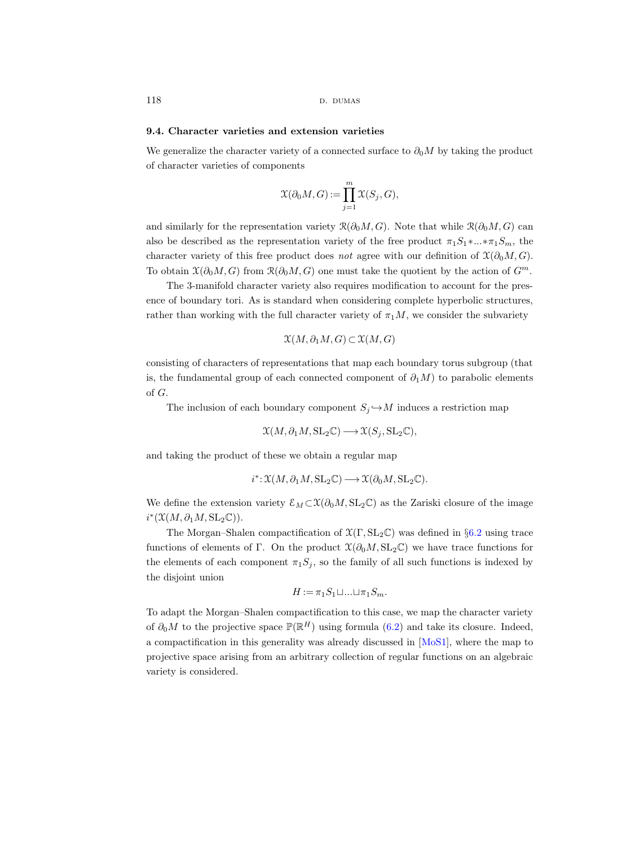#### 9.4. Character varieties and extension varieties

We generalize the character variety of a connected surface to  $\partial_0 M$  by taking the product of character varieties of components

$$
\mathfrak{X}(\partial_0 M, G) := \prod_{j=1}^m \mathfrak{X}(S_j, G),
$$

and similarly for the representation variety  $\mathcal{R}(\partial_0 M, G)$ . Note that while  $\mathcal{R}(\partial_0 M, G)$  can also be described as the representation variety of the free product  $\pi_1S_1$  \*...\* $\pi_1S_m$ , the character variety of this free product does not agree with our definition of  $\mathfrak{X}(\partial_0 M, G)$ . To obtain  $\mathfrak{X}(\partial_0 M, G)$  from  $\mathfrak{R}(\partial_0 M, G)$  one must take the quotient by the action of  $G^m$ .

The 3-manifold character variety also requires modification to account for the presence of boundary tori. As is standard when considering complete hyperbolic structures, rather than working with the full character variety of  $\pi_1 M$ , we consider the subvariety

$$
\mathfrak{X}(M,\partial_1 M,G) \subset \mathfrak{X}(M,G)
$$

consisting of characters of representations that map each boundary torus subgroup (that is, the fundamental group of each connected component of  $\partial_1 M$ ) to parabolic elements of G.

The inclusion of each boundary component  $S_i \hookrightarrow M$  induces a restriction map

$$
\mathfrak{X}(M, \partial_1 M, \operatorname{SL}_2\mathbb{C}) \longrightarrow \mathfrak{X}(S_j, \operatorname{SL}_2\mathbb{C}),
$$

and taking the product of these we obtain a regular map

$$
i^*\colon \mathfrak{X}(M, \partial_1 M, \operatorname{SL}_2\mathbb{C}) \longrightarrow \mathfrak{X}(\partial_0 M, \operatorname{SL}_2\mathbb{C}).
$$

We define the extension variety  $\mathcal{E}_M \subset \mathfrak{X}(\partial_0 M, SL_2 \mathbb{C})$  as the Zariski closure of the image  $i^*(\mathfrak{X}(M, \partial_1 M, \operatorname{SL}_2\mathbb{C}))$ .

The Morgan–Shalen compactification of  $\mathfrak{X}(\Gamma, SL_2\mathbb{C})$  was defined in §[6.2](#page-45-1) using trace functions of elements of Γ. On the product  $\mathfrak{X}(\partial_0 M, SL_2 \mathbb{C})$  we have trace functions for the elements of each component  $\pi_1S_j$ , so the family of all such functions is indexed by the disjoint union

$$
H:=\pi_1S_1\sqcup\ldots\sqcup\pi_1S_m.
$$

To adapt the Morgan–Shalen compactification to this case, we map the character variety of  $\partial_0 M$  to the projective space  $\mathbb{P}(\mathbb{R}^H)$  using formula  $(6.2)$  and take its closure. Indeed, a compactification in this generality was already discussed in [\[MoS1\]](#page-70-4), where the map to projective space arising from an arbitrary collection of regular functions on an algebraic variety is considered.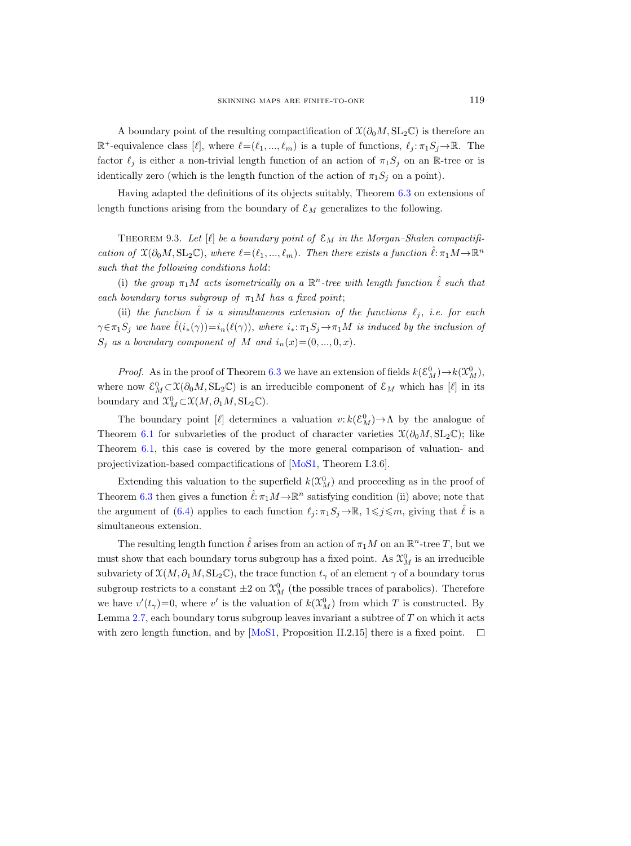A boundary point of the resulting compactification of  $\mathfrak{X}(\partial_0 M, SL_2\mathbb{C})$  is therefore an  $\mathbb{R}^+$ -equivalence class  $[\ell],$  where  $\ell = (\ell_1, ..., \ell_m)$  is a tuple of functions,  $\ell_j : \pi_1 S_j \to \mathbb{R}$ . The factor  $\ell_j$  is either a non-trivial length function of an action of  $\pi_1S_j$  on an R-tree or is identically zero (which is the length function of the action of  $\pi_1S_j$  on a point).

Having adapted the definitions of its objects suitably, Theorem [6.3](#page-46-1) on extensions of length functions arising from the boundary of  $\mathcal{E}_M$  generalizes to the following.

<span id="page-64-0"></span>THEOREM 9.3. Let  $[\ell]$  be a boundary point of  $\mathcal{E}_M$  in the Morgan–Shalen compactification of  $\mathfrak{X}(\partial_0 M, \mathrm{SL}_2 \mathbb{C})$ , where  $\ell = (\ell_1, ..., \ell_m)$ . Then there exists a function  $\hat{\ell}: \pi_1 M \to \mathbb{R}^n$ such that the following conditions hold:

(i) the group  $\pi_1 M$  acts isometrically on a  $\mathbb{R}^n$ -tree with length function  $\hat{\ell}$  such that each boundary torus subgroup of  $\pi_1M$  has a fixed point;

(ii) the function  $\hat{\ell}$  is a simultaneous extension of the functions  $\ell_j$ , i.e. for each  $\gamma \in \pi_1S_j$  we have  $\hat{\ell}(i_*(\gamma))=i_n(\ell(\gamma))$ , where  $i_*: \pi_1S_j \to \pi_1M$  is induced by the inclusion of  $S_j$  as a boundary component of M and  $i_n(x)=(0, ..., 0, x)$ .

*Proof.* As in the proof of Theorem [6.3](#page-46-1) we have an extension of fields  $k(\mathcal{E}_M^0) \to k(\mathfrak{X}_M^0)$ , where now  $\mathcal{E}_M^0 \subset \mathcal{X}(\partial_0 M, SL_2 \mathbb{C})$  is an irreducible component of  $\mathcal{E}_M$  which has  $[\ell]$  in its boundary and  $\mathfrak{X}_M^0 \subset \mathfrak{X}(M, \partial_1 M, SL_2 \mathbb{C})$ .

The boundary point  $[\ell]$  determines a valuation  $v: k(\mathcal{E}_{M}^{0}) \to \Lambda$  by the analogue of Theorem [6.1](#page-45-0) for subvarieties of the product of character varieties  $\mathfrak{X}(\partial_0 M, SL_2 \mathbb{C})$ ; like Theorem [6.1,](#page-45-0) this case is covered by the more general comparison of valuation- and projectivization-based compactifications of [\[MoS1,](#page-70-4) Theorem I.3.6].

Extending this valuation to the superfield  $k(\mathfrak{X}_M^0)$  and proceeding as in the proof of Theorem [6.3](#page-46-1) then gives a function  $\hat{\ell}: \pi_1 M \to \mathbb{R}^n$  satisfying condition (ii) above; note that the argument of [\(6.4\)](#page-48-1) applies to each function  $\ell_j : \pi_1S_j \to \mathbb{R}$ ,  $1 \leq j \leq m$ , giving that  $\ell$  is a simultaneous extension.

The resulting length function  $\hat{\ell}$  arises from an action of  $\pi_1 M$  on an  $\mathbb{R}^n$ -tree T, but we must show that each boundary torus subgroup has a fixed point. As  $\mathfrak{X}^0_M$  is an irreducible subvariety of  $\mathfrak{X}(M, \partial_1 M, SL_2 \mathbb{C})$ , the trace function  $t_\gamma$  of an element  $\gamma$  of a boundary torus subgroup restricts to a constant  $\pm 2$  on  $\mathfrak{X}_M^0$  (the possible traces of parabolics). Therefore we have  $v'(t_\gamma)=0$ , where  $v'$  is the valuation of  $k(\mathfrak{X}_M^0)$  from which T is constructed. By Lemma [2.7,](#page-11-0) each boundary torus subgroup leaves invariant a subtree of T on which it acts with zero length function, and by [\[MoS1,](#page-70-4) Proposition II.2.15] there is a fixed point.  $\Box$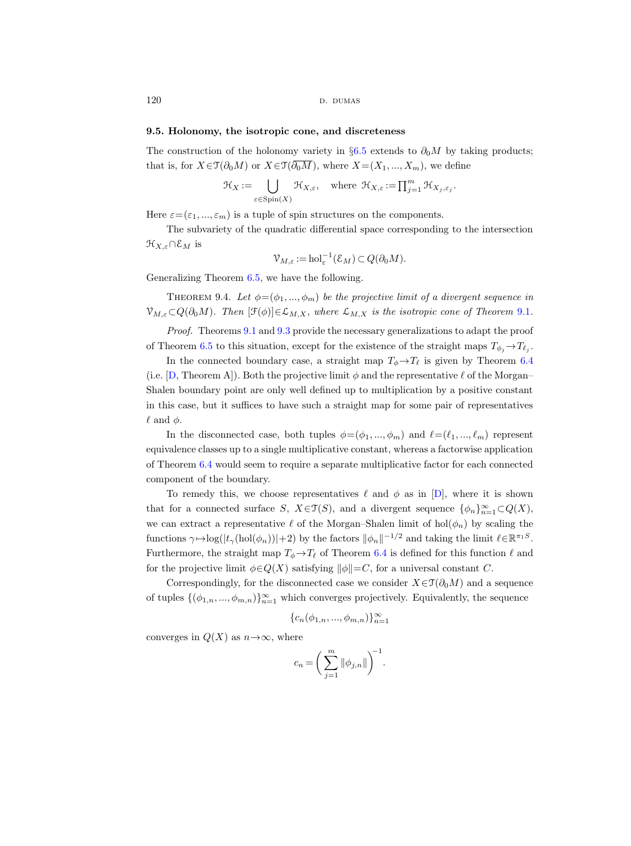$120$  D. DUMAS

#### 9.5. Holonomy, the isotropic cone, and discreteness

The construction of the holonomy variety in §[6.5](#page-48-0) extends to  $\partial_0 M$  by taking products; that is, for  $X \in \mathfrak{T}(\partial_0 M)$  or  $X \in \mathfrak{T}(\overline{\partial_0 M})$ , where  $X = (X_1, ..., X_m)$ , we define

$$
\mathcal{H}_X:=\bigcup_{\varepsilon\in\text{Spin}(X)}\mathcal{H}_{X,\varepsilon},\quad\text{where }\,\mathcal{H}_{X,\varepsilon}:=\prod_{j=1}^m\mathcal{H}_{X_j,\varepsilon_j}.
$$

Here  $\varepsilon = (\varepsilon_1, ..., \varepsilon_m)$  is a tuple of spin structures on the components.

The subvariety of the quadratic differential space corresponding to the intersection  $\mathfrak{R}_{X,\varepsilon}\cap \mathcal{E}_M$  is

$$
\mathcal{V}_{M,\varepsilon} := \mathrm{hol}_{\varepsilon}^{-1}(\mathcal{E}_M) \subset Q(\partial_0 M).
$$

Generalizing Theorem [6.5,](#page-50-0) we have the following.

<span id="page-65-0"></span>THEOREM 9.4. Let  $\phi = (\phi_1, ..., \phi_m)$  be the projective limit of a divergent sequence in  $\mathcal{V}_{M,\varepsilon}\subset Q(\partial_0M)$ . Then  $[\mathcal{F}(\phi)]\in\mathcal{L}_{M,X}$ , where  $\mathcal{L}_{M,X}$  is the isotropic cone of Theorem [9.1](#page-61-0).

Proof. Theorems [9.1](#page-61-0) and [9.3](#page-64-0) provide the necessary generalizations to adapt the proof of Theorem [6.5](#page-50-0) to this situation, except for the existence of the straight maps  $T_{\phi_j} \rightarrow T_{\ell_j}$ .

In the connected boundary case, a straight map  $T_{\phi} \rightarrow T_{\ell}$  is given by Theorem [6.4](#page-49-0) (i.e. [\[D,](#page-69-3) Theorem A]). Both the projective limit  $\phi$  and the representative  $\ell$  of the Morgan– Shalen boundary point are only well defined up to multiplication by a positive constant in this case, but it suffices to have such a straight map for some pair of representatives  $\ell$  and  $\phi$ .

In the disconnected case, both tuples  $\phi = (\phi_1, ..., \phi_m)$  and  $\ell = (\ell_1, ..., \ell_m)$  represent equivalence classes up to a single multiplicative constant, whereas a factorwise application of Theorem [6.4](#page-49-0) would seem to require a separate multiplicative factor for each connected component of the boundary.

To remedy this, we choose representatives  $\ell$  and  $\phi$  as in [\[D\]](#page-69-3), where it is shown that for a connected surface S,  $X \in \mathcal{T}(S)$ , and a divergent sequence  $\{\phi_n\}_{n=1}^{\infty} \subset Q(X)$ , we can extract a representative  $\ell$  of the Morgan–Shalen limit of hol( $\phi_n$ ) by scaling the functions  $\gamma \mapsto \log(|t_\gamma(\text{hol}(\phi_n))|+2)$  by the factors  $\|\phi_n\|^{-1/2}$  and taking the limit  $\ell \in \mathbb{R}^{\pi_1 S}$ . Furthermore, the straight map  $T_{\phi} \rightarrow T_{\ell}$  of Theorem [6.4](#page-49-0) is defined for this function  $\ell$  and for the projective limit  $\phi \in Q(X)$  satisfying  $\|\phi\| = C$ , for a universal constant C.

Correspondingly, for the disconnected case we consider  $X \in \mathcal{T}(\partial_0 M)$  and a sequence of tuples  $\{(\phi_{1,n}, ..., \phi_{m,n})\}_{n=1}^{\infty}$  which converges projectively. Equivalently, the sequence

$$
\{c_n(\phi_{1,n},..., \phi_{m,n})\}_{n=1}^\infty
$$

converges in  $Q(X)$  as  $n \rightarrow \infty$ , where

$$
c_n = \bigg(\sum_{j=1}^m \|\phi_{j,n}\|\bigg)^{-1}.
$$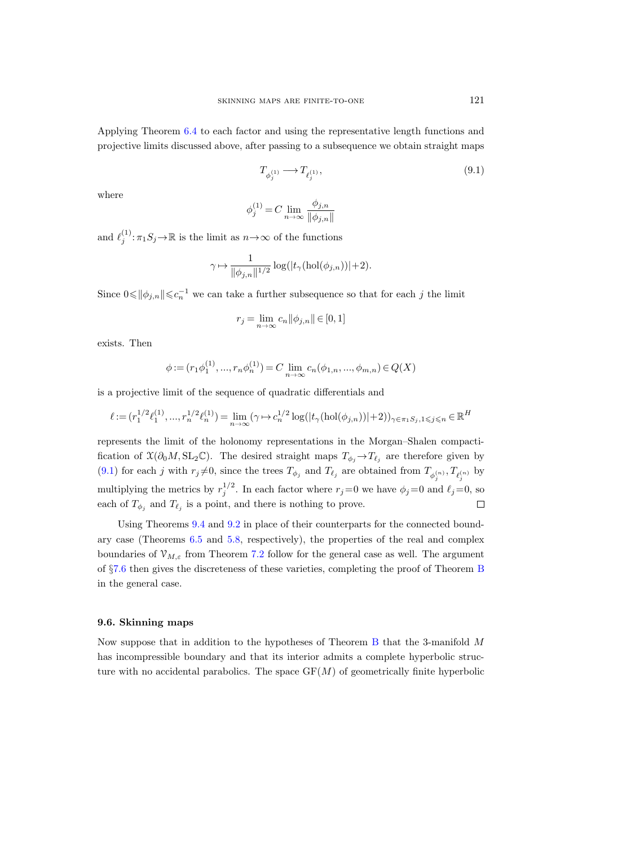Applying Theorem [6.4](#page-49-0) to each factor and using the representative length functions and projective limits discussed above, after passing to a subsequence we obtain straight maps

<span id="page-66-0"></span>
$$
T_{\phi_j^{(1)}} \longrightarrow T_{\ell_j^{(1)}},\tag{9.1}
$$

where

$$
\phi_j^{(1)} = C \lim_{n \to \infty} \frac{\phi_{j,n}}{\|\phi_{j,n}\|}
$$

and  $\ell_j^{(1)}: \pi_1S_j \to \mathbb{R}$  is the limit as  $n \to \infty$  of the functions

$$
\gamma \mapsto \frac{1}{\|\phi_{j,n}\|^{1/2}} \log(|t_\gamma(\mathrm{hol}(\phi_{j,n}))|+2).
$$

Since  $0 \leq \|\phi_{j,n}\| \leq c_n^{-1}$  we can take a further subsequence so that for each j the limit

$$
r_j = \lim_{n \to \infty} c_n ||\phi_{j,n}|| \in [0,1]
$$

exists. Then

$$
\phi := (r_1 \phi_1^{(1)}, \dots, r_n \phi_n^{(1)}) = C \lim_{n \to \infty} c_n(\phi_{1,n}, \dots, \phi_{m,n}) \in Q(X)
$$

is a projective limit of the sequence of quadratic differentials and

$$
\ell := (r_1^{1/2}\ell_1^{(1)},...,r_n^{1/2}\ell_n^{(1)}) = \lim_{n\to\infty} (\gamma\mapsto c_n^{1/2}\log(|t_\gamma(\mathrm{hol}(\phi_{j,n}))|+2))_{\gamma\in\pi_1S_j,1\leqslant j\leqslant n}\in\mathbb{R}^H
$$

represents the limit of the holonomy representations in the Morgan–Shalen compactification of  $\mathfrak{X}(\partial_0 M, SL_2 \mathbb{C})$ . The desired straight maps  $T_{\phi_j} \to T_{\ell_j}$  are therefore given by [\(9.1\)](#page-66-0) for each j with  $r_j \neq 0$ , since the trees  $T_{\phi_j}$  and  $T_{\ell_j}$  are obtained from  $T_{\phi_j^{(n)}}, T_{\ell_j^{(n)}}$  by multiplying the metrics by  $r_j^{1/2}$ . In each factor where  $r_j = 0$  we have  $\phi_j = 0$  and  $\ell_j = 0$ , so  $\Box$ each of  $T_{\phi_j}$  and  $T_{\ell_j}$  is a point, and there is nothing to prove.

Using Theorems [9.4](#page-65-0) and [9.2](#page-62-0) in place of their counterparts for the connected boundary case (Theorems [6.5](#page-50-0) and [5.8,](#page-40-0) respectively), the properties of the real and complex boundaries of  $\mathcal{V}_{M,\varepsilon}$  from Theorem [7.2](#page-52-0) follow for the general case as well. The argument of §[7.6](#page-57-0) then gives the discreteness of these varieties, completing the proof of Theorem [B](#page-1-0) in the general case.

# 9.6. Skinning maps

Now suppose that in addition to the hypotheses of Theorem [B](#page-1-0) that the 3-manifold M has incompressible boundary and that its interior admits a complete hyperbolic structure with no accidental parabolics. The space  $GF(M)$  of geometrically finite hyperbolic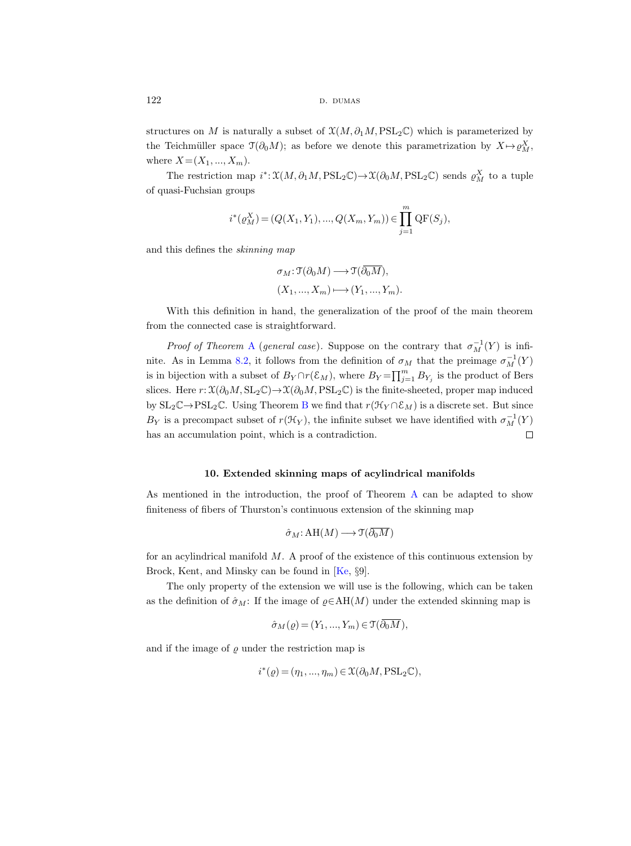structures on M is naturally a subset of  $X(M, \partial_1 M, \text{PSL}_2\mathbb{C})$  which is parameterized by the Teichmüller space  $\mathcal{T}(\partial_0 M)$ ; as before we denote this parametrization by  $X \mapsto \rho^X_M$ , where  $X = (X_1, ..., X_m)$ .

The restriction map  $i^* \colon \mathfrak{X}(M, \partial_1 M, \mathrm{PSL}_2 \mathbb{C}) \to \mathfrak{X}(\partial_0 M, \mathrm{PSL}_2 \mathbb{C})$  sends  $\varrho_M^X$  to a tuple of quasi-Fuchsian groups

$$
i^*(\varrho_M^X) = (Q(X_1, Y_1), ..., Q(X_m, Y_m)) \in \prod_{j=1}^m \text{QF}(S_j),
$$

and this defines the skinning map

$$
\sigma_M: \mathfrak{T}(\partial_0 M) \longrightarrow \mathfrak{T}(\overline{\partial_0 M}),
$$
  

$$
(X_1, ..., X_m) \longmapsto (Y_1, ..., Y_m).
$$

With this definition in hand, the generalization of the proof of the main theorem from the connected case is straightforward.

*Proof of Theorem [A](#page-1-1) (general case)*. Suppose on the contrary that  $\sigma_M^{-1}(Y)$  is infi-nite. As in Lemma [8.2,](#page-59-0) it follows from the definition of  $\sigma_M$  that the preimage  $\sigma_M^{-1}(Y)$ is in bijection with a subset of  $B_Y \cap r(\mathcal{E}_M)$ , where  $B_Y = \prod_{j=1}^m B_{Y_j}$  is the product of Bers slices. Here  $r: \mathfrak{X}(\partial_0 M, SL_2 \mathbb{C}) \to \mathfrak{X}(\partial_0 M, PSL_2 \mathbb{C})$  is the finite-sheeted, proper map induced by  $SL_2\mathbb{C} \rightarrow PSL_2\mathbb{C}$ . Using Theorem [B](#page-1-0) we find that  $r(\mathcal{H}_Y \cap \mathcal{E}_M)$  is a discrete set. But since  $B_Y$  is a precompact subset of  $r(\mathcal{H}_Y)$ , the infinite subset we have identified with  $\sigma_M^{-1}(Y)$ has an accumulation point, which is a contradiction.  $\Box$ 

## 10. Extended skinning maps of acylindrical manifolds

As mentioned in the introduction, the proof of Theorem [A](#page-1-1) can be adapted to show finiteness of fibers of Thurston's continuous extension of the skinning map

$$
\hat{\sigma}_M\!:\mathrm{AH}(M)\longrightarrow \mathfrak{T}(\overline{\partial_0 M})
$$

for an acylindrical manifold M. A proof of the existence of this continuous extension by Brock, Kent, and Minsky can be found in [\[Ke,](#page-70-12) §9].

The only property of the extension we will use is the following, which can be taken as the definition of  $\hat{\sigma}_M$ : If the image of  $\varrho \in AH(M)$  under the extended skinning map is

$$
\hat{\sigma}_M(\varrho) = (Y_1, ..., Y_m) \in \mathfrak{T}(\overline{\partial_0 M}),
$$

and if the image of  $\varrho$  under the restriction map is

$$
i^*(\varrho) = (\eta_1, ..., \eta_m) \in \mathfrak{X}(\partial_0 M, \mathrm{PSL}_2 \mathbb{C}),
$$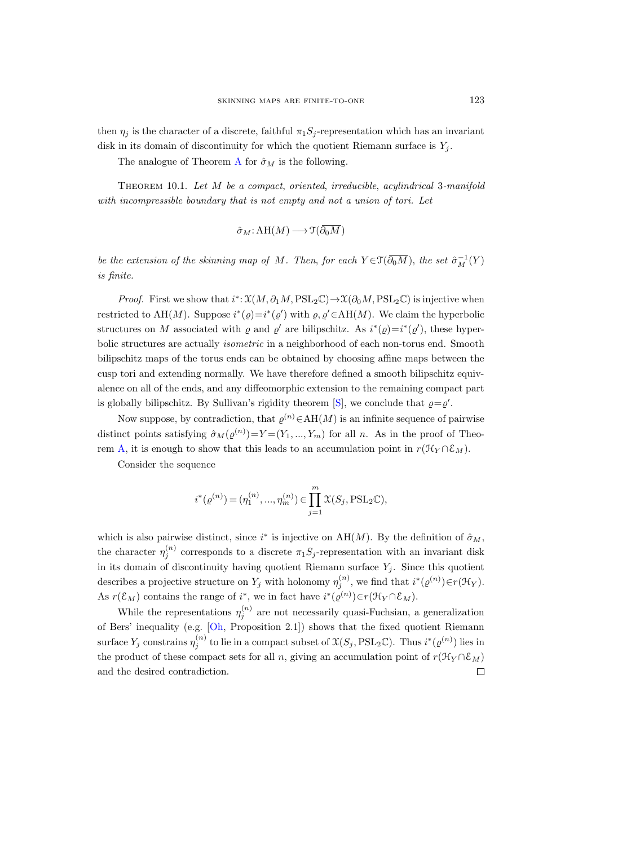then  $\eta_j$  is the character of a discrete, faithful  $\pi_1 S_j$ -representation which has an invariant disk in its domain of discontinuity for which the quotient Riemann surface is  $Y_i$ .

The analogue of Theorem [A](#page-1-1) for  $\hat{\sigma}_M$  is the following.

Theorem 10.1. Let M be a compact, oriented, irreducible, acylindrical 3-manifold with incompressible boundary that is not empty and not a union of tori. Let

$$
\hat{\sigma}_M\colon \mathrm{AH}(M)\longrightarrow \mathfrak{T}(\overline{\partial_0 M})
$$

be the extension of the skinning map of M. Then, for each  $Y \in \mathfrak{T}(\overline{\partial_0 M})$ , the set  $\hat{\sigma}_M^{-1}(Y)$ is finite.

*Proof.* First we show that  $i^*: \mathfrak{X}(M, \partial_1 M, \mathrm{PSL}_2 \mathbb{C}) \to \mathfrak{X}(\partial_0 M, \mathrm{PSL}_2 \mathbb{C})$  is injective when restricted to AH(M). Suppose  $i^*(\varrho) = i^*(\varrho')$  with  $\varrho, \varrho' \in AH(M)$ . We claim the hyperbolic structures on M associated with  $\varrho$  and  $\varrho'$  are bilipschitz. As  $i^*(\varrho) = i^*(\varrho')$ , these hyperbolic structures are actually isometric in a neighborhood of each non-torus end. Smooth bilipschitz maps of the torus ends can be obtained by choosing affine maps between the cusp tori and extending normally. We have therefore defined a smooth bilipschitz equivalence on all of the ends, and any diffeomorphic extension to the remaining compact part is globally bilipschitz. By Sullivan's rigidity theorem [\[S\]](#page-71-6), we conclude that  $\rho = \rho'$ .

Now suppose, by contradiction, that  $\varrho^{(n)}\in AH(M)$  is an infinite sequence of pairwise distinct points satisfying  $\hat{\sigma}_M(\varrho^{(n)}) = Y = (Y_1, ..., Y_m)$  for all n. As in the proof of Theo-rem [A,](#page-1-1) it is enough to show that this leads to an accumulation point in  $r(\mathcal{H}_Y \cap \mathcal{E}_M)$ .

Consider the sequence

$$
i^*(\varrho^{(n)})=(\eta_1^{(n)},...,\eta_m^{(n)})\in\prod_{j=1}^m\mathfrak{X}(S_j,\mathrm{PSL}_2\mathbb{C}),
$$

which is also pairwise distinct, since  $i^*$  is injective on AH(M). By the definition of  $\hat{\sigma}_M$ , the character  $\eta_j^{(n)}$  corresponds to a discrete  $\pi_1 S_j$ -representation with an invariant disk in its domain of discontinuity having quotient Riemann surface  $Y_j$ . Since this quotient describes a projective structure on  $Y_j$  with holonomy  $\eta_j^{(n)}$ , we find that  $i^*(\varrho^{(n)}) \in r(\mathcal{H}_Y)$ . As  $r(\mathcal{E}_M)$  contains the range of  $i^*$ , we in fact have  $i^*(\varrho^{(n)}) \in r(\mathcal{H}_Y \cap \mathcal{E}_M)$ .

While the representations  $\eta_j^{(n)}$  are not necessarily quasi-Fuchsian, a generalization of Bers' inequality (e.g. [\[Oh,](#page-71-7) Proposition 2.1]) shows that the fixed quotient Riemann surface  $Y_j$  constrains  $\eta_j^{(n)}$  to lie in a compact subset of  $\mathfrak{X}(S_j, \mathrm{PSL}_2\mathbb{C})$ . Thus  $i^*(\varrho^{(n)})$  lies in the product of these compact sets for all n, giving an accumulation point of  $r(\mathcal{H}_Y \cap \mathcal{E}_M)$ and the desired contradiction. $\Box$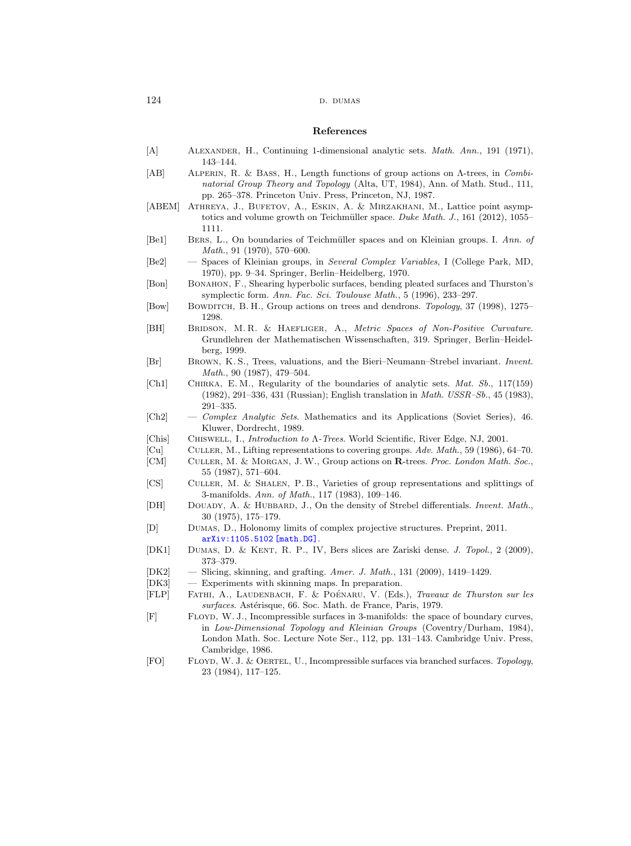#### References

- <span id="page-69-6"></span>[A] Alexander, H., Continuing 1-dimensional analytic sets. Math. Ann., 191 (1971), 143–144.
- [AB] Alperin, R. & Bass, H., Length functions of group actions on Λ-trees, in Combinatorial Group Theory and Topology (Alta, UT, 1984), Ann. of Math. Stud., 111, pp. 265–378. Princeton Univ. Press, Princeton, NJ, 1987.
- <span id="page-69-1"></span>[ABEM] ATHREYA, J., BUFETOV, A., ESKIN, A. & MIRZAKHANI, M., Lattice point asymptotics and volume growth on Teichmüller space. Duke Math. J., 161 (2012), 1055– 1111.
- <span id="page-69-8"></span>[Be1] BERS, L., On boundaries of Teichmüller spaces and on Kleinian groups. I. Ann. of Math., 91 (1970), 570–600.
- <span id="page-69-7"></span>[Be2] — Spaces of Kleinian groups, in Several Complex Variables, I (College Park, MD, 1970), pp. 9–34. Springer, Berlin–Heidelberg, 1970.
- [Bon] Bonahon, F., Shearing hyperbolic surfaces, bending pleated surfaces and Thurston's symplectic form. Ann. Fac. Sci. Toulouse Math., 5 (1996), 233–297.
- [Bow] BOWDITCH, B. H., Group actions on trees and dendrons. Topology, 37 (1998), 1275– 1298.
- [BH] BRIDSON, M.R. & HAEFLIGER, A., Metric Spaces of Non-Positive Curvature. Grundlehren der Mathematischen Wissenschaften, 319. Springer, Berlin–Heidelberg, 1999.
- [Br] Brown, K. S., Trees, valuations, and the Bieri–Neumann–Strebel invariant. Invent. Math., 90 (1987), 479–504.
- <span id="page-69-5"></span>[Ch1] CHIRKA, E. M., Regularity of the boundaries of analytic sets. *Mat. Sb.*, 117(159) (1982), 291–336, 431 (Russian); English translation in Math. USSR–Sb., 45 (1983), 291–335.
- <span id="page-69-4"></span>[Ch2] — Complex Analytic Sets. Mathematics and its Applications (Soviet Series), 46. Kluwer, Dordrecht, 1989.
- [Chis] Chiswell, I., Introduction to Λ-Trees. World Scientific, River Edge, NJ, 2001.
- <span id="page-69-9"></span>[Cu] Culler, M., Lifting representations to covering groups. Adv. Math., 59 (1986), 64–70.
- [CM] Culler, M. & Morgan, J.W., Group actions on R-trees. Proc. London Math. Soc., 55 (1987), 571–604.
- <span id="page-69-2"></span>[CS] Culler, M. & Shalen, P. B., Varieties of group representations and splittings of 3-manifolds. Ann. of Math., 117 (1983), 109–146.
- <span id="page-69-0"></span>[DH] DOUADY, A. & HUBBARD, J., On the density of Strebel differentials. Invent. Math., 30 (1975), 175–179.
- <span id="page-69-3"></span>[D] Dumas, D., Holonomy limits of complex projective structures. Preprint, 2011. [arXiv:1105.5102 \[math.DG\]](http://arxiv.org/abs/1105.5102).
- [DK1] Dumas, D. & Kent, R. P., IV, Bers slices are Zariski dense. J. Topol., 2 (2009), 373–379.
- [DK2] Slicing, skinning, and grafting. Amer. J. Math., 131 (2009), 1419–1429.
- [DK3] Experiments with skinning maps. In preparation.
- [FLP] Fathi, A., Laudenbach, F. & Poenaru, V. ´ (Eds.), Travaux de Thurston sur les surfaces. Astérisque, 66. Soc. Math. de France, Paris, 1979.
- [F] Floyd, W. J., Incompressible surfaces in 3-manifolds: the space of boundary curves, in Low-Dimensional Topology and Kleinian Groups (Coventry/Durham, 1984), London Math. Soc. Lecture Note Ser., 112, pp. 131–143. Cambridge Univ. Press, Cambridge, 1986.
- [FO] Floyd, W. J. & Oertel, U., Incompressible surfaces via branched surfaces. Topology, 23 (1984), 117–125.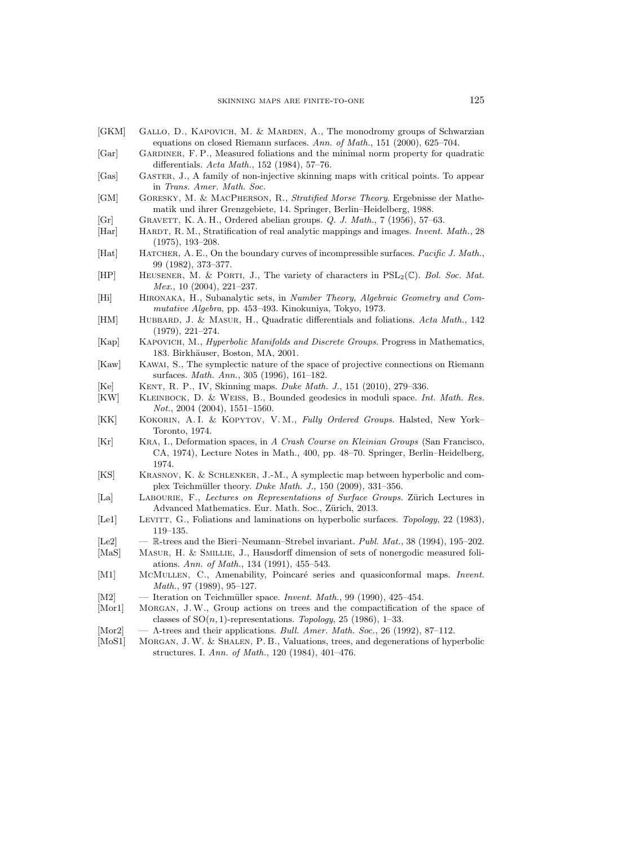- <span id="page-70-7"></span>[GKM] Gallo, D., Kapovich, M. & Marden, A., The monodromy groups of Schwarzian equations on closed Riemann surfaces. Ann. of Math., 151 (2000), 625–704.
- <span id="page-70-3"></span>[Gar] GARDINER, F. P., Measured foliations and the minimal norm property for quadratic differentials. Acta Math., 152 (1984), 57–76.
- [Gas] GASTER, J., A family of non-injective skinning maps with critical points. To appear in Trans. Amer. Math. Soc.
- [GM] Goresky, M. & MacPherson, R., Stratified Morse Theory. Ergebnisse der Mathematik und ihrer Grenzgebiete, 14. Springer, Berlin–Heidelberg, 1988.
- [Gr] GRAVETT, K. A. H., Ordered abelian groups. Q. J. Math., 7 (1956), 57–63.
- <span id="page-70-9"></span>[Har] HARDT, R. M., Stratification of real analytic mappings and images. *Invent. Math.*, 28 (1975), 193–208.
- [Hat] HATCHER, A. E., On the boundary curves of incompressible surfaces. Pacific J. Math., 99 (1982), 373–377.
- <span id="page-70-5"></span>[HP] HEUSENER, M. & PORTI, J., The variety of characters in  $PSL_2(\mathbb{C})$ . Bol. Soc. Mat. Mex., 10 (2004), 221–237.
- <span id="page-70-8"></span>[Hi] Hironaka, H., Subanalytic sets, in Number Theory, Algebraic Geometry and Commutative Algebra, pp. 453–493. Kinokuniya, Tokyo, 1973.
- <span id="page-70-2"></span>[HM] HUBBARD, J. & MASUR, H., Quadratic differentials and foliations. Acta Math., 142 (1979), 221–274.
- <span id="page-70-10"></span>[Kap] KAPOVICH, M., *Hyperbolic Manifolds and Discrete Groups*. Progress in Mathematics, 183. Birkhäuser, Boston, MA, 2001.
- [Kaw] Kawai, S., The symplectic nature of the space of projective connections on Riemann surfaces. Math. Ann., 305 (1996), 161–182.
- <span id="page-70-12"></span>[Ke] KENT, R. P., IV, Skinning maps. *Duke Math. J.*, 151 (2010), 279–336.
- <span id="page-70-1"></span>[KW] Kleinbock, D. & Weiss, B., Bounded geodesics in moduli space. Int. Math. Res. Not., 2004 (2004), 1551–1560.
- [KK] KOKORIN, A. I. & KOPYTOV, V. M., Fully Ordered Groups. Halsted, New York-Toronto, 1974.
- <span id="page-70-11"></span>[Kr] Kra, I., Deformation spaces, in A Crash Course on Kleinian Groups (San Francisco, CA, 1974), Lecture Notes in Math., 400, pp. 48–70. Springer, Berlin–Heidelberg, 1974.
- [KS] Krasnov, K. & Schlenker, J.-M., A symplectic map between hyperbolic and complex Teichmüller theory. Duke Math. J., 150 (2009), 331-356.
- [La] LABOURIE, F., Lectures on Representations of Surface Groups. Zürich Lectures in Advanced Mathematics. Eur. Math. Soc., Zürich, 2013.
- [Le1] LEVITT, G., Foliations and laminations on hyperbolic surfaces. Topology, 22 (1983), 119–135.
- [Le2] R-trees and the Bieri–Neumann–Strebel invariant. Publ. Mat., 38 (1994), 195–202.
- <span id="page-70-0"></span>[MaS] MASUR, H. & SMILLIE, J., Hausdorff dimension of sets of nonergodic measured foliations. Ann. of Math., 134 (1991), 455–543.
- [M1] McMuLLEN, C., Amenability, Poincaré series and quasiconformal maps. *Invent.* Math., 97 (1989), 95–127.
- [M2] Iteration on Teichmüller space. Invent. Math., 99 (1990), 425–454.
- [Mor1] MORGAN, J.W., Group actions on trees and the compactification of the space of classes of  $SO(n, 1)$ -representations. Topology, 25 (1986), 1–33.
- <span id="page-70-6"></span>[Mor2] — Λ-trees and their applications. Bull. Amer. Math. Soc., 26 (1992), 87–112.
- <span id="page-70-4"></span>[MoS1] Morgan, J.W. & Shalen, P. B., Valuations, trees, and degenerations of hyperbolic structures. I. Ann. of Math., 120 (1984), 401–476.